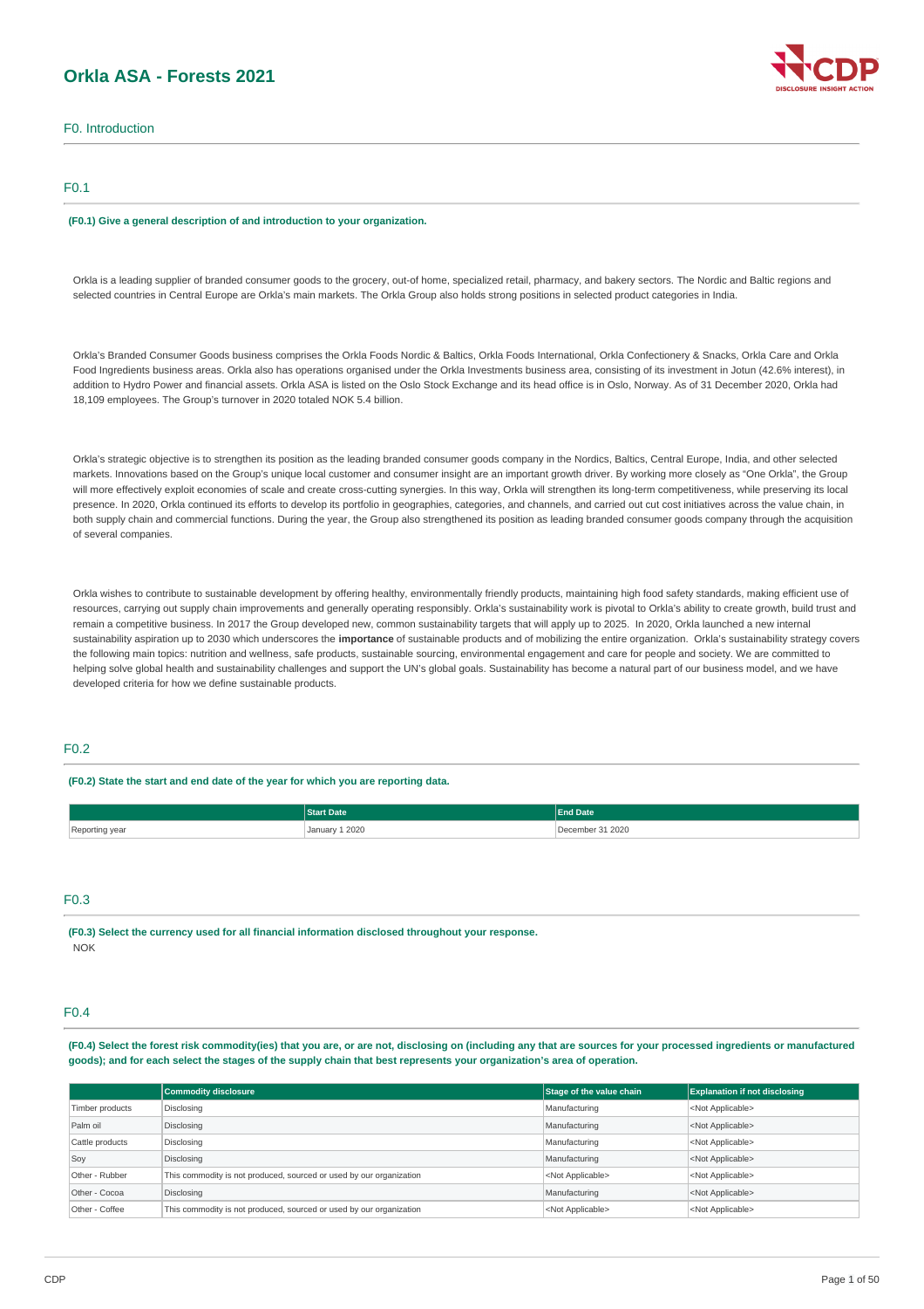# **Orkla ASA - Forests 2021**



### F0.1

#### **(F0.1) Give a general description of and introduction to your organization.**

Orkla is a leading supplier of branded consumer goods to the grocery, out-of home, specialized retail, pharmacy, and bakery sectors. The Nordic and Baltic regions and selected countries in Central Europe are Orkla's main markets. The Orkla Group also holds strong positions in selected product categories in India.

Orkla's Branded Consumer Goods business comprises the Orkla Foods Nordic & Baltics, Orkla Foods International, Orkla Confectionery & Snacks, Orkla Care and Orkla Food Ingredients business areas. Orkla also has operations organised under the Orkla Investments business area, consisting of its investment in Jotun (42.6% interest), in addition to Hydro Power and financial assets. Orkla ASA is listed on the Oslo Stock Exchange and its head office is in Oslo, Norway. As of 31 December 2020, Orkla had 18,109 employees. The Group's turnover in 2020 totaled NOK 5.4 billion.

Orkla's strategic objective is to strengthen its position as the leading branded consumer goods company in the Nordics, Baltics, Central Europe, India, and other selected markets. Innovations based on the Group's unique local customer and consumer insight are an important growth driver. By working more closely as "One Orkla", the Group will more effectively exploit economies of scale and create cross-cutting synergies. In this way, Orkla will strengthen its long-term competitiveness, while preserving its local presence. In 2020, Orkla continued its efforts to develop its portfolio in geographies, categories, and channels, and carried out cut cost initiatives across the value chain, in both supply chain and commercial functions. During the year, the Group also strengthened its position as leading branded consumer goods company through the acquisition of several companies.

Orkla wishes to contribute to sustainable development by offering healthy, environmentally friendly products, maintaining high food safety standards, making efficient use of resources, carrying out supply chain improvements and generally operating responsibly. Orkla's sustainability work is pivotal to Orkla's ability to create growth, build trust and remain a competitive business. In 2017 the Group developed new, common sustainability targets that will apply up to 2025. In 2020, Orkla launched a new internal sustainability aspiration up to 2030 which underscores the **importance** of sustainable products and of mobilizing the entire organization. Orkla's sustainability strategy covers the following main topics: nutrition and wellness, safe products, sustainable sourcing, environmental engagement and care for people and society. We are committed to helping solve global health and sustainability challenges and support the UN's global goals. Sustainability has become a natural part of our business model, and we have developed criteria for how we define sustainable products.

### $E_0$ 2

#### **(F0.2) State the start and end date of the year for which you are reporting data.**

|                              | Date                   | <b>End Date</b> |  |
|------------------------------|------------------------|-----------------|--|
| Reporting yea<br>ycar<br>. כ | 1 2020<br>January<br>. | 2020            |  |

### F0.3

**(F0.3) Select the currency used for all financial information disclosed throughout your response.** NOK

### F0.4

(F0.4) Select the forest risk commodity(ies) that you are, or are not, disclosing on (including any that are sources for your processed ingredients or manufactured goods); and for each select the stages of the supply chain that best represents your organization's area of operation.

|                 | Commodity disclosure                                                | Stage of the value chain  | <b>Explanation if not disclosing</b> |
|-----------------|---------------------------------------------------------------------|---------------------------|--------------------------------------|
| Timber products | Disclosing                                                          | Manufacturing             | <not applicable=""></not>            |
| Palm oil        | Disclosing                                                          | Manufacturing             | <not applicable=""></not>            |
| Cattle products | Disclosing                                                          | Manufacturing             | <not applicable=""></not>            |
| Soy             | Disclosing                                                          | Manufacturing             | <not applicable=""></not>            |
| Other - Rubber  | This commodity is not produced, sourced or used by our organization | <not applicable=""></not> | <not applicable=""></not>            |
| Other - Cocoa   | Disclosing                                                          | Manufacturing             | <not applicable=""></not>            |
| Other - Coffee  | This commodity is not produced, sourced or used by our organization | <not applicable=""></not> | <not applicable=""></not>            |

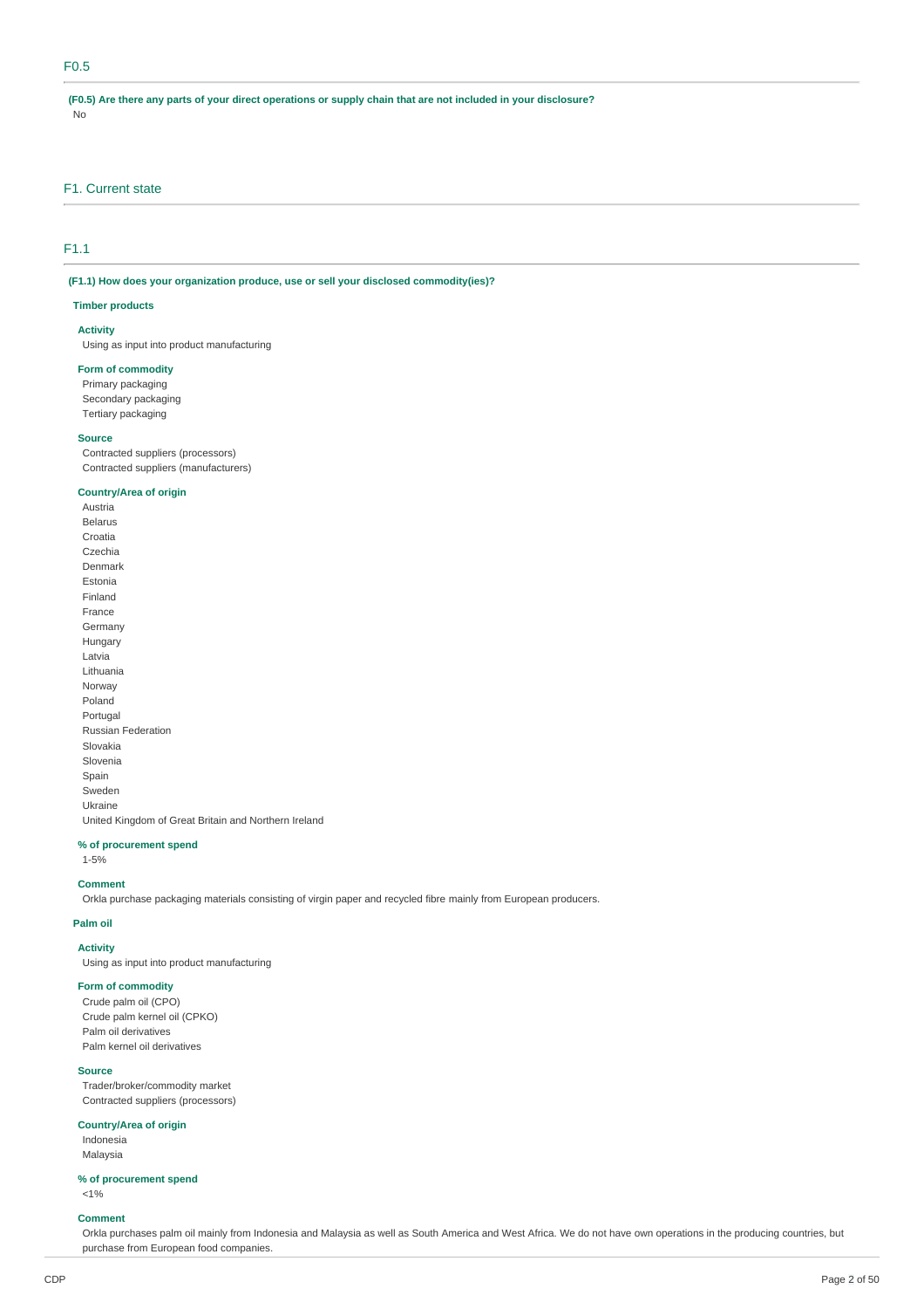### F0.5

(F0.5) Are there any parts of your direct operations or supply chain that are not included in your disclosure? No

### F1. Current state

### F1.1

**(F1.1) How does your organization produce, use or sell your disclosed commodity(ies)?**

#### **Timber products**

### **Activity**

Using as input into product manufacturing

#### **Form of commodity**

Primary packaging Secondary packaging Tertiary packaging

#### **Source**

Contracted suppliers (processors) Contracted suppliers (manufacturers)

#### **Country/Area of origin**

Austria Belarus Croatia Czechia Denmark Estonia Finland France Germany Hungary Latvia Lithuania Norway Poland Portugal Russian Federation Slovakia Slovenia Spain Sweden Ukraine United Kingdom of Great Britain and Northern Ireland

#### **% of procurement spend**

1-5%

#### **Comment**

Orkla purchase packaging materials consisting of virgin paper and recycled fibre mainly from European producers.

#### **Palm oil**

### **Activity**

Using as input into product manufacturing

### **Form of commodity**

Crude palm oil (CPO) Crude palm kernel oil (CPKO) Palm oil derivatives Palm kernel oil derivatives

#### **Source**

Trader/broker/commodity market Contracted suppliers (processors)

#### **Country/Area of origin**

Indonesia Malaysia

**% of procurement spend**  $< 1%$ 

### **Comment**

Orkla purchases palm oil mainly from Indonesia and Malaysia as well as South America and West Africa. We do not have own operations in the producing countries, but purchase from European food companies.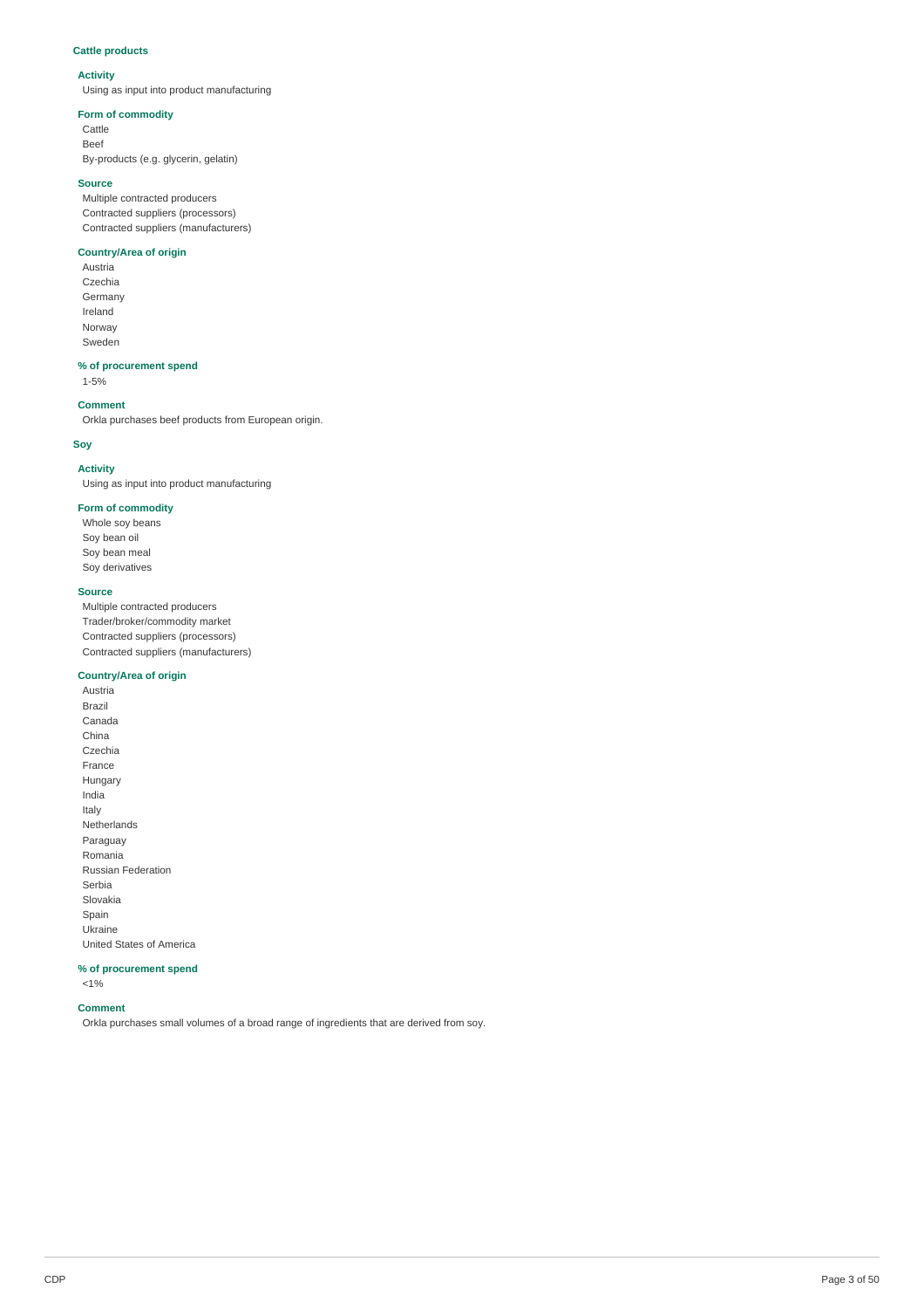### **Cattle products**

### **Activity**

Using as input into product manufacturing

#### **Form of commodity**

Cattle Beef By-products (e.g. glycerin, gelatin)

#### **Source**

Multiple contracted producers Contracted suppliers (processors) Contracted suppliers (manufacturers)

#### **Country/Area of origin**

Austria Czechia Germany Ireland Norway Sweden

### **% of procurement spend**

1-5%

### **Comment**

Orkla purchases beef products from European origin.

### **Soy**

### **Activity**

Using as input into product manufacturing

### **Form of commodity**

Whole soy beans Soy bean oil Soy bean meal Soy derivatives

#### **Source**

Multiple contracted producers Trader/broker/commodity market Contracted suppliers (processors) Contracted suppliers (manufacturers)

#### **Country/Area of origin**

Austria Brazil Canada China Czechia France Hungary India Italy Netherlands Paraguay Romania Russian Federation Serbia Slovakia Spain Ukraine United States of America

#### **% of procurement spend**

<1%

#### **Comment**

Orkla purchases small volumes of a broad range of ingredients that are derived from soy.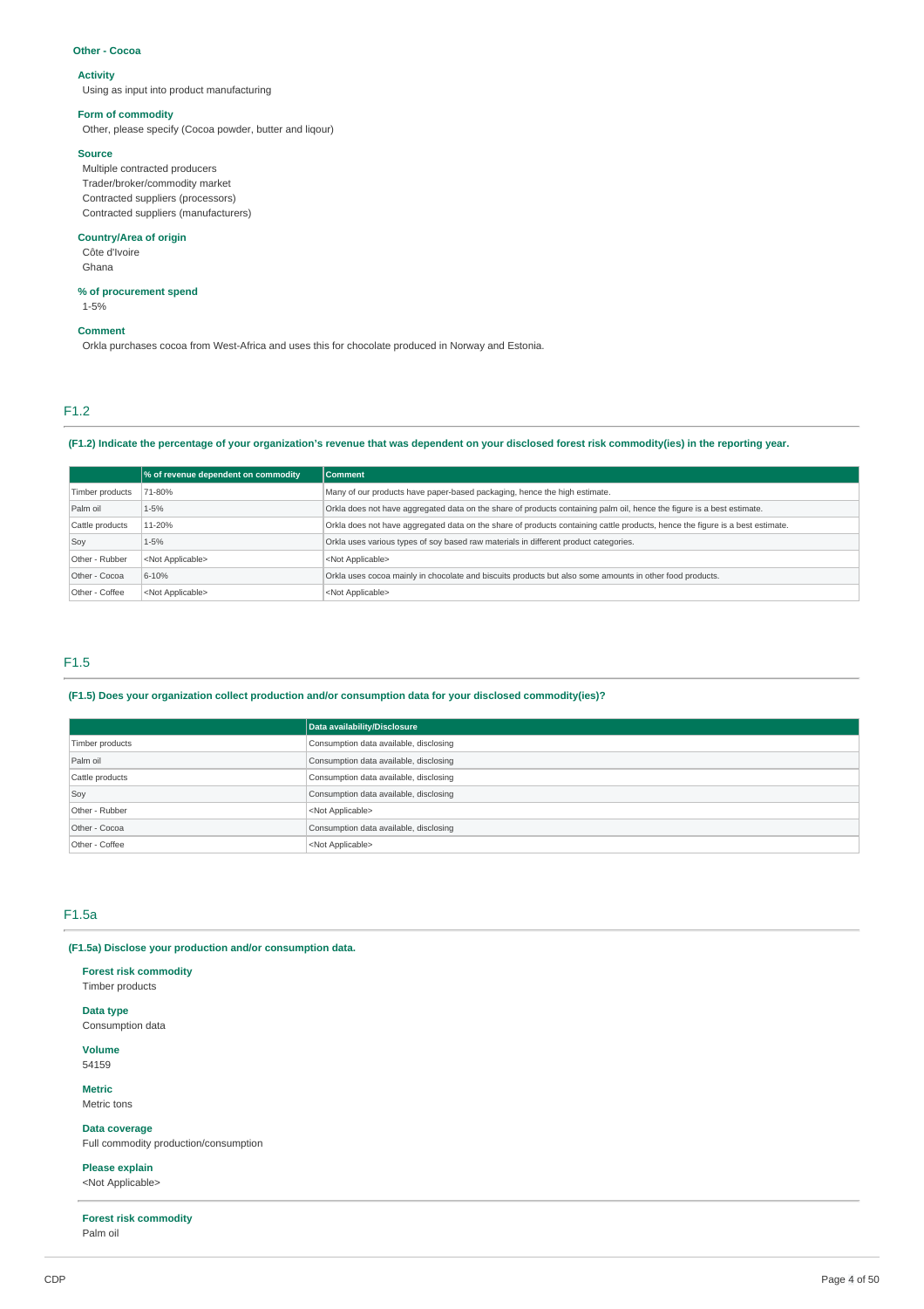#### **Other - Cocoa**

### **Activity**

Using as input into product manufacturing

#### **Form of commodity**

Other, please specify (Cocoa powder, butter and liqour)

#### **Source**

Multiple contracted producers Trader/broker/commodity market Contracted suppliers (processors) Contracted suppliers (manufacturers)

#### **Country/Area of origin**

Côte d'Ivoire Ghana

#### **% of procurement spend**

1-5%

#### **Comment**

Orkla purchases cocoa from West-Africa and uses this for chocolate produced in Norway and Estonia.

### F1.2

(F1.2) Indicate the percentage of your organization's revenue that was dependent on your disclosed forest risk commodity(ies) in the reporting year.

|                 | % of revenue dependent on commodity | <b>Comment</b>                                                                                                                |
|-----------------|-------------------------------------|-------------------------------------------------------------------------------------------------------------------------------|
| Timber products | 71-80%                              | Many of our products have paper-based packaging, hence the high estimate.                                                     |
| Palm oil        | 1-5%                                | Orkla does not have aggregated data on the share of products containing palm oil, hence the figure is a best estimate.        |
| Cattle products | 11-20%                              | Orkla does not have aggregated data on the share of products containing cattle products, hence the figure is a best estimate. |
| Soy             | 1-5%                                | Orkla uses various types of soy based raw materials in different product categories.                                          |
| Other - Rubber  | <not applicable=""></not>           | <not applicable=""></not>                                                                                                     |
| Other - Cocoa   | 6-10%                               | Orkla uses cocoa mainly in chocolate and biscuits products but also some amounts in other food products.                      |
| Other - Coffee  | <not applicable=""></not>           | <not applicable=""></not>                                                                                                     |

#### F1.5

### **(F1.5) Does your organization collect production and/or consumption data for your disclosed commodity(ies)?**

|                 | Data availability/Disclosure           |
|-----------------|----------------------------------------|
| Timber products | Consumption data available, disclosing |
| Palm oil        | Consumption data available, disclosing |
| Cattle products | Consumption data available, disclosing |
| Soy             | Consumption data available, disclosing |
| Other - Rubber  | <not applicable=""></not>              |
| Other - Cocoa   | Consumption data available, disclosing |
| Other - Coffee  | <not applicable=""></not>              |

## F1.5a

**(F1.5a) Disclose your production and/or consumption data.**

#### **Forest risk commodity**

Timber products

### **Data type**

Consumption data

**Volume** 54159

**Metric** Metric tons

**Data coverage**

Full commodity production/consumption

**Please explain**

<Not Applicable>

**Forest risk commodity** Palm oil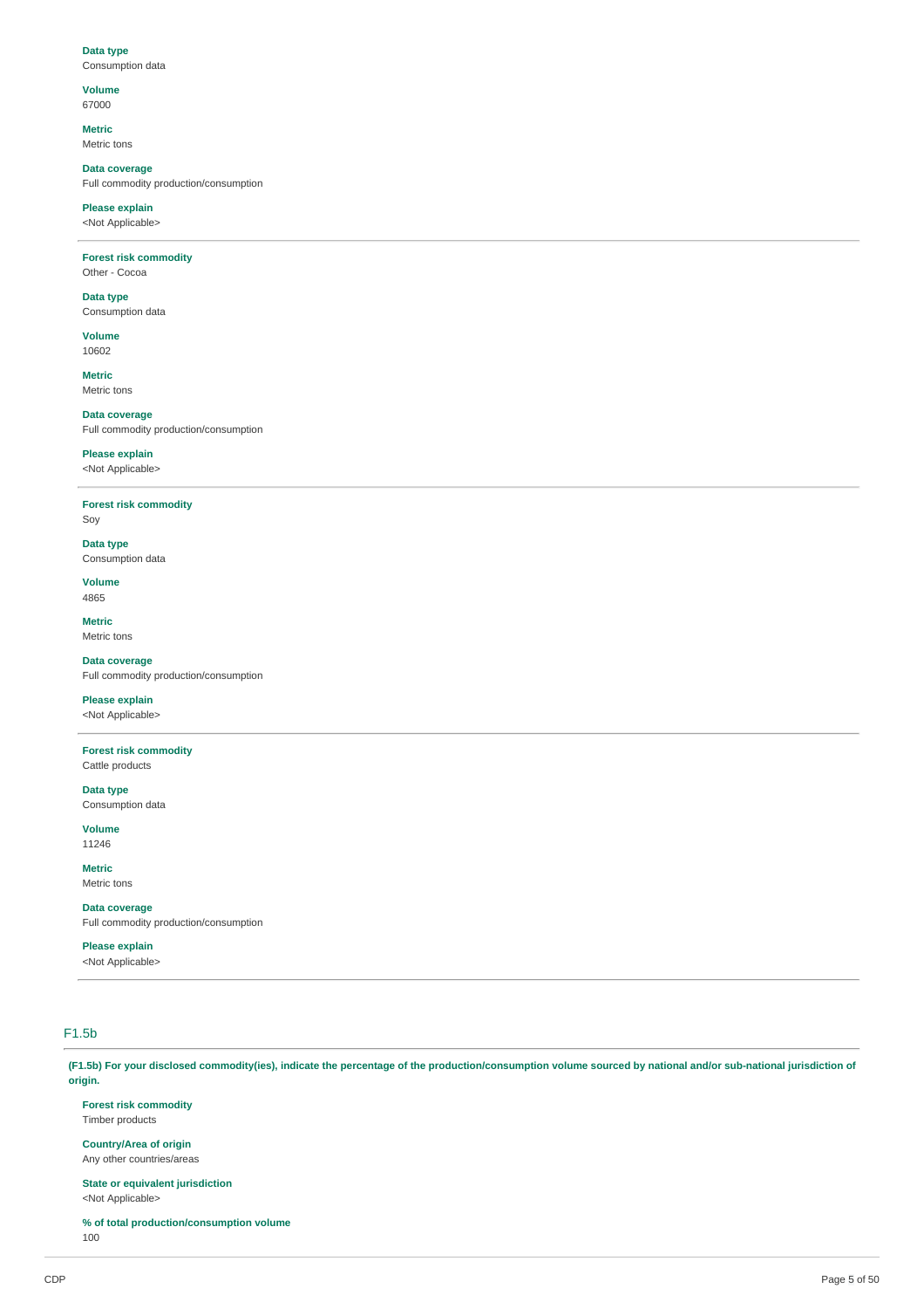#### **Data type** Consumption data

**Volume** 67000

**Metric**

Metric tons

**Data coverage** Full commodity production/consumption

**Please explain** <Not Applicable>

#### **Forest risk commodity** Other - Cocoa

## **Data type**

Consumption data

**Volume** 10602

**Metric** Metric tons

**Data coverage**

# Full commodity production/consumption

**Please explain** <Not Applicable>

**Forest risk commodity** Soy

**Data type** Consumption data

**Volume** 4865

**Metric** Metric tons

**Data coverage** Full commodity production/consumption

**Please explain**

<Not Applicable>

**Forest risk commodity**

Cattle products **Data type**

Consumption data

**Volume** 11246

**Metric** Metric tons

**Data coverage** Full commodity production/consumption

### **Please explain**

<Not Applicable>

## F1.5b

(F1.5b) For your disclosed commodity(ies), indicate the percentage of the production/consumption volume sourced by national and/or sub-national jurisdiction of **origin.**

**Forest risk commodity**

Timber products

**Country/Area of origin** Any other countries/areas

**State or equivalent jurisdiction** <Not Applicable>

**% of total production/consumption volume** 100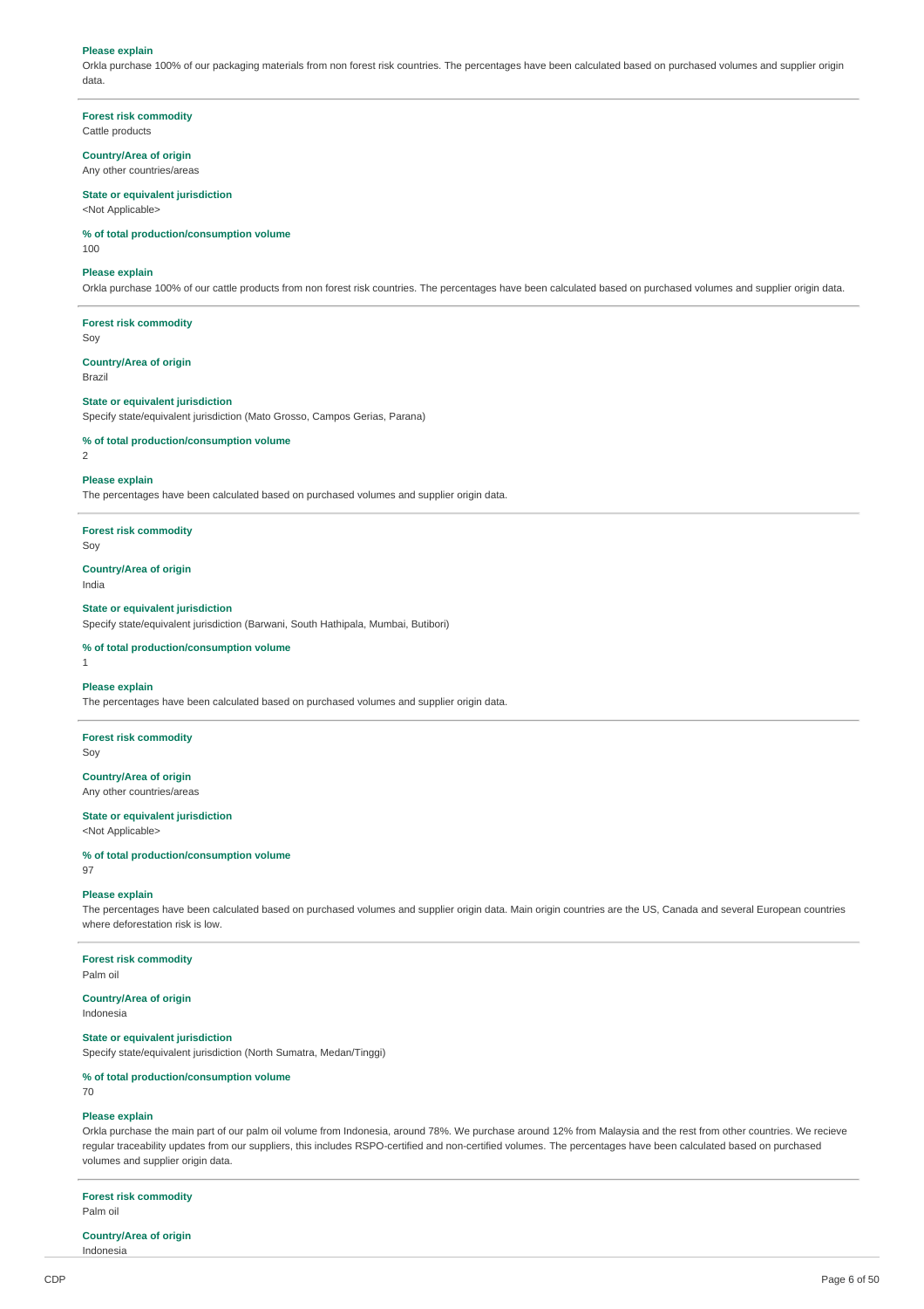#### **Please explain**

Orkla purchase 100% of our packaging materials from non forest risk countries. The percentages have been calculated based on purchased volumes and supplier origin data.

**Forest risk commodity** Cattle products

### **Country/Area of origin**

Any other countries/areas

### **State or equivalent jurisdiction**

<Not Applicable>

#### **% of total production/consumption volume**

100

#### **Please explain**

Orkla purchase 100% of our cattle products from non forest risk countries. The percentages have been calculated based on purchased volumes and supplier origin data.

**Forest risk commodity** Soy

**Country/Area of origin** Brazil

#### **State or equivalent jurisdiction**

Specify state/equivalent jurisdiction (Mato Grosso, Campos Gerias, Parana)

### **% of total production/consumption volume**

 $\overline{2}$ 

#### **Please explain**

The percentages have been calculated based on purchased volumes and supplier origin data.

**Forest risk commodity**

Soy

#### **Country/Area of origin** India

**State or equivalent jurisdiction**

Specify state/equivalent jurisdiction (Barwani, South Hathipala, Mumbai, Butibori)

#### **% of total production/consumption volume**

1

#### **Please explain**

The percentages have been calculated based on purchased volumes and supplier origin data.

### **Forest risk commodity**

Soy

97

#### **Country/Area of origin** Any other countries/areas

### **State or equivalent jurisdiction** <Not Applicable>

**% of total production/consumption volume**

# **Please explain**

The percentages have been calculated based on purchased volumes and supplier origin data. Main origin countries are the US, Canada and several European countries where deforestation risk is low.

### **Forest risk commodity**

Palm oil

## **Country/Area of origin**

Indonesia

### **State or equivalent jurisdiction**

Specify state/equivalent jurisdiction (North Sumatra, Medan/Tinggi)

### **% of total production/consumption volume**

70

#### **Please explain**

Orkla purchase the main part of our palm oil volume from Indonesia, around 78%. We purchase around 12% from Malaysia and the rest from other countries. We recieve regular traceability updates from our suppliers, this includes RSPO-certified and non-certified volumes. The percentages have been calculated based on purchased volumes and supplier origin data.

**Forest risk commodity** Palm oil

#### **Country/Area of origin** Indonesia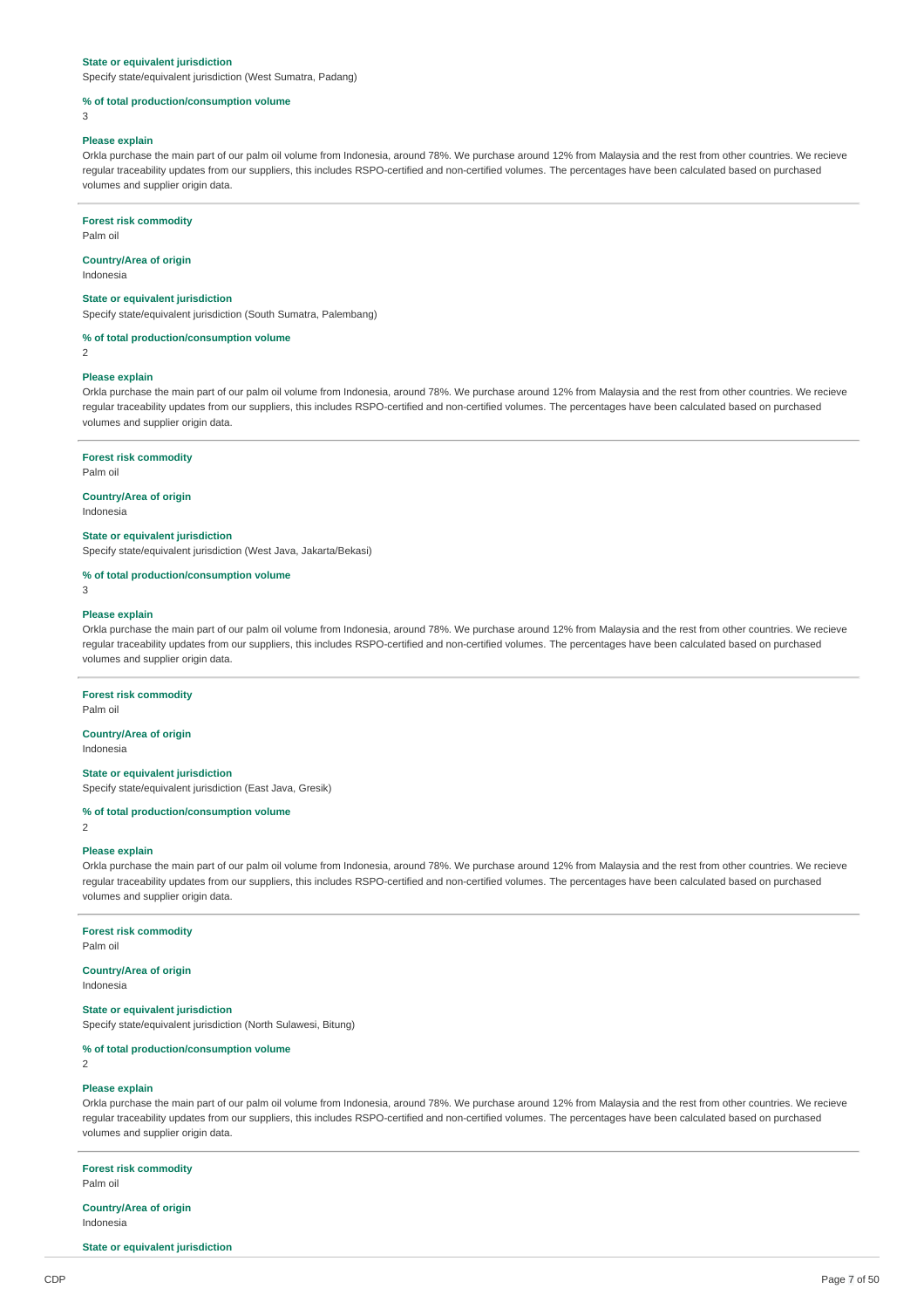#### **State or equivalent jurisdiction**

Specify state/equivalent jurisdiction (West Sumatra, Padang)

#### **% of total production/consumption volume**

3

#### **Please explain**

Orkla purchase the main part of our palm oil volume from Indonesia, around 78%. We purchase around 12% from Malaysia and the rest from other countries. We recieve regular traceability updates from our suppliers, this includes RSPO-certified and non-certified volumes. The percentages have been calculated based on purchased volumes and supplier origin data.

#### **Forest risk commodity**

Palm oil

### **Country/Area of origin**

Indonesia

#### **State or equivalent jurisdiction**

Specify state/equivalent jurisdiction (South Sumatra, Palembang)

#### **% of total production/consumption volume**

2

#### **Please explain**

Orkla purchase the main part of our palm oil volume from Indonesia, around 78%. We purchase around 12% from Malaysia and the rest from other countries. We recieve regular traceability updates from our suppliers, this includes RSPO-certified and non-certified volumes. The percentages have been calculated based on purchased volumes and supplier origin data.

#### **Forest risk commodity**

Palm oil

### **Country/Area of origin**

Indonesia

### **State or equivalent jurisdiction**

Specify state/equivalent jurisdiction (West Java, Jakarta/Bekasi)

#### **% of total production/consumption volume**

3

#### **Please explain**

Orkla purchase the main part of our palm oil volume from Indonesia, around 78%. We purchase around 12% from Malaysia and the rest from other countries. We recieve regular traceability updates from our suppliers, this includes RSPO-certified and non-certified volumes. The percentages have been calculated based on purchased volumes and supplier origin data.

#### **Forest risk commodity**

Palm oil

#### **Country/Area of origin** Indonesia

**State or equivalent jurisdiction**

#### Specify state/equivalent jurisdiction (East Java, Gresik)

### **% of total production/consumption volume**

2

### **Please explain**

Orkla purchase the main part of our palm oil volume from Indonesia, around 78%. We purchase around 12% from Malaysia and the rest from other countries. We recieve regular traceability updates from our suppliers, this includes RSPO-certified and non-certified volumes. The percentages have been calculated based on purchased volumes and supplier origin data.

### **Forest risk commodity**

Palm oil

# **Country/Area of origin**

Indonesia

### **State or equivalent jurisdiction**

Specify state/equivalent jurisdiction (North Sulawesi, Bitung)

### **% of total production/consumption volume**

2

### **Please explain**

Orkla purchase the main part of our palm oil volume from Indonesia, around 78%. We purchase around 12% from Malaysia and the rest from other countries. We recieve regular traceability updates from our suppliers, this includes RSPO-certified and non-certified volumes. The percentages have been calculated based on purchased volumes and supplier origin data.

### **Forest risk commodity**

Palm oil

#### **Country/Area of origin** Indonesia

**State or equivalent jurisdiction**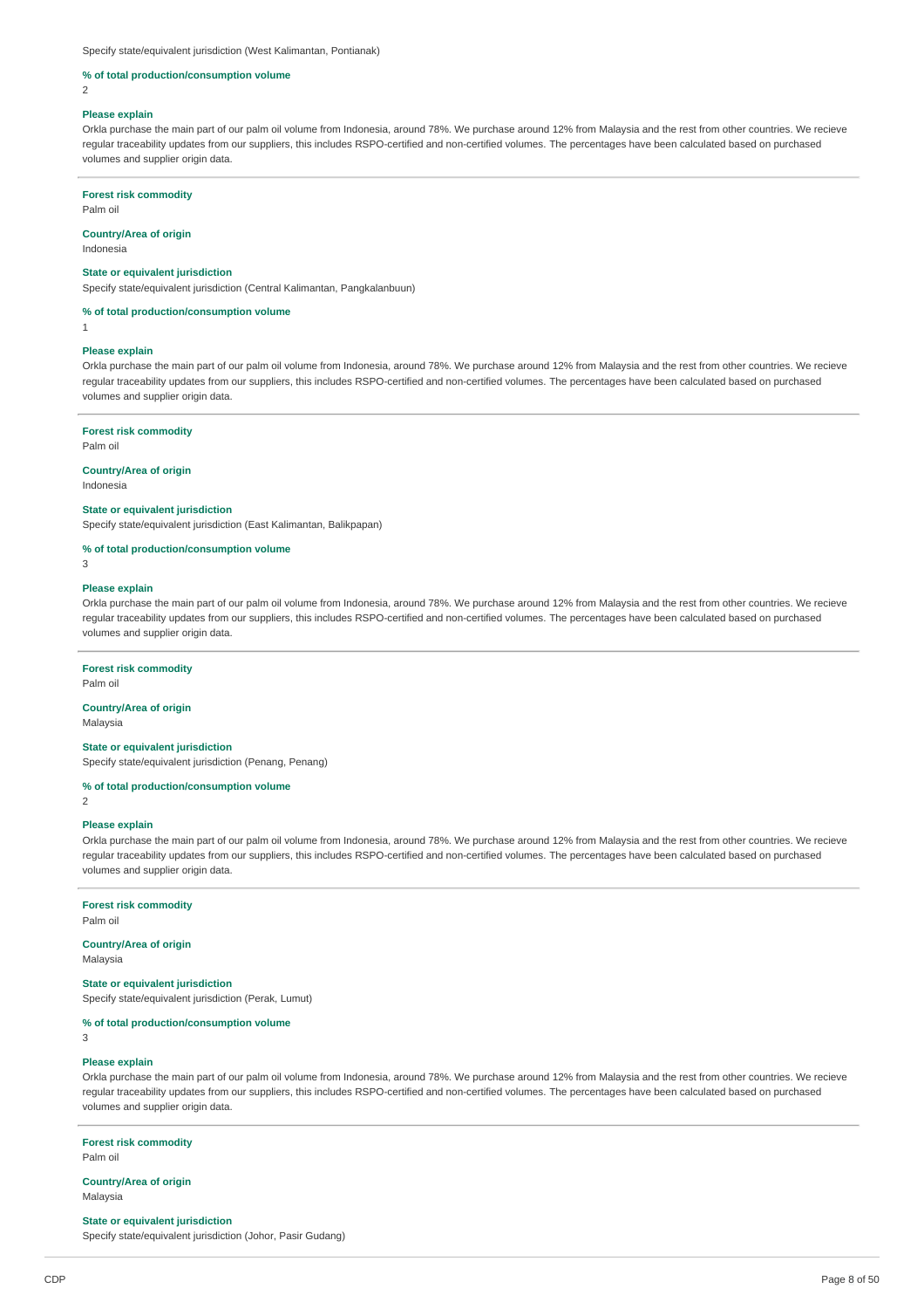Specify state/equivalent jurisdiction (West Kalimantan, Pontianak)

#### **% of total production/consumption volume**

 $\overline{2}$ 

#### **Please explain**

Orkla purchase the main part of our palm oil volume from Indonesia, around 78%. We purchase around 12% from Malaysia and the rest from other countries. We recieve regular traceability updates from our suppliers, this includes RSPO-certified and non-certified volumes. The percentages have been calculated based on purchased volumes and supplier origin data.

#### **Forest risk commodity**

Palm oil

#### **Country/Area of origin**

Indonesia

#### **State or equivalent jurisdiction**

Specify state/equivalent jurisdiction (Central Kalimantan, Pangkalanbuun)

**% of total production/consumption volume**

1

### **Please explain**

Orkla purchase the main part of our palm oil volume from Indonesia, around 78%. We purchase around 12% from Malaysia and the rest from other countries. We recieve regular traceability updates from our suppliers, this includes RSPO-certified and non-certified volumes. The percentages have been calculated based on purchased volumes and supplier origin data.

### **Forest risk commodity**

Palm oil

#### **Country/Area of origin**

Indonesia

#### **State or equivalent jurisdiction**

Specify state/equivalent jurisdiction (East Kalimantan, Balikpapan)

#### **% of total production/consumption volume**

3

#### **Please explain**

Orkla purchase the main part of our palm oil volume from Indonesia, around 78%. We purchase around 12% from Malaysia and the rest from other countries. We recieve regular traceability updates from our suppliers, this includes RSPO-certified and non-certified volumes. The percentages have been calculated based on purchased volumes and supplier origin data.

#### **Forest risk commodity**

Palm oil

#### **Country/Area of origin** Malaysia

### **State or equivalent jurisdiction**

Specify state/equivalent jurisdiction (Penang, Penang)

#### **% of total production/consumption volume**

 $\overline{2}$ 

#### **Please explain**

Orkla purchase the main part of our palm oil volume from Indonesia, around 78%. We purchase around 12% from Malaysia and the rest from other countries. We recieve regular traceability updates from our suppliers, this includes RSPO-certified and non-certified volumes. The percentages have been calculated based on purchased volumes and supplier origin data.

### **Forest risk commodity**

Palm oil

### **Country/Area of origin**

Malaysia

### **State or equivalent jurisdiction**

Specify state/equivalent jurisdiction (Perak, Lumut)

### **% of total production/consumption volume**

3

#### **Please explain**

Orkla purchase the main part of our palm oil volume from Indonesia, around 78%. We purchase around 12% from Malaysia and the rest from other countries. We recieve regular traceability updates from our suppliers, this includes RSPO-certified and non-certified volumes. The percentages have been calculated based on purchased volumes and supplier origin data.

**Forest risk commodity** Palm oil

**Country/Area of origin** Malaysia

#### **State or equivalent jurisdiction**

Specify state/equivalent jurisdiction (Johor, Pasir Gudang)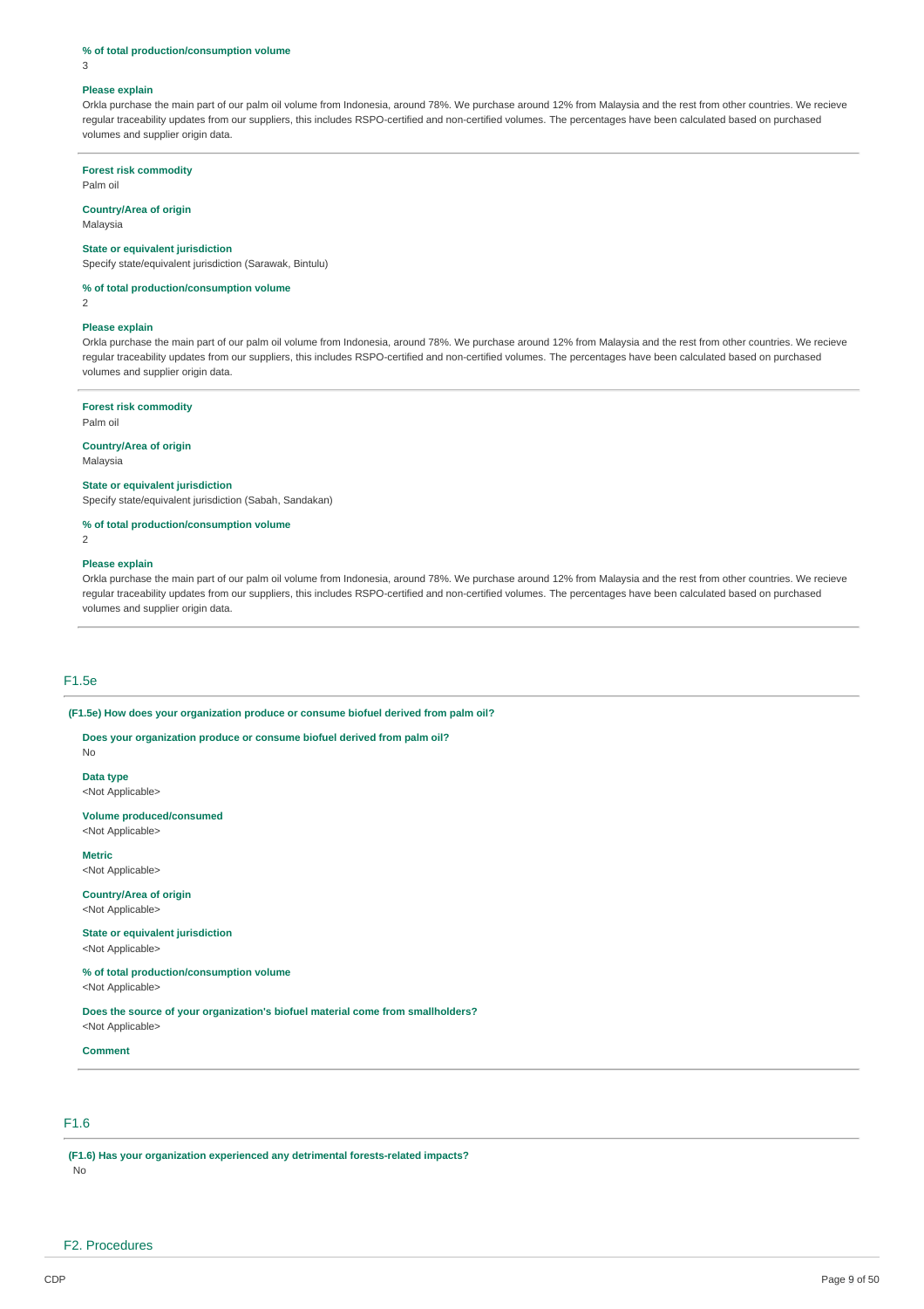#### **% of total production/consumption volume**

3

#### **Please explain**

Orkla purchase the main part of our palm oil volume from Indonesia, around 78%. We purchase around 12% from Malaysia and the rest from other countries. We recieve regular traceability updates from our suppliers, this includes RSPO-certified and non-certified volumes. The percentages have been calculated based on purchased volumes and supplier origin data.

#### **Forest risk commodity**

Palm oil

#### **Country/Area of origin**

Malaysia

#### **State or equivalent jurisdiction**

Specify state/equivalent jurisdiction (Sarawak, Bintulu)

### **% of total production/consumption volume**

 $\overline{2}$ 

#### **Please explain**

Orkla purchase the main part of our palm oil volume from Indonesia, around 78%. We purchase around 12% from Malaysia and the rest from other countries. We recieve regular traceability updates from our suppliers, this includes RSPO-certified and non-certified volumes. The percentages have been calculated based on purchased volumes and supplier origin data.

#### **Forest risk commodity**

Palm oil

#### **Country/Area of origin**

Malaysia

### **State or equivalent jurisdiction**

Specify state/equivalent jurisdiction (Sabah, Sandakan)

**% of total production/consumption volume**

 $\overline{2}$ 

#### **Please explain**

Orkla purchase the main part of our palm oil volume from Indonesia, around 78%. We purchase around 12% from Malaysia and the rest from other countries. We recieve regular traceability updates from our suppliers, this includes RSPO-certified and non-certified volumes. The percentages have been calculated based on purchased volumes and supplier origin data.

#### F1.5e

No

**(F1.5e) How does your organization produce or consume biofuel derived from palm oil?**

**Does your organization produce or consume biofuel derived from palm oil?**

**Data type** <Not Applicable>

**Volume produced/consumed** <Not Applicable>

**Metric** <Not Applicable>

**Country/Area of origin** <Not Applicable>

**State or equivalent jurisdiction** <Not Applicable>

**% of total production/consumption volume** <Not Applicable>

**Does the source of your organization's biofuel material come from smallholders?** <Not Applicable>

#### **Comment**

### F1.6

**(F1.6) Has your organization experienced any detrimental forests-related impacts?** No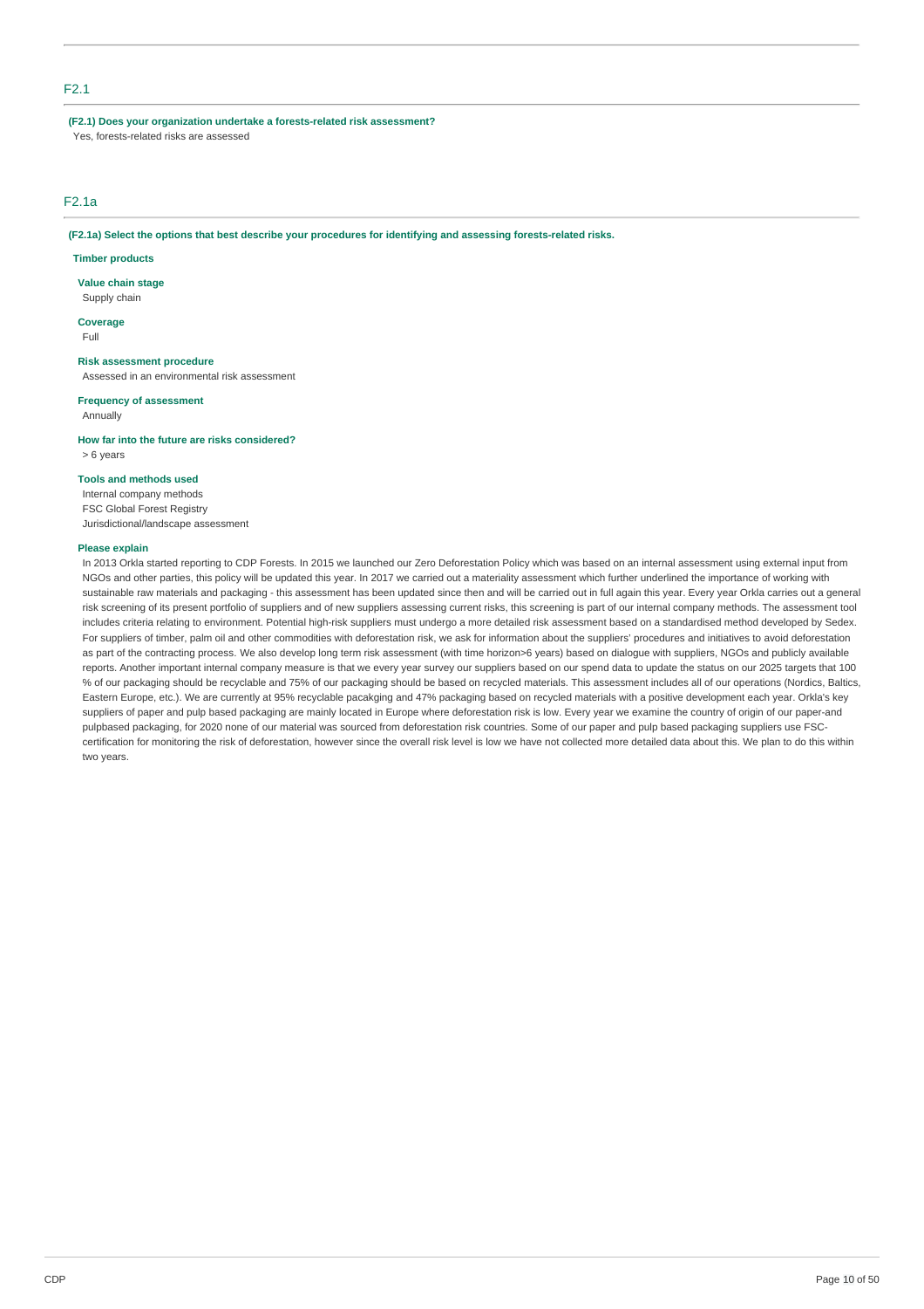### F2.1

**(F2.1) Does your organization undertake a forests-related risk assessment?**

Yes, forests-related risks are assessed

### F2.1a

**(F2.1a) Select the options that best describe your procedures for identifying and assessing forests-related risks.**

### **Timber products**

**Value chain stage**

Supply chain

**Coverage** Full

#### **Risk assessment procedure**

Assessed in an environmental risk assessment

### **Frequency of assessment**

Annually

**How far into the future are risks considered?** > 6 years

#### **Tools and methods used**

Internal company methods FSC Global Forest Registry Jurisdictional/landscape assessment

#### **Please explain**

In 2013 Orkla started reporting to CDP Forests. In 2015 we launched our Zero Deforestation Policy which was based on an internal assessment using external input from NGOs and other parties, this policy will be updated this year. In 2017 we carried out a materiality assessment which further underlined the importance of working with sustainable raw materials and packaging - this assessment has been updated since then and will be carried out in full again this year. Every year Orkla carries out a general risk screening of its present portfolio of suppliers and of new suppliers assessing current risks, this screening is part of our internal company methods. The assessment tool includes criteria relating to environment. Potential high-risk suppliers must undergo a more detailed risk assessment based on a standardised method developed by Sedex. For suppliers of timber, palm oil and other commodities with deforestation risk, we ask for information about the suppliers' procedures and initiatives to avoid deforestation as part of the contracting process. We also develop long term risk assessment (with time horizon>6 years) based on dialogue with suppliers, NGOs and publicly available reports. Another important internal company measure is that we every year survey our suppliers based on our spend data to update the status on our 2025 targets that 100 % of our packaging should be recyclable and 75% of our packaging should be based on recycled materials. This assessment includes all of our operations (Nordics, Baltics, Eastern Europe, etc.). We are currently at 95% recyclable pacakging and 47% packaging based on recycled materials with a positive development each year. Orkla's key suppliers of paper and pulp based packaging are mainly located in Europe where deforestation risk is low. Every year we examine the country of origin of our paper-and pulpbased packaging, for 2020 none of our material was sourced from deforestation risk countries. Some of our paper and pulp based packaging suppliers use FSCcertification for monitoring the risk of deforestation, however since the overall risk level is low we have not collected more detailed data about this. We plan to do this within two years.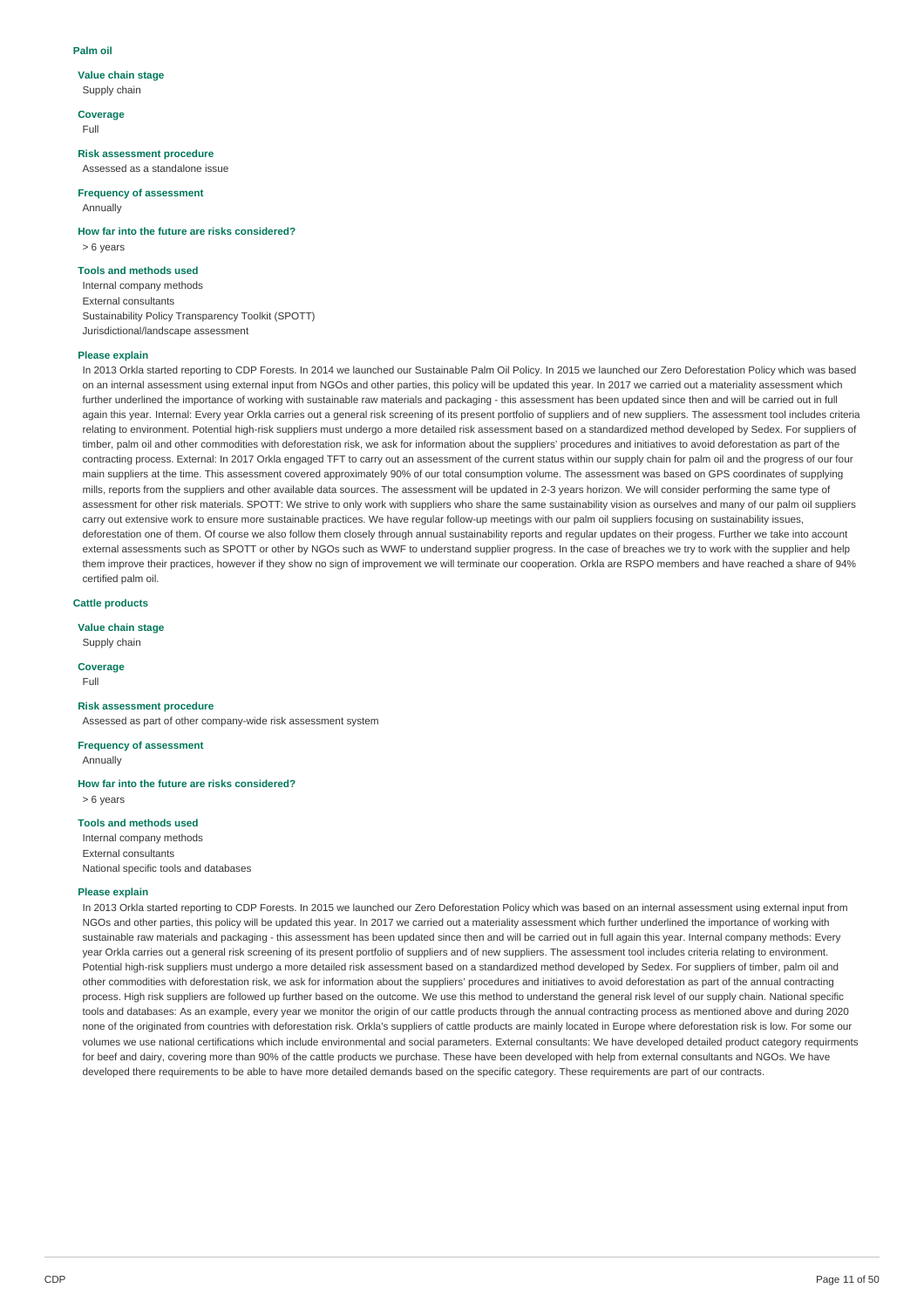#### **Palm oil**

### **Value chain stage**

Supply chain

**Coverage** Full

#### **Risk assessment procedure**

Assessed as a standalone issue

### **Frequency of assessment**

Annually

**How far into the future are risks considered?** > 6 years

### **Tools and methods used**

Internal company methods External consultants Sustainability Policy Transparency Toolkit (SPOTT) Jurisdictional/landscape assessment

#### **Please explain**

In 2013 Orkla started reporting to CDP Forests. In 2014 we launched our Sustainable Palm Oil Policy. In 2015 we launched our Zero Deforestation Policy which was based on an internal assessment using external input from NGOs and other parties, this policy will be updated this year. In 2017 we carried out a materiality assessment which further underlined the importance of working with sustainable raw materials and packaging - this assessment has been updated since then and will be carried out in full again this year. Internal: Every year Orkla carries out a general risk screening of its present portfolio of suppliers and of new suppliers. The assessment tool includes criteria relating to environment. Potential high-risk suppliers must undergo a more detailed risk assessment based on a standardized method developed by Sedex. For suppliers of timber, palm oil and other commodities with deforestation risk, we ask for information about the suppliers' procedures and initiatives to avoid deforestation as part of the contracting process. External: In 2017 Orkla engaged TFT to carry out an assessment of the current status within our supply chain for palm oil and the progress of our four main suppliers at the time. This assessment covered approximately 90% of our total consumption volume. The assessment was based on GPS coordinates of supplying mills, reports from the suppliers and other available data sources. The assessment will be updated in 2-3 years horizon. We will consider performing the same type of assessment for other risk materials. SPOTT: We strive to only work with suppliers who share the same sustainability vision as ourselves and many of our palm oil suppliers carry out extensive work to ensure more sustainable practices. We have regular follow-up meetings with our palm oil suppliers focusing on sustainability issues, deforestation one of them. Of course we also follow them closely through annual sustainability reports and regular updates on their progess. Further we take into account external assessments such as SPOTT or other by NGOs such as WWF to understand supplier progress. In the case of breaches we try to work with the supplier and help them improve their practices, however if they show no sign of improvement we will terminate our cooperation. Orkla are RSPO members and have reached a share of 94% certified palm oil.

### **Cattle products**

**Value chain stage**

### Supply chain

**Coverage**

# Full

**Risk assessment procedure**

Assessed as part of other company-wide risk assessment system

**Frequency of assessment** Annually

**How far into the future are risks considered?**

> 6 years

### **Tools and methods used**

Internal company methods External consultants National specific tools and databases

#### **Please explain**

In 2013 Orkla started reporting to CDP Forests. In 2015 we launched our Zero Deforestation Policy which was based on an internal assessment using external input from NGOs and other parties, this policy will be updated this year. In 2017 we carried out a materiality assessment which further underlined the importance of working with sustainable raw materials and packaging - this assessment has been updated since then and will be carried out in full again this year. Internal company methods: Every year Orkla carries out a general risk screening of its present portfolio of suppliers and of new suppliers. The assessment tool includes criteria relating to environment. Potential high-risk suppliers must undergo a more detailed risk assessment based on a standardized method developed by Sedex. For suppliers of timber, palm oil and other commodities with deforestation risk, we ask for information about the suppliers' procedures and initiatives to avoid deforestation as part of the annual contracting process. High risk suppliers are followed up further based on the outcome. We use this method to understand the general risk level of our supply chain. National specific tools and databases: As an example, every year we monitor the origin of our cattle products through the annual contracting process as mentioned above and during 2020 none of the originated from countries with deforestation risk. Orkla's suppliers of cattle products are mainly located in Europe where deforestation risk is low. For some our volumes we use national certifications which include environmental and social parameters. External consultants: We have developed detailed product category requirments for beef and dairy, covering more than 90% of the cattle products we purchase. These have been developed with help from external consultants and NGOs. We have developed there requirements to be able to have more detailed demands based on the specific category. These requirements are part of our contracts.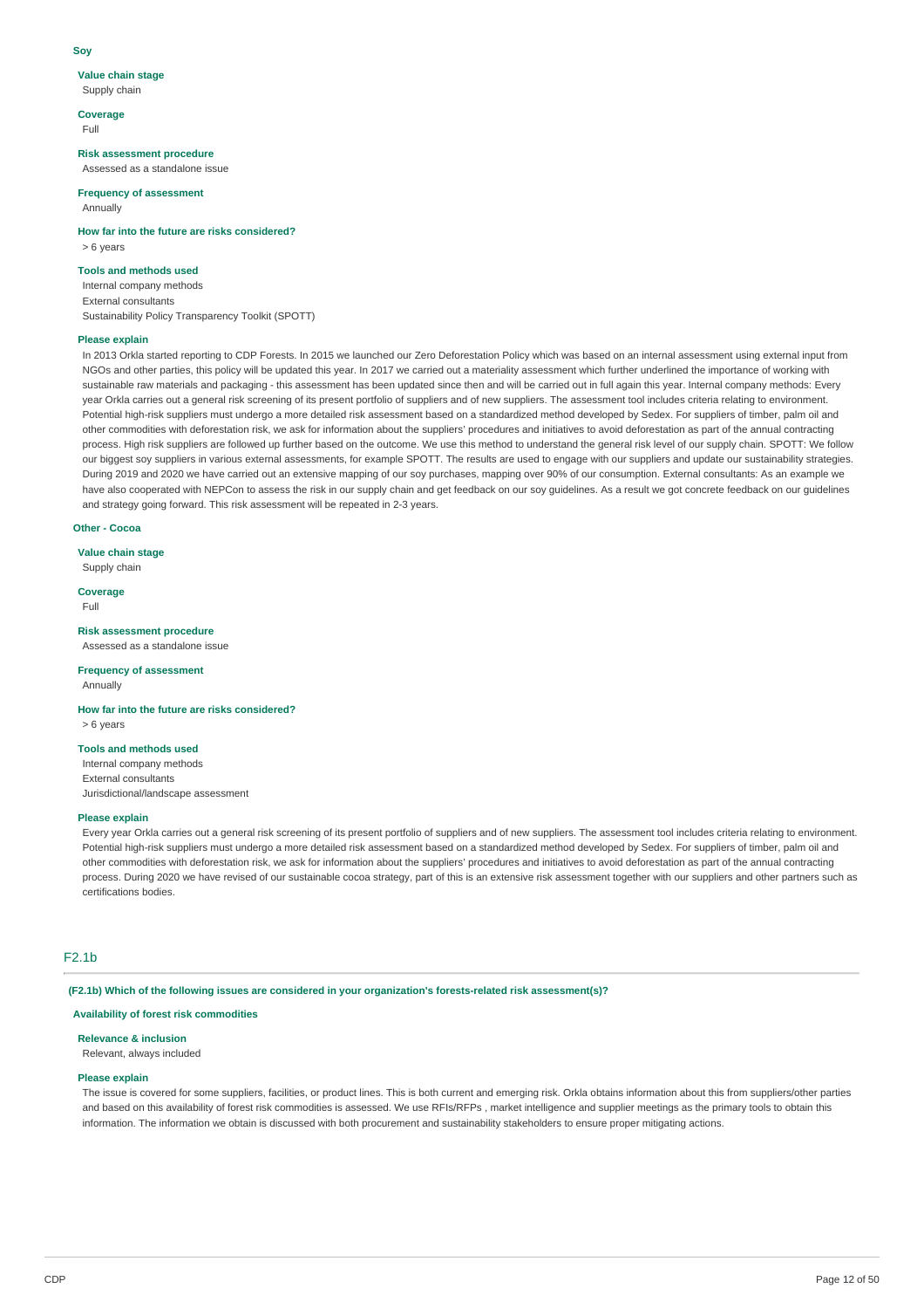#### **Soy**

### **Value chain stage**

Supply chain

**Coverage** Full

#### **Risk assessment procedure**

Assessed as a standalone issue

### **Frequency of assessment**

Annually

**How far into the future are risks considered?** > 6 years

### **Tools and methods used**

Internal company methods External consultants Sustainability Policy Transparency Toolkit (SPOTT)

#### **Please explain**

In 2013 Orkla started reporting to CDP Forests. In 2015 we launched our Zero Deforestation Policy which was based on an internal assessment using external input from NGOs and other parties, this policy will be updated this year. In 2017 we carried out a materiality assessment which further underlined the importance of working with sustainable raw materials and packaging - this assessment has been updated since then and will be carried out in full again this year. Internal company methods: Every year Orkla carries out a general risk screening of its present portfolio of suppliers and of new suppliers. The assessment tool includes criteria relating to environment. Potential high-risk suppliers must undergo a more detailed risk assessment based on a standardized method developed by Sedex. For suppliers of timber, palm oil and other commodities with deforestation risk, we ask for information about the suppliers' procedures and initiatives to avoid deforestation as part of the annual contracting process. High risk suppliers are followed up further based on the outcome. We use this method to understand the general risk level of our supply chain. SPOTT: We follow our biggest soy suppliers in various external assessments, for example SPOTT. The results are used to engage with our suppliers and update our sustainability strategies. During 2019 and 2020 we have carried out an extensive mapping of our soy purchases, mapping over 90% of our consumption. External consultants: As an example we have also cooperated with NEPCon to assess the risk in our supply chain and get feedback on our soy guidelines. As a result we got concrete feedback on our guidelines and strategy going forward. This risk assessment will be repeated in 2-3 years.

#### **Other - Cocoa**

**Value chain stage** Supply chain

**Coverage**

Full

#### **Risk assessment procedure**

Assessed as a standalone issue

#### **Frequency of assessment**

Annually

**How far into the future are risks considered?**

# > 6 years

**Tools and methods used** Internal company methods External consultants Jurisdictional/landscape assessment

#### **Please explain**

Every year Orkla carries out a general risk screening of its present portfolio of suppliers and of new suppliers. The assessment tool includes criteria relating to environment. Potential high-risk suppliers must undergo a more detailed risk assessment based on a standardized method developed by Sedex. For suppliers of timber, palm oil and other commodities with deforestation risk, we ask for information about the suppliers' procedures and initiatives to avoid deforestation as part of the annual contracting process. During 2020 we have revised of our sustainable cocoa strategy, part of this is an extensive risk assessment together with our suppliers and other partners such as certifications bodies.

#### F2.1b

**(F2.1b) Which of the following issues are considered in your organization's forests-related risk assessment(s)?**

#### **Availability of forest risk commodities**

**Relevance & inclusion** Relevant, always included

### **Please explain**

The issue is covered for some suppliers, facilities, or product lines. This is both current and emerging risk. Orkla obtains information about this from suppliers/other parties and based on this availability of forest risk commodities is assessed. We use RFIs/RFPs, market intelligence and supplier meetings as the primary tools to obtain this information. The information we obtain is discussed with both procurement and sustainability stakeholders to ensure proper mitigating actions.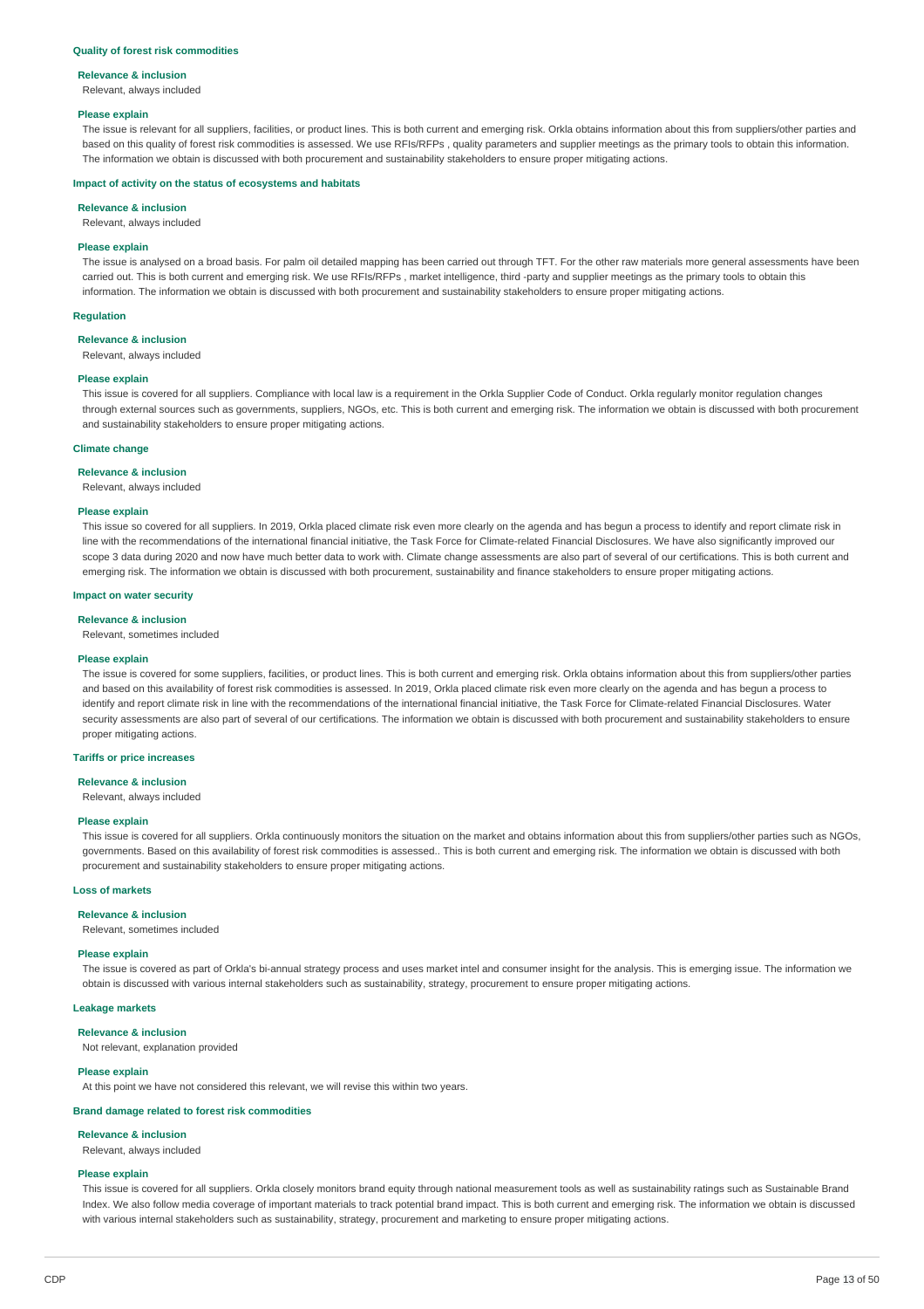#### **Quality of forest risk commodities**

#### **Relevance & inclusion**

Relevant, always included

#### **Please explain**

The issue is relevant for all suppliers, facilities, or product lines. This is both current and emerging risk. Orkla obtains information about this from suppliers/other parties and based on this quality of forest risk commodities is assessed. We use RFIs/RFPs , quality parameters and supplier meetings as the primary tools to obtain this information. The information we obtain is discussed with both procurement and sustainability stakeholders to ensure proper mitigating actions.

#### **Impact of activity on the status of ecosystems and habitats**

#### **Relevance & inclusion**

Relevant, always included

#### **Please explain**

The issue is analysed on a broad basis. For palm oil detailed mapping has been carried out through TFT. For the other raw materials more general assessments have been carried out. This is both current and emerging risk. We use RFIs/RFPs , market intelligence, third -party and supplier meetings as the primary tools to obtain this information. The information we obtain is discussed with both procurement and sustainability stakeholders to ensure proper mitigating actions.

#### **Regulation**

#### **Relevance & inclusion**

Relevant, always included

#### **Please explain**

This issue is covered for all suppliers. Compliance with local law is a requirement in the Orkla Supplier Code of Conduct. Orkla regularly monitor regulation changes through external sources such as governments, suppliers, NGOs, etc. This is both current and emerging risk. The information we obtain is discussed with both procurement and sustainability stakeholders to ensure proper mitigating actions.

#### **Climate change**

**Relevance & inclusion**

Relevant, always included

#### **Please explain**

This issue so covered for all suppliers. In 2019, Orkla placed climate risk even more clearly on the agenda and has begun a process to identify and report climate risk in line with the recommendations of the international financial initiative, the Task Force for Climate-related Financial Disclosures. We have also significantly improved our scope 3 data during 2020 and now have much better data to work with. Climate change assessments are also part of several of our certifications. This is both current and emerging risk. The information we obtain is discussed with both procurement, sustainability and finance stakeholders to ensure proper mitigating actions.

#### **Impact on water security**

#### **Relevance & inclusion**

Relevant, sometimes included

#### **Please explain**

The issue is covered for some suppliers, facilities, or product lines. This is both current and emerging risk. Orkla obtains information about this from suppliers/other parties and based on this availability of forest risk commodities is assessed. In 2019, Orkla placed climate risk even more clearly on the agenda and has begun a process to identify and report climate risk in line with the recommendations of the international financial initiative, the Task Force for Climate-related Financial Disclosures. Water security assessments are also part of several of our certifications. The information we obtain is discussed with both procurement and sustainability stakeholders to ensure proper mitigating actions.

#### **Tariffs or price increases**

#### **Relevance & inclusion**

Relevant, always included

#### **Please explain**

This issue is covered for all suppliers. Orkla continuously monitors the situation on the market and obtains information about this from suppliers/other parties such as NGOs, governments. Based on this availability of forest risk commodities is assessed.. This is both current and emerging risk. The information we obtain is discussed with both procurement and sustainability stakeholders to ensure proper mitigating actions.

#### **Loss of markets**

#### **Relevance & inclusion**

Relevant, sometimes included

#### **Please explain**

The issue is covered as part of Orkla's bi-annual strategy process and uses market intel and consumer insight for the analysis. This is emerging issue. The information we obtain is discussed with various internal stakeholders such as sustainability, strategy, procurement to ensure proper mitigating actions.

#### **Leakage markets**

**Relevance & inclusion**

Not relevant, explanation provided

#### **Please explain**

At this point we have not considered this relevant, we will revise this within two years.

#### **Brand damage related to forest risk commodities**

#### **Relevance & inclusion**

Relevant, always included

#### **Please explain**

This issue is covered for all suppliers. Orkla closely monitors brand equity through national measurement tools as well as sustainability ratings such as Sustainable Brand Index. We also follow media coverage of important materials to track potential brand impact. This is both current and emerging risk. The information we obtain is discussed with various internal stakeholders such as sustainability, strategy, procurement and marketing to ensure proper mitigating actions.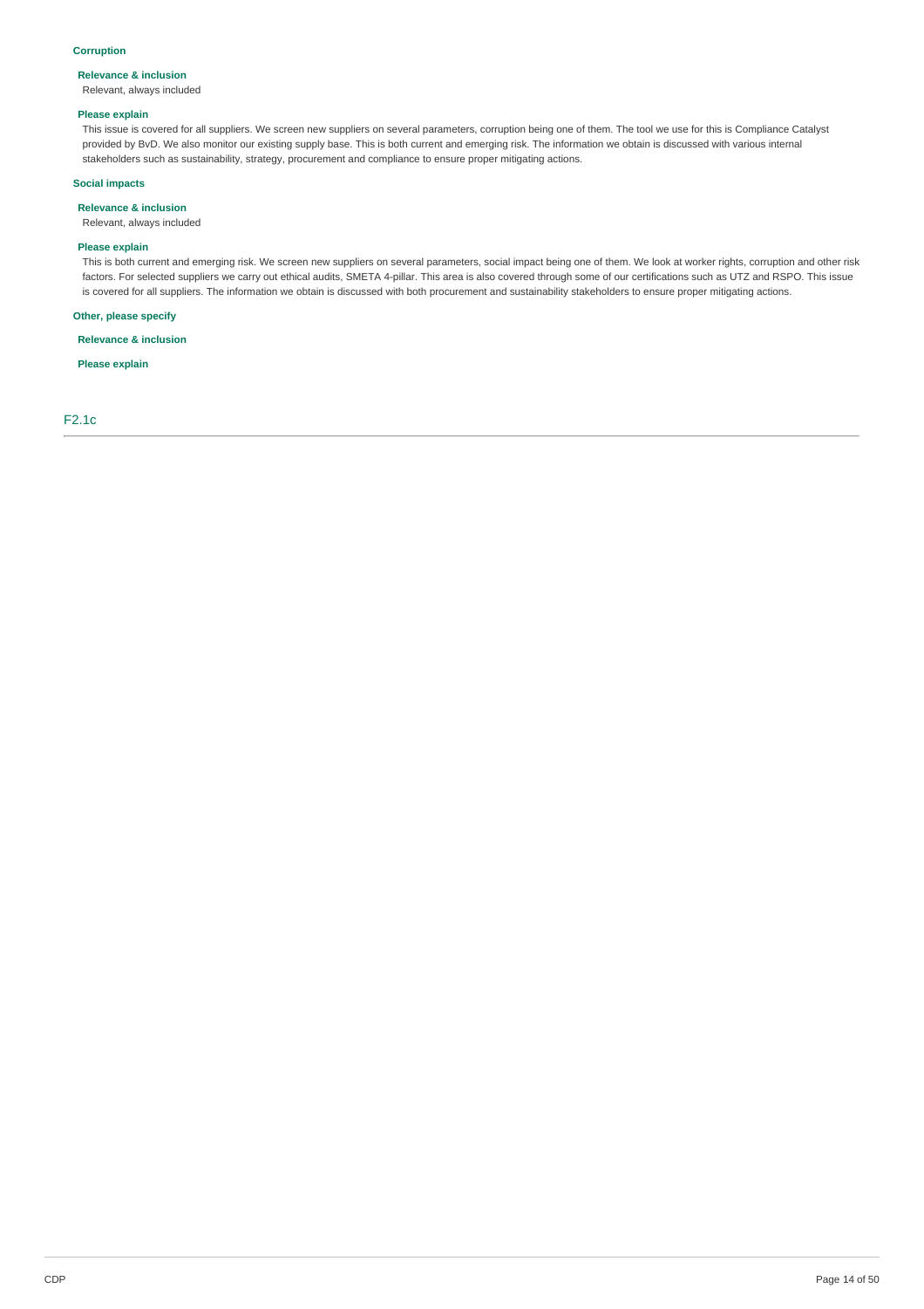#### **Corruption**

### **Relevance & inclusion**

Relevant, always included

#### **Please explain**

This issue is covered for all suppliers. We screen new suppliers on several parameters, corruption being one of them. The tool we use for this is Compliance Catalyst provided by BvD. We also monitor our existing supply base. This is both current and emerging risk. The information we obtain is discussed with various internal stakeholders such as sustainability, strategy, procurement and compliance to ensure proper mitigating actions.

#### **Social impacts**

### **Relevance & inclusion**

Relevant, always included

#### **Please explain**

This is both current and emerging risk. We screen new suppliers on several parameters, social impact being one of them. We look at worker rights, corruption and other risk factors. For selected suppliers we carry out ethical audits, SMETA 4-pillar. This area is also covered through some of our certifications such as UTZ and RSPO. This issue is covered for all suppliers. The information we obtain is discussed with both procurement and sustainability stakeholders to ensure proper mitigating actions.

#### **Other, please specify**

**Relevance & inclusion**

**Please explain**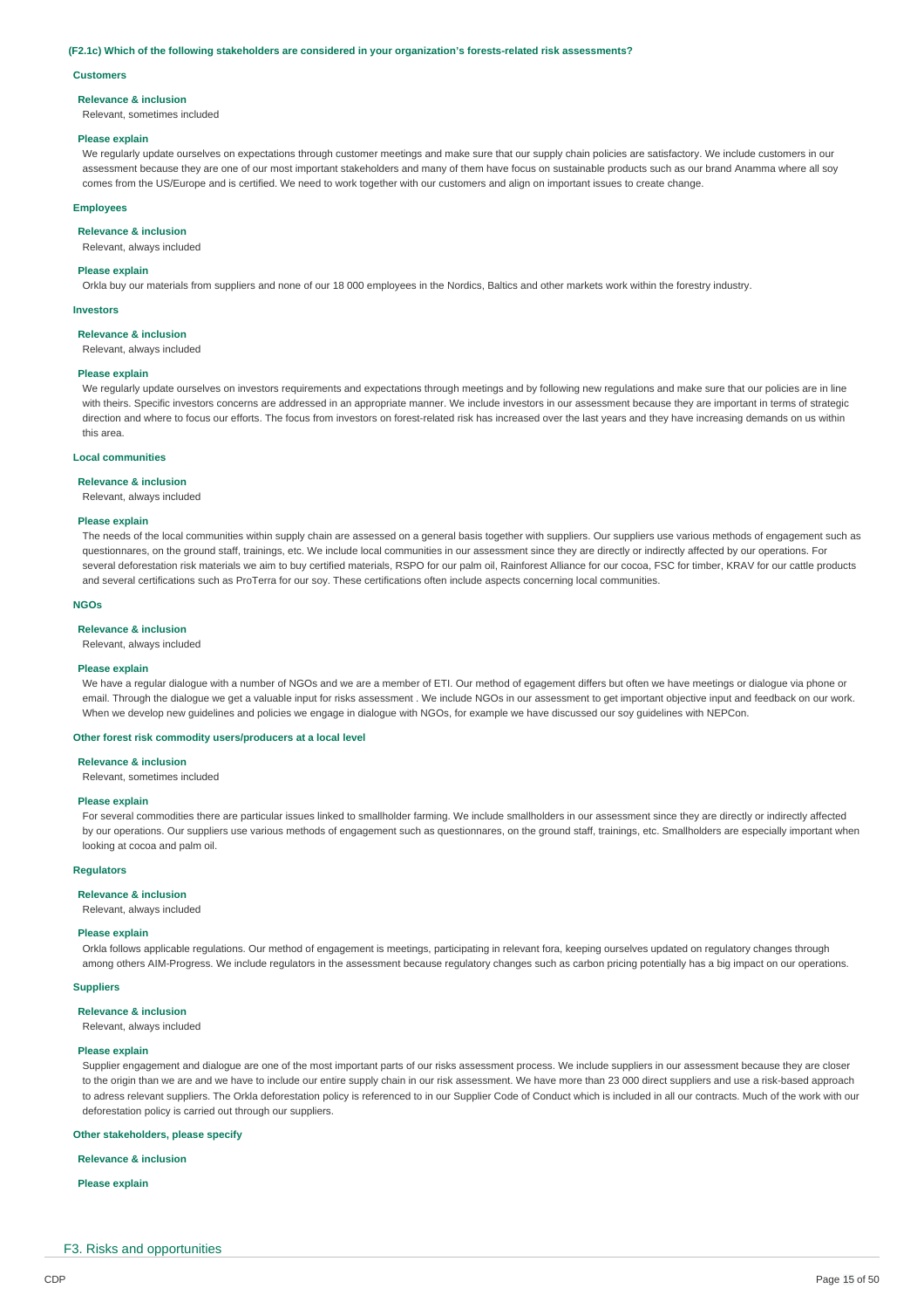#### **(F2.1c) Which of the following stakeholders are considered in your organization's forests-related risk assessments?**

#### **Customers**

#### **Relevance & inclusion**

Relevant, sometimes included

#### **Please explain**

We regularly update ourselves on expectations through customer meetings and make sure that our supply chain policies are satisfactory. We include customers in our assessment because they are one of our most important stakeholders and many of them have focus on sustainable products such as our brand Anamma where all soy comes from the US/Europe and is certified. We need to work together with our customers and align on important issues to create change.

#### **Employees**

#### **Relevance & inclusion**

Relevant, always included

#### **Please explain**

Orkla buy our materials from suppliers and none of our 18 000 employees in the Nordics, Baltics and other markets work within the forestry industry.

#### **Investors**

**Relevance & inclusion**

Relevant, always included

#### **Please explain**

We regularly update ourselves on investors requirements and expectations through meetings and by following new regulations and make sure that our policies are in line with theirs. Specific investors concerns are addressed in an appropriate manner. We include investors in our assessment because they are important in terms of strategic direction and where to focus our efforts. The focus from investors on forest-related risk has increased over the last years and they have increasing demands on us within this area.

#### **Local communities**

#### **Relevance & inclusion**

Relevant, always included

#### **Please explain**

The needs of the local communities within supply chain are assessed on a general basis together with suppliers. Our suppliers use various methods of engagement such as questionnares, on the ground staff, trainings, etc. We include local communities in our assessment since they are directly or indirectly affected by our operations. For several deforestation risk materials we aim to buy certified materials, RSPO for our palm oil, Rainforest Alliance for our cocoa, FSC for timber, KRAV for our cattle products and several certifications such as ProTerra for our soy. These certifications often include aspects concerning local communities.

#### **NGOs**

#### **Relevance & inclusion**

Relevant, always included

#### **Please explain**

We have a regular dialogue with a number of NGOs and we are a member of ETI. Our method of egagement differs but often we have meetings or dialogue via phone or email. Through the dialogue we get a valuable input for risks assessment . We include NGOs in our assessment to get important objective input and feedback on our work. When we develop new guidelines and policies we engage in dialogue with NGOs, for example we have discussed our soy guidelines with NEPCon.

#### **Other forest risk commodity users/producers at a local level**

**Relevance & inclusion**

Relevant, sometimes included

#### **Please explain**

For several commodities there are particular issues linked to smallholder farming. We include smallholders in our assessment since they are directly or indirectly affected by our operations. Our suppliers use various methods of engagement such as questionnares, on the ground staff, trainings, etc. Smallholders are especially important when looking at cocoa and palm oil.

#### **Regulators**

### **Relevance & inclusion**

Relevant, always included

#### **Please explain**

Orkla follows applicable regulations. Our method of engagement is meetings, participating in relevant fora, keeping ourselves updated on regulatory changes through among others AIM-Progress. We include regulators in the assessment because regulatory changes such as carbon pricing potentially has a big impact on our operations.

#### **Suppliers**

**Relevance & inclusion**

Relevant, always included

#### **Please explain**

Supplier engagement and dialogue are one of the most important parts of our risks assessment process. We include suppliers in our assessment because they are closer to the origin than we are and we have to include our entire supply chain in our risk assessment. We have more than 23 000 direct suppliers and use a risk-based approach to adress relevant suppliers. The Orkla deforestation policy is referenced to in our Supplier Code of Conduct which is included in all our contracts. Much of the work with our deforestation policy is carried out through our suppliers.

#### **Other stakeholders, please specify**

#### **Relevance & inclusion**

**Please explain**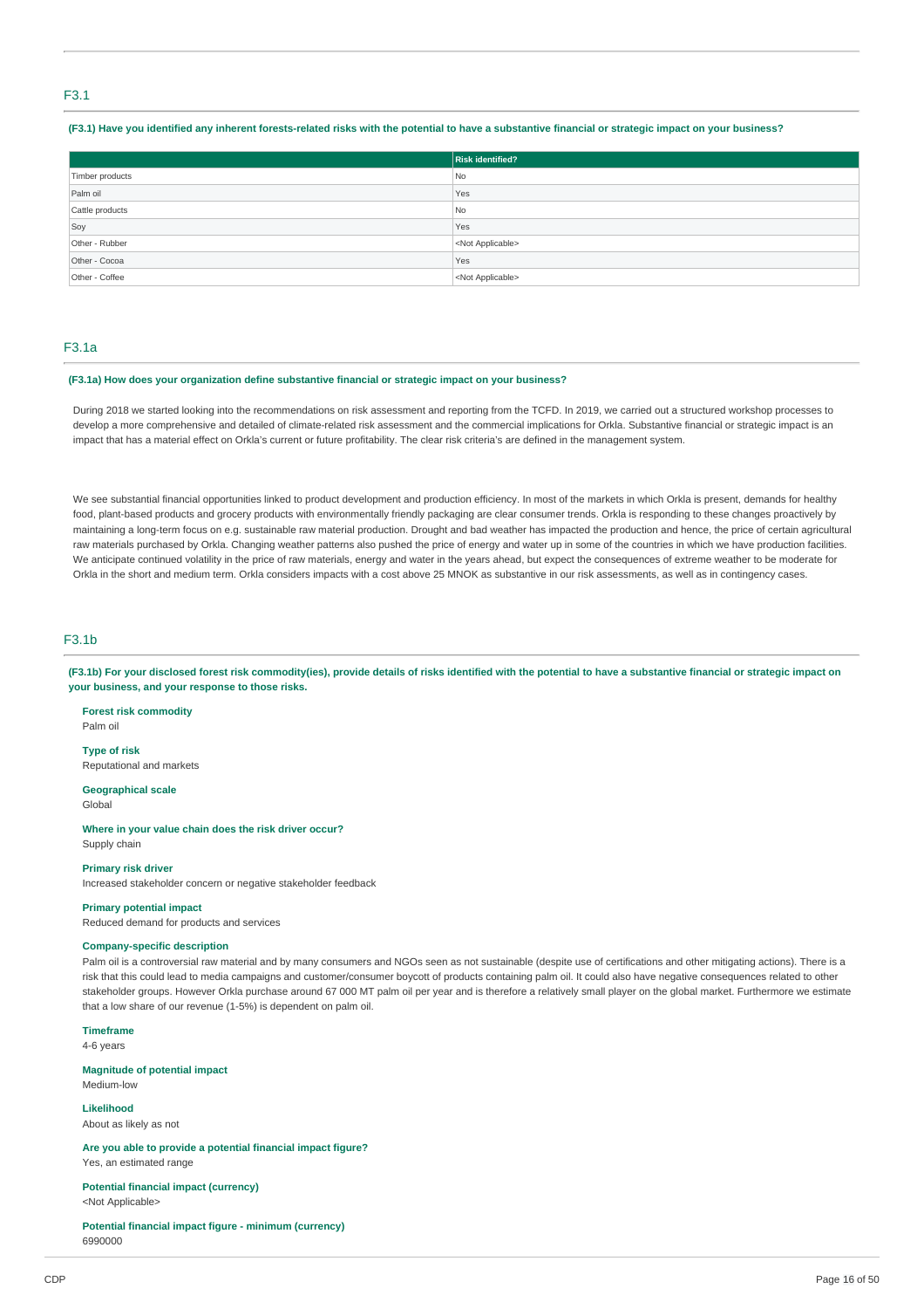#### F3.1

#### (F3.1) Have you identified any inherent forests-related risks with the potential to have a substantive financial or strategic impact on your business?

|                 | <b>Risk identified?</b>   |
|-----------------|---------------------------|
| Timber products | No.                       |
| Palm oil        | Yes                       |
| Cattle products | No                        |
| Soy             | Yes                       |
| Other - Rubber  | <not applicable=""></not> |
| Other - Cocoa   | Yes                       |
| Other - Coffee  | <not applicable=""></not> |

### F3.1a

#### **(F3.1a) How does your organization define substantive financial or strategic impact on your business?**

During 2018 we started looking into the recommendations on risk assessment and reporting from the TCFD. In 2019, we carried out a structured workshop processes to develop a more comprehensive and detailed of climate-related risk assessment and the commercial implications for Orkla. Substantive financial or strategic impact is an impact that has a material effect on Orkla's current or future profitability. The clear risk criteria's are defined in the management system.

We see substantial financial opportunities linked to product development and production efficiency. In most of the markets in which Orkla is present, demands for healthy food, plant-based products and grocery products with environmentally friendly packaging are clear consumer trends. Orkla is responding to these changes proactively by maintaining a long-term focus on e.g. sustainable raw material production. Drought and bad weather has impacted the production and hence, the price of certain agricultural raw materials purchased by Orkla. Changing weather patterns also pushed the price of energy and water up in some of the countries in which we have production facilities. We anticipate continued volatility in the price of raw materials, energy and water in the years ahead, but expect the consequences of extreme weather to be moderate for Orkla in the short and medium term. Orkla considers impacts with a cost above 25 MNOK as substantive in our risk assessments, as well as in contingency cases.

### F3.1b

(F3.1b) For your disclosed forest risk commodity(ies), provide details of risks identified with the potential to have a substantive financial or strategic impact on **your business, and your response to those risks.**

**Forest risk commodity** Palm oil

**Type of risk** Reputational and markets

**Geographical scale** Global

**Where in your value chain does the risk driver occur?** Supply chain

#### **Primary risk driver**

Increased stakeholder concern or negative stakeholder feedback

#### **Primary potential impact**

Reduced demand for products and services

#### **Company-specific description**

Palm oil is a controversial raw material and by many consumers and NGOs seen as not sustainable (despite use of certifications and other mitigating actions). There is a risk that this could lead to media campaigns and customer/consumer boycott of products containing palm oil. It could also have negative consequences related to other stakeholder groups. However Orkla purchase around 67 000 MT palm oil per year and is therefore a relatively small player on the global market. Furthermore we estimate that a low share of our revenue (1-5%) is dependent on palm oil.

**Timeframe**

4-6 years

**Magnitude of potential impact** Medium-low

**Likelihood** About as likely as not

**Are you able to provide a potential financial impact figure?** Yes, an estimated range

**Potential financial impact (currency)** <Not Applicable>

**Potential financial impact figure - minimum (currency)** 6990000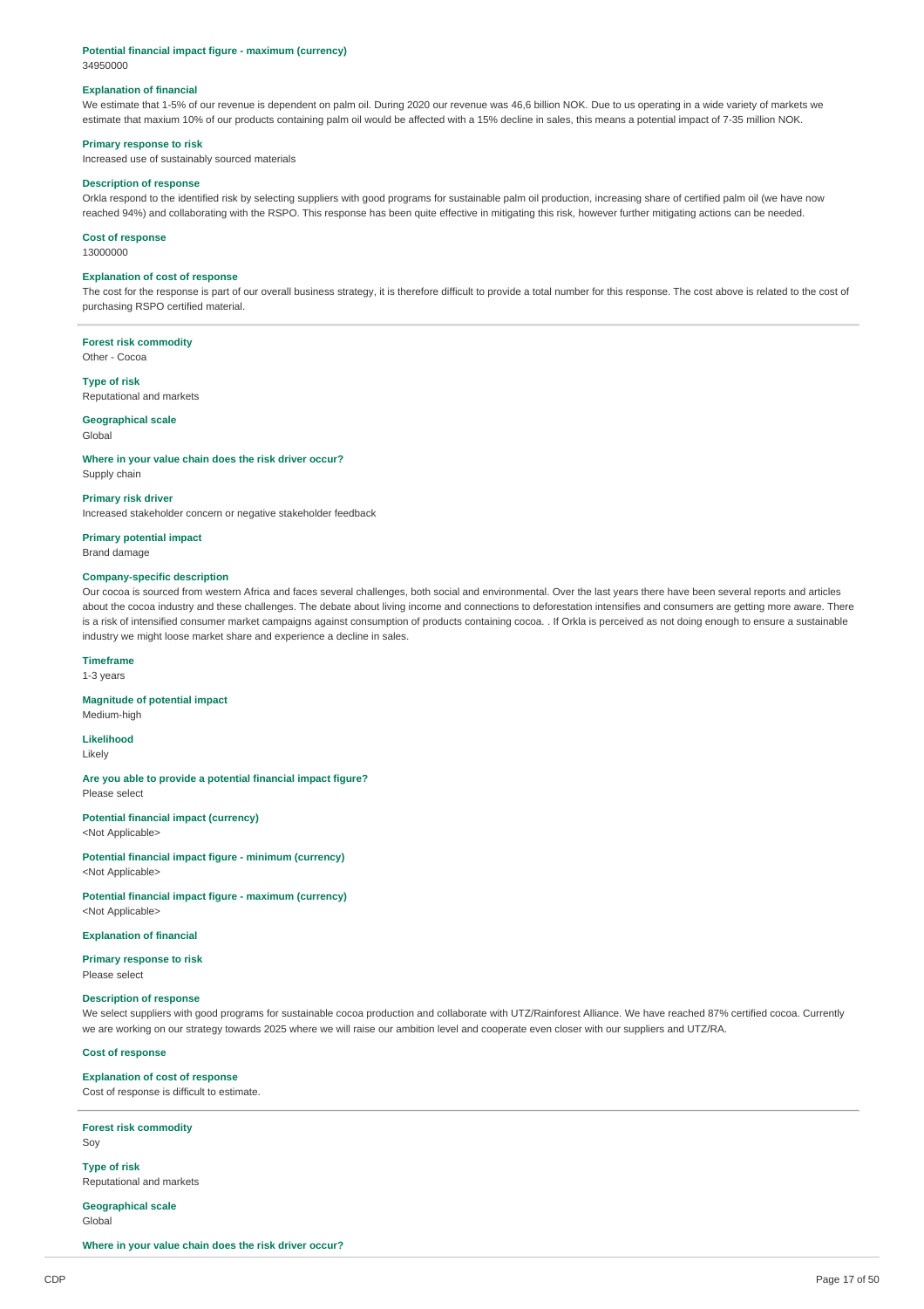### **Potential financial impact figure - maximum (currency)**

34950000

#### **Explanation of financial**

We estimate that 1-5% of our revenue is dependent on palm oil. During 2020 our revenue was 46,6 billion NOK. Due to us operating in a wide variety of markets we estimate that maxium 10% of our products containing palm oil would be affected with a 15% decline in sales, this means a potential impact of 7-35 million NOK.

#### **Primary response to risk**

Increased use of sustainably sourced materials

#### **Description of response**

Orkla respond to the identified risk by selecting suppliers with good programs for sustainable palm oil production, increasing share of certified palm oil (we have now reached 94%) and collaborating with the RSPO. This response has been quite effective in mitigating this risk, however further mitigating actions can be needed.

#### **Cost of response**

13000000

#### **Explanation of cost of response**

The cost for the response is part of our overall business strategy, it is therefore difficult to provide a total number for this response. The cost above is related to the cost of purchasing RSPO certified material.

#### **Forest risk commodity**

Other - Cocoa

#### **Type of risk**

Reputational and markets

### **Geographical scale**

Global

#### **Where in your value chain does the risk driver occur?**

Supply chain

#### **Primary risk driver**

Increased stakeholder concern or negative stakeholder feedback

**Primary potential impact** Brand damage

#### **Company-specific description**

Our cocoa is sourced from western Africa and faces several challenges, both social and environmental. Over the last years there have been several reports and articles about the cocoa industry and these challenges. The debate about living income and connections to deforestation intensifies and consumers are getting more aware. There is a risk of intensified consumer market campaigns against consumption of products containing cocoa. . If Orkla is perceived as not doing enough to ensure a sustainable industry we might loose market share and experience a decline in sales.

### **Timeframe**

1-3 years

#### **Magnitude of potential impact**

Medium-high

**Likelihood** Likely

#### **Are you able to provide a potential financial impact figure?** Please select

**Potential financial impact (currency)**

<Not Applicable>

**Potential financial impact figure - minimum (currency)** <Not Applicable>

**Potential financial impact figure - maximum (currency)** <Not Applicable>

#### **Explanation of financial**

**Primary response to risk** Please select

### **Description of response**

We select suppliers with good programs for sustainable cocoa production and collaborate with UTZ/Rainforest Alliance. We have reached 87% certified cocoa. Currently we are working on our strategy towards 2025 where we will raise our ambition level and cooperate even closer with our suppliers and UTZ/RA.

#### **Cost of response**

### **Explanation of cost of response**

Cost of response is difficult to estimate.

**Forest risk commodity** Soy

**Type of risk** Reputational and markets

**Geographical scale** Global

**Where in your value chain does the risk driver occur?**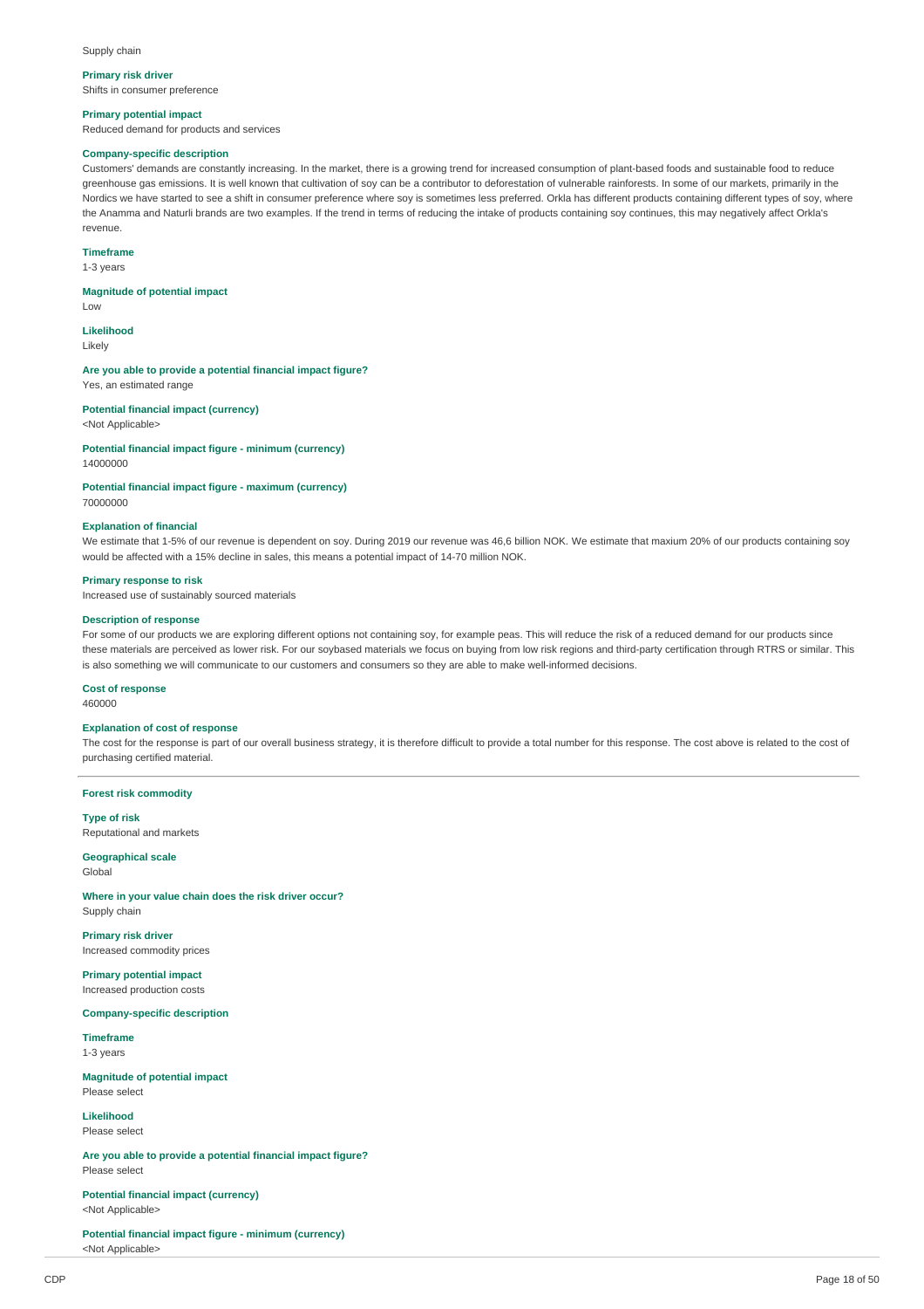#### Supply chain

**Primary risk driver** Shifts in consumer preference

#### **Primary potential impact**

Reduced demand for products and services

### **Company-specific description**

Customers' demands are constantly increasing. In the market, there is a growing trend for increased consumption of plant-based foods and sustainable food to reduce greenhouse gas emissions. It is well known that cultivation of soy can be a contributor to deforestation of vulnerable rainforests. In some of our markets, primarily in the Nordics we have started to see a shift in consumer preference where soy is sometimes less preferred. Orkla has different products containing different types of soy, where the Anamma and Naturli brands are two examples. If the trend in terms of reducing the intake of products containing soy continues, this may negatively affect Orkla's revenue.

#### **Timeframe**

1-3 years

#### **Magnitude of potential impact**

Low

**Likelihood** Likely

**Are you able to provide a potential financial impact figure?** Yes, an estimated range

**Potential financial impact (currency)** <Not Applicable>

**Potential financial impact figure - minimum (currency)** 14000000

**Potential financial impact figure - maximum (currency)** 70000000

#### **Explanation of financial**

We estimate that 1-5% of our revenue is dependent on soy. During 2019 our revenue was 46,6 billion NOK. We estimate that maxium 20% of our products containing soy would be affected with a 15% decline in sales, this means a potential impact of 14-70 million NOK.

#### **Primary response to risk**

Increased use of sustainably sourced materials

#### **Description of response**

For some of our products we are exploring different options not containing soy, for example peas. This will reduce the risk of a reduced demand for our products since these materials are perceived as lower risk. For our soybased materials we focus on buying from low risk regions and third-party certification through RTRS or similar. This is also something we will communicate to our customers and consumers so they are able to make well-informed decisions.

### **Cost of response**

460000

### **Explanation of cost of response**

The cost for the response is part of our overall business strategy, it is therefore difficult to provide a total number for this response. The cost above is related to the cost of purchasing certified material.

**Forest risk commodity**

**Type of risk** Reputational and markets

**Geographical scale** Global

**Where in your value chain does the risk driver occur?** Supply chain

**Primary risk driver** Increased commodity prices

**Primary potential impact** Increased production costs

**Company-specific description**

**Timeframe** 1-3 years

**Magnitude of potential impact** Please select

**Likelihood** Please select

**Are you able to provide a potential financial impact figure?** Please select

**Potential financial impact (currency)** <Not Applicable>

**Potential financial impact figure - minimum (currency)** <Not Applicable>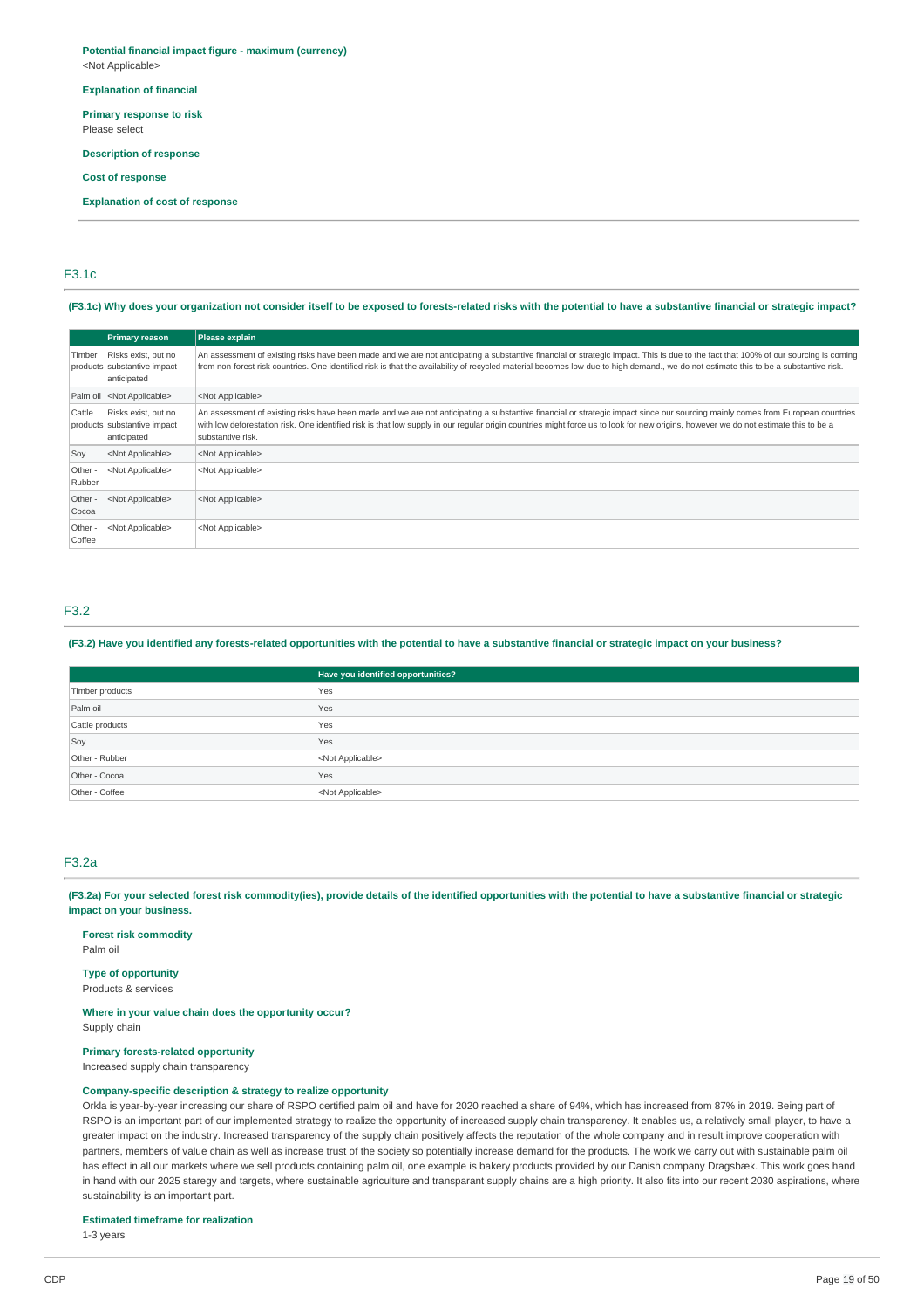#### **Potential financial impact figure - maximum (currency)** <Not Applicable>

#### **Explanation of financial**

**Primary response to risk**

Please select

**Description of response**

#### **Cost of response**

**Explanation of cost of response**

#### F3.1c

(F3.1c) Why does your organization not consider itself to be exposed to forests-related risks with the potential to have a substantive financial or strategic impact?

|                   | <b>Primary reason</b>                                             | Please explain                                                                                                                                                                                                                                                                                                                                                                             |
|-------------------|-------------------------------------------------------------------|--------------------------------------------------------------------------------------------------------------------------------------------------------------------------------------------------------------------------------------------------------------------------------------------------------------------------------------------------------------------------------------------|
| Timber            | Risks exist, but no<br>products substantive impact<br>anticipated | An assessment of existing risks have been made and we are not anticipating a substantive financial or strategic impact. This is due to the fact that 100% of our sourcing is coming<br>from non-forest risk countries. One identified risk is that the availability of recycled material becomes low due to high demand., we do not estimate this to be a substantive risk.                |
|                   | Palm oil <not applicable=""></not>                                | <not applicable=""></not>                                                                                                                                                                                                                                                                                                                                                                  |
| Cattle            | Risks exist, but no<br>products substantive impact<br>anticipated | An assessment of existing risks have been made and we are not anticipating a substantive financial or strategic impact since our sourcing mainly comes from European countries<br>with low deforestation risk. One identified risk is that low supply in our regular origin countries might force us to look for new origins, however we do not estimate this to be a<br>substantive risk. |
| Soy               | <not applicable=""></not>                                         | <not applicable=""></not>                                                                                                                                                                                                                                                                                                                                                                  |
| Other -<br>Rubber | <not applicable=""></not>                                         | <not applicable=""></not>                                                                                                                                                                                                                                                                                                                                                                  |
| Other -<br>Cocoa  | <not applicable=""></not>                                         | <not applicable=""></not>                                                                                                                                                                                                                                                                                                                                                                  |
| Other -<br>Coffee | <not applicable=""></not>                                         | <not applicable=""></not>                                                                                                                                                                                                                                                                                                                                                                  |

### F3.2

#### (F3.2) Have you identified any forests-related opportunities with the potential to have a substantive financial or strategic impact on your business?

|                 | Have you identified opportunities? |
|-----------------|------------------------------------|
| Timber products | Yes                                |
| Palm oil        | Yes                                |
| Cattle products | Yes                                |
| Soy             | Yes                                |
| Other - Rubber  | <not applicable=""></not>          |
| Other - Cocoa   | Yes                                |
| Other - Coffee  | <not applicable=""></not>          |

### F3.2a

(F3.2a) For your selected forest risk commodity(ies), provide details of the identified opportunities with the potential to have a substantive financial or strategic **impact on your business.**

### **Forest risk commodity**

Palm oil

### **Type of opportunity**

Products & services

# **Where in your value chain does the opportunity occur?**

Supply chain

### **Primary forests-related opportunity**

Increased supply chain transparency

### **Company-specific description & strategy to realize opportunity**

Orkla is year-by-year increasing our share of RSPO certified palm oil and have for 2020 reached a share of 94%, which has increased from 87% in 2019. Being part of RSPO is an important part of our implemented strategy to realize the opportunity of increased supply chain transparency. It enables us, a relatively small player, to have a greater impact on the industry. Increased transparency of the supply chain positively affects the reputation of the whole company and in result improve cooperation with partners, members of value chain as well as increase trust of the society so potentially increase demand for the products. The work we carry out with sustainable palm oil has effect in all our markets where we sell products containing palm oil, one example is bakery products provided by our Danish company Dragsbæk. This work goes hand in hand with our 2025 staregy and targets, where sustainable agriculture and transparant supply chains are a high priority. It also fits into our recent 2030 aspirations, where sustainability is an important part.

#### **Estimated timeframe for realization**

1-3 years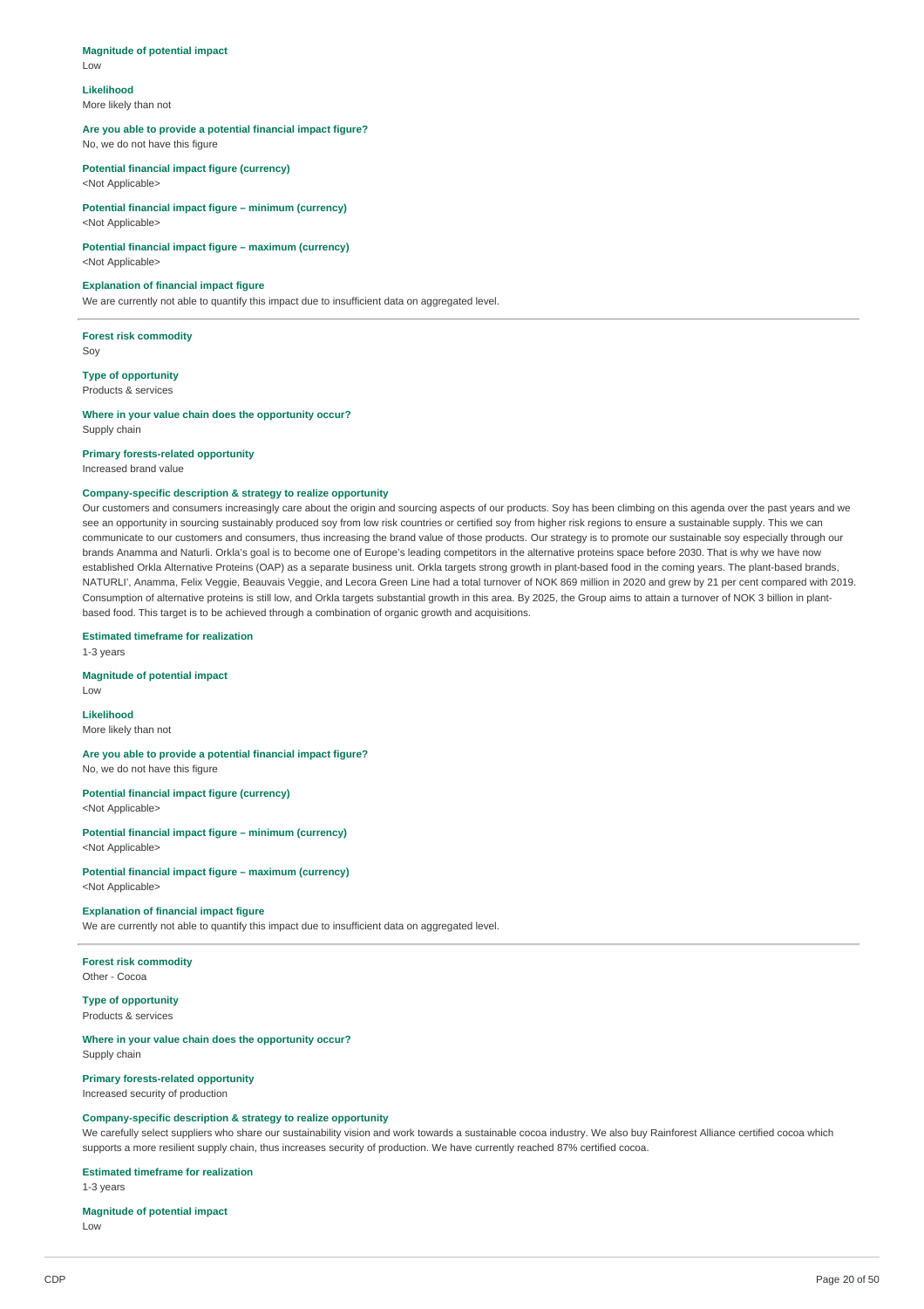### **Magnitude of potential impact**

Low

# **Likelihood**

More likely than not

### **Are you able to provide a potential financial impact figure?**

No, we do not have this figure

**Potential financial impact figure (currency)** <Not Applicable>

#### **Potential financial impact figure – minimum (currency)** <Not Applicable>

### **Potential financial impact figure – maximum (currency)**

<Not Applicable>

#### **Explanation of financial impact figure**

We are currently not able to quantify this impact due to insufficient data on aggregated level.

**Forest risk commodity** Soy

**Type of opportunity** Products & services

### **Where in your value chain does the opportunity occur?**

Supply chain

#### **Primary forests-related opportunity**

Increased brand value

#### **Company-specific description & strategy to realize opportunity**

Our customers and consumers increasingly care about the origin and sourcing aspects of our products. Soy has been climbing on this agenda over the past years and we see an opportunity in sourcing sustainably produced soy from low risk countries or certified soy from higher risk regions to ensure a sustainable supply. This we can communicate to our customers and consumers, thus increasing the brand value of those products. Our strategy is to promote our sustainable soy especially through our brands Anamma and Naturli. Orkla's goal is to become one of Europe's leading competitors in the alternative proteins space before 2030. That is why we have now established Orkla Alternative Proteins (OAP) as a separate business unit. Orkla targets strong growth in plant-based food in the coming years. The plant-based brands, NATURLI', Anamma, Felix Veggie, Beauvais Veggie, and Lecora Green Line had a total turnover of NOK 869 million in 2020 and grew by 21 per cent compared with 2019. Consumption of alternative proteins is still low, and Orkla targets substantial growth in this area. By 2025, the Group aims to attain a turnover of NOK 3 billion in plantbased food. This target is to be achieved through a combination of organic growth and acquisitions.

**Estimated timeframe for realization** 1-3 years

#### **Magnitude of potential impact**

Low

### **Likelihood** More likely than not

**Are you able to provide a potential financial impact figure?** No, we do not have this figure

#### **Potential financial impact figure (currency)** <Not Applicable>

**Potential financial impact figure – minimum (currency)** <Not Applicable>

**Potential financial impact figure – maximum (currency)** <Not Applicable>

#### **Explanation of financial impact figure**

We are currently not able to quantify this impact due to insufficient data on aggregated level.

#### **Forest risk commodity** Other - Cocoa

**Type of opportunity** Products & services

#### **Where in your value chain does the opportunity occur?** Supply chain

### **Primary forests-related opportunity**

Increased security of production

### **Company-specific description & strategy to realize opportunity**

We carefully select suppliers who share our sustainability vision and work towards a sustainable cocoa industry. We also buy Rainforest Alliance certified cocoa which supports a more resilient supply chain, thus increases security of production. We have currently reached 87% certified cocoa.

#### **Estimated timeframe for realization**

1-3 years

#### **Magnitude of potential impact** Low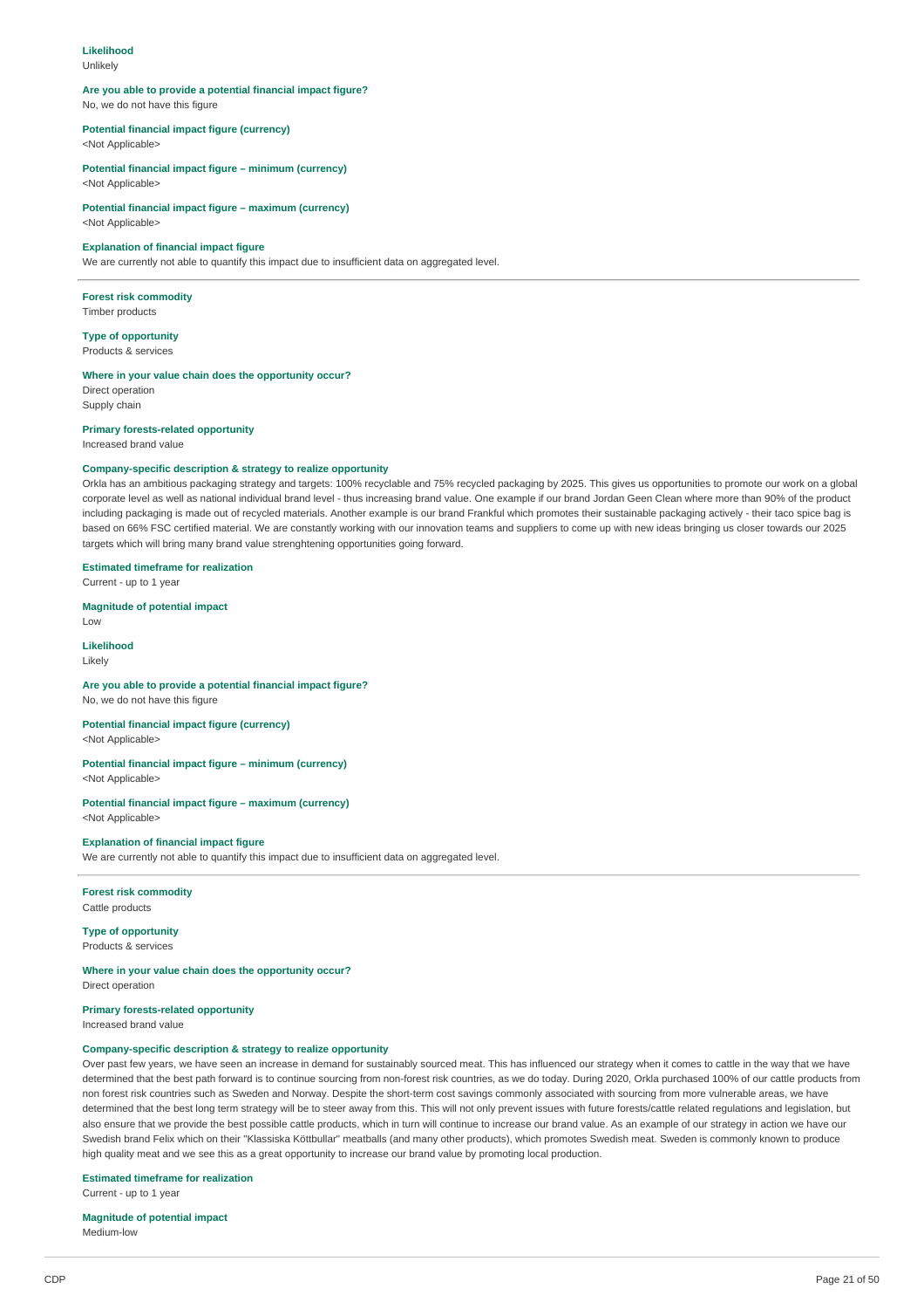#### **Likelihood**

Unlikely

## **Are you able to provide a potential financial impact figure?**

No, we do not have this figure

### **Potential financial impact figure (currency)**

<Not Applicable>

**Potential financial impact figure – minimum (currency)** <Not Applicable>

**Potential financial impact figure – maximum (currency)** <Not Applicable>

#### **Explanation of financial impact figure**

We are currently not able to quantify this impact due to insufficient data on aggregated level.

# **Forest risk commodity**

Timber products

### **Type of opportunity**

Products & services

#### **Where in your value chain does the opportunity occur?**

Direct operation Supply chain

#### **Primary forests-related opportunity**

Increased brand value

### **Company-specific description & strategy to realize opportunity**

Orkla has an ambitious packaging strategy and targets: 100% recyclable and 75% recycled packaging by 2025. This gives us opportunities to promote our work on a global corporate level as well as national individual brand level - thus increasing brand value. One example if our brand Jordan Geen Clean where more than 90% of the product including packaging is made out of recycled materials. Another example is our brand Frankful which promotes their sustainable packaging actively - their taco spice bag is based on 66% FSC certified material. We are constantly working with our innovation teams and suppliers to come up with new ideas bringing us closer towards our 2025 targets which will bring many brand value strenghtening opportunities going forward.

#### **Estimated timeframe for realization**

Current - up to 1 year

### **Magnitude of potential impact**

Low

#### **Likelihood** Likely

#### **Are you able to provide a potential financial impact figure?**

No, we do not have this figure

#### **Potential financial impact figure (currency)**

<Not Applicable>

#### **Potential financial impact figure – minimum (currency)**

<Not Applicable>

#### **Potential financial impact figure – maximum (currency)** <Not Applicable>

### **Explanation of financial impact figure**

We are currently not able to quantify this impact due to insufficient data on aggregated level.

### **Forest risk commodity**

Cattle products

#### **Type of opportunity** Products & services

**Where in your value chain does the opportunity occur?**

Direct operation

### **Primary forests-related opportunity**

Increased brand value

### **Company-specific description & strategy to realize opportunity**

Over past few years, we have seen an increase in demand for sustainably sourced meat. This has influenced our strategy when it comes to cattle in the way that we have determined that the best path forward is to continue sourcing from non-forest risk countries, as we do today. During 2020, Orkla purchased 100% of our cattle products from non forest risk countries such as Sweden and Norway. Despite the short-term cost savings commonly associated with sourcing from more vulnerable areas, we have determined that the best long term strategy will be to steer away from this. This will not only prevent issues with future forests/cattle related regulations and legislation, but also ensure that we provide the best possible cattle products, which in turn will continue to increase our brand value. As an example of our strategy in action we have our Swedish brand Felix which on their "Klassiska Köttbullar" meatballs (and many other products), which promotes Swedish meat. Sweden is commonly known to produce high quality meat and we see this as a great opportunity to increase our brand value by promoting local production.

#### **Estimated timeframe for realization**

Current - up to 1 year

#### **Magnitude of potential impact** Medium-low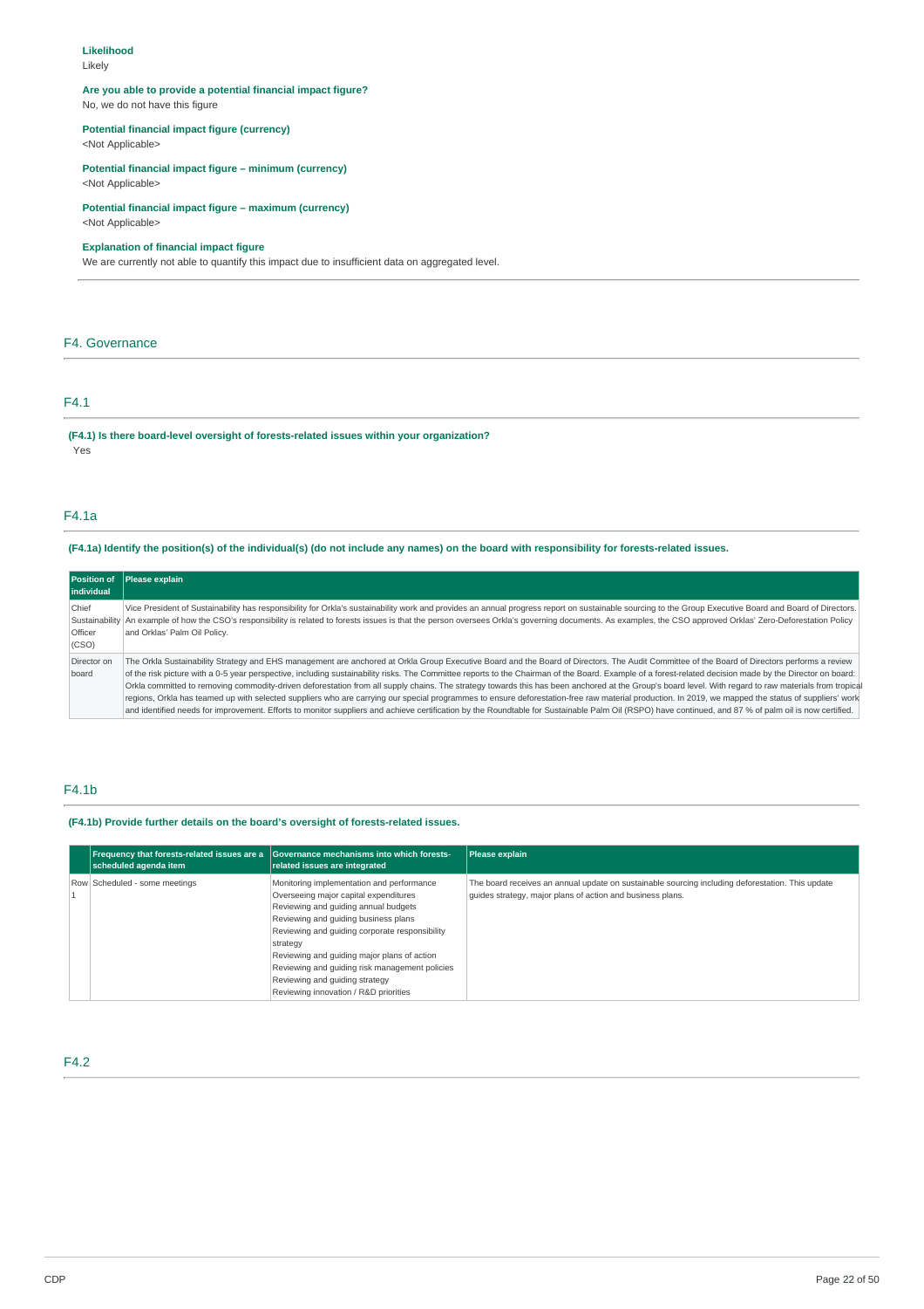#### **Likelihood**

Likely

# **Are you able to provide a potential financial impact figure?**

No, we do not have this figure

### **Potential financial impact figure (currency)**

<Not Applicable>

#### **Potential financial impact figure – minimum (currency)** <Not Applicable>

**Potential financial impact figure – maximum (currency)** <Not Applicable>

### **Explanation of financial impact figure**

We are currently not able to quantify this impact due to insufficient data on aggregated level.

### F4. Governance

### F4.1

**(F4.1) Is there board-level oversight of forests-related issues within your organization?** .<br>Yes

#### F4.1a

### (F4.1a) Identify the position(s) of the individual(s) (do not include any names) on the board with responsibility for forests-related issues.

| Position of<br><b>lindividual</b> | Please explain                                                                                                                                                                                                                                                                                                                                                                                                                                                                                                                                                                                                                                                                                                                                                                                                                                                                                                                                                                                                                    |
|-----------------------------------|-----------------------------------------------------------------------------------------------------------------------------------------------------------------------------------------------------------------------------------------------------------------------------------------------------------------------------------------------------------------------------------------------------------------------------------------------------------------------------------------------------------------------------------------------------------------------------------------------------------------------------------------------------------------------------------------------------------------------------------------------------------------------------------------------------------------------------------------------------------------------------------------------------------------------------------------------------------------------------------------------------------------------------------|
| Chief<br>Officer<br>(CSO)         | Vice President of Sustainability has responsibility for Orkla's sustainability work and provides an annual progress report on sustainable sourcing to the Group Executive Board and Board of Directors.<br>Sustainability An example of how the CSO's responsibility is related to forests issues is that the person oversees Orkla's governing documents. As examples, the CSO approved Orklas' Zero-Deforestation Policy<br>and Orklas' Palm Oil Policy.                                                                                                                                                                                                                                                                                                                                                                                                                                                                                                                                                                        |
| Director on<br>board              | The Orkla Sustainability Strategy and EHS management are anchored at Orkla Group Executive Board and the Board of Directors. The Audit Committee of the Board of Directors performs a review<br>of the risk picture with a 0-5 year perspective, including sustainability risks. The Committee reports to the Chairman of the Board. Example of a forest-related decision made by the Director on board:<br>Orkla committed to removing commodity-driven deforestation from all supply chains. The strategy towards this has been anchored at the Group's board level. With regard to raw materials from tropical<br>regions, Orkla has teamed up with selected suppliers who are carrying our special programmes to ensure deforestation-free raw material production. In 2019, we mapped the status of suppliers' work<br>and identified needs for improvement. Efforts to monitor suppliers and achieve certification by the Roundtable for Sustainable Palm Oil (RSPO) have continued, and 87 % of palm oil is now certified. |

### F4.1b

### **(F4.1b) Provide further details on the board's oversight of forests-related issues.**

| scheduled agenda item         | Frequency that forests-related issues are a Governance mechanisms into which forests-<br>related issues are integrated                                                                                                                                                                                                                                                                                       | Please explain                                                                                                                                                 |
|-------------------------------|--------------------------------------------------------------------------------------------------------------------------------------------------------------------------------------------------------------------------------------------------------------------------------------------------------------------------------------------------------------------------------------------------------------|----------------------------------------------------------------------------------------------------------------------------------------------------------------|
| Row Scheduled - some meetings | Monitoring implementation and performance<br>Overseeing major capital expenditures<br>Reviewing and quiding annual budgets<br>Reviewing and quiding business plans<br>Reviewing and quiding corporate responsibility<br>strategy<br>Reviewing and quiding major plans of action<br>Reviewing and guiding risk management policies<br>Reviewing and quiding strategy<br>Reviewing innovation / R&D priorities | The board receives an annual update on sustainable sourcing including deforestation. This update<br>quides strategy, major plans of action and business plans. |

### F4.2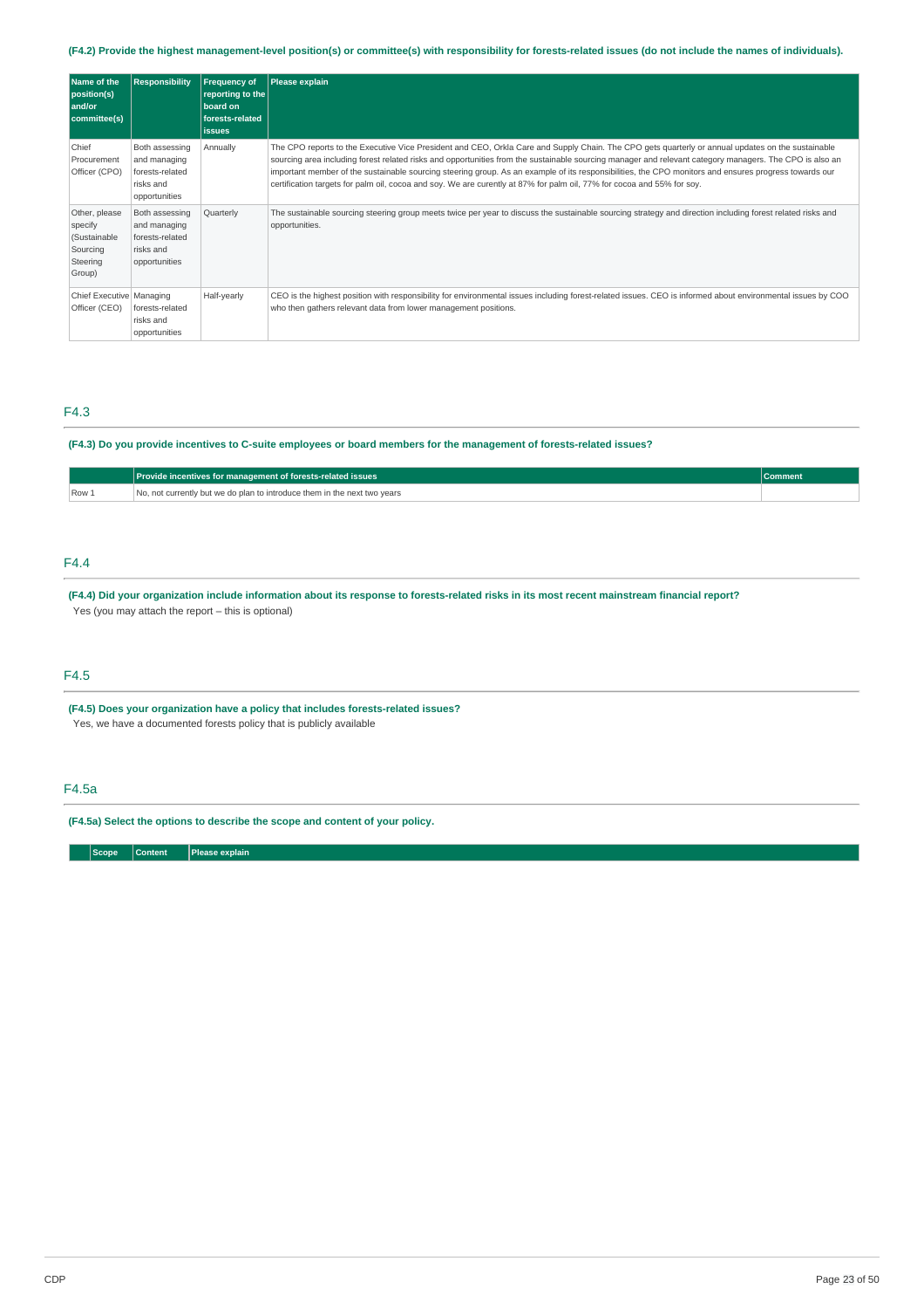### (F4.2) Provide the highest management-level position(s) or committee(s) with responsibility for forests-related issues (do not include the names of individuals).

| Name of the<br>position(s)<br>and/or<br>committee(s)                       | <b>Responsibility</b>                                                           | <b>Frequency of</b><br>reporting to the<br>board on<br>forests-related<br><b>issues</b> | Please explain                                                                                                                                                                                                                                                                                                                                                                                                                                                                                                                                                                                  |
|----------------------------------------------------------------------------|---------------------------------------------------------------------------------|-----------------------------------------------------------------------------------------|-------------------------------------------------------------------------------------------------------------------------------------------------------------------------------------------------------------------------------------------------------------------------------------------------------------------------------------------------------------------------------------------------------------------------------------------------------------------------------------------------------------------------------------------------------------------------------------------------|
| Chief<br>Procurement<br>Officer (CPO)                                      | Both assessing<br>and managing<br>forests-related<br>risks and<br>opportunities | Annually                                                                                | The CPO reports to the Executive Vice President and CEO, Orkla Care and Supply Chain. The CPO gets quarterly or annual updates on the sustainable<br>sourcing area including forest related risks and opportunities from the sustainable sourcing manager and relevant category managers. The CPO is also an<br>important member of the sustainable sourcing steering group. As an example of its responsibilities, the CPO monitors and ensures progress towards our<br>certification targets for palm oil, cocoa and soy. We are curently at 87% for palm oil, 77% for cocoa and 55% for soy. |
| Other, please<br>specify<br>(Sustainable<br>Sourcing<br>Steering<br>Group) | Both assessing<br>and managing<br>forests-related<br>risks and<br>opportunities | Quarterly                                                                               | The sustainable sourcing steering group meets twice per year to discuss the sustainable sourcing strategy and direction including forest related risks and<br>opportunities.                                                                                                                                                                                                                                                                                                                                                                                                                    |
| Chief Executive   Managing<br>Officer (CEO)                                | forests-related<br>risks and<br>opportunities                                   | Half-yearly                                                                             | CEO is the highest position with responsibility for environmental issues including forest-related issues. CEO is informed about environmental issues by COO<br>who then gathers relevant data from lower management positions.                                                                                                                                                                                                                                                                                                                                                                  |

### F4.3

#### (F4.3) Do you provide incentives to C-suite employees or board members for the management of forests-related issues?

|       | Provide incentives for management of forests-related issues              | Comment |
|-------|--------------------------------------------------------------------------|---------|
| Row 1 | No, not currently but we do plan to introduce them in the next two years |         |

### F4.4

(F4.4) Did your organization include information about its response to forests-related risks in its most recent mainstream financial report? Yes (you may attach the report – this is optional)

### F4.5

**(F4.5) Does your organization have a policy that includes forests-related issues?**

Yes, we have a documented forests policy that is publicly available

### F4.5a

**(F4.5a) Select the options to describe the scope and content of your policy.**

**Scope Content Please explain**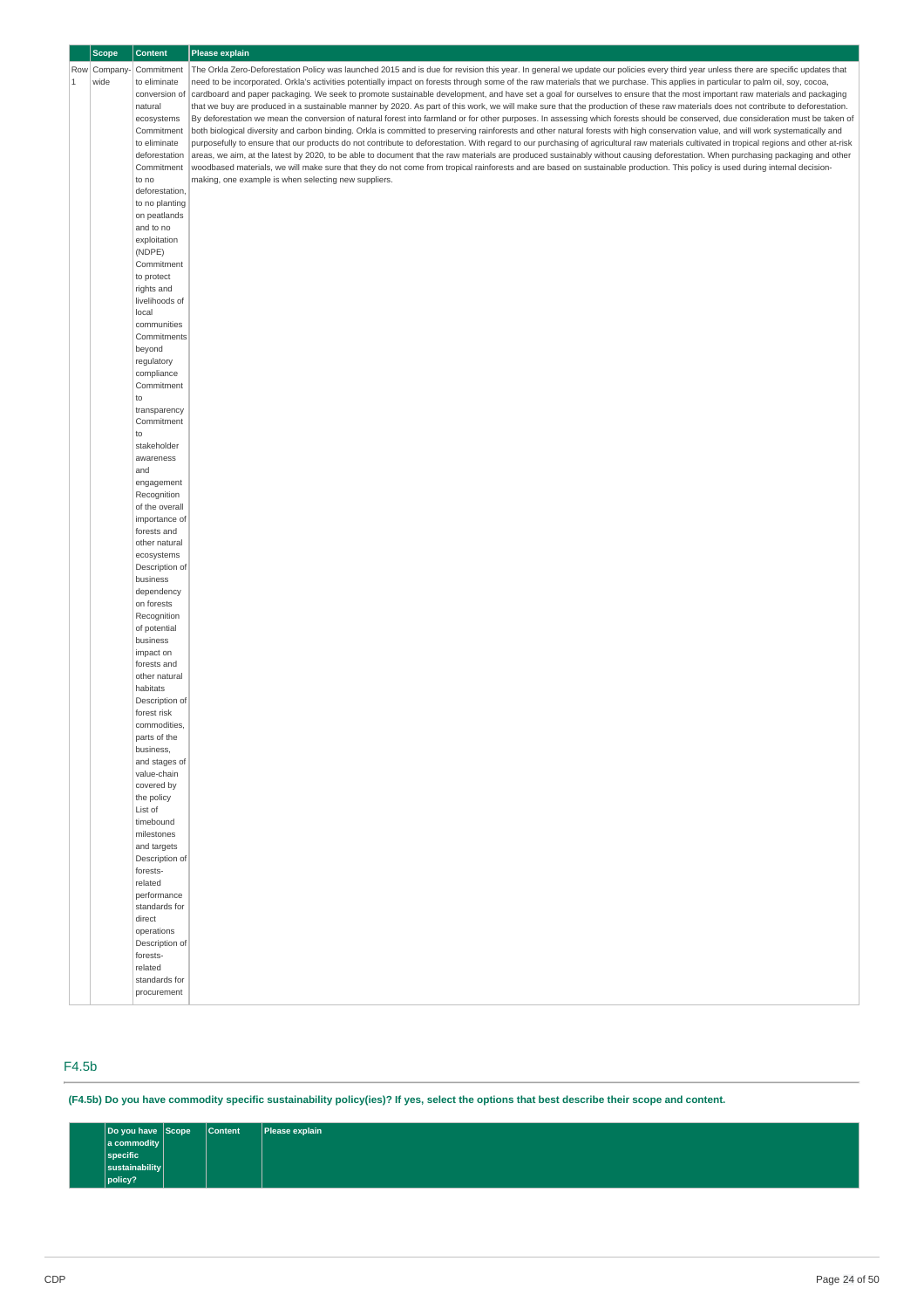|         | <b>Scope</b> | <b>Content</b>                | <b>Please explain</b>                                                                                                                                                                     |
|---------|--------------|-------------------------------|-------------------------------------------------------------------------------------------------------------------------------------------------------------------------------------------|
|         | Row Company  | Commitment                    | The Orkla Zero-Deforestation Policy was launched 2015 and is due for revision this year. In general we update our policies every third year unless there are specific updates that        |
| $\,1\,$ | wide         | to eliminate                  | need to be incorporated. Orkla's activities potentially impact on forests through some of the raw materials that we purchase. This applies in particular to palm oil, soy, cocoa,         |
|         |              | conversion of                 | cardboard and paper packaging. We seek to promote sustainable development, and have set a goal for ourselves to ensure that the most important raw materials and packaging                |
|         |              | natural                       | that we buy are produced in a sustainable manner by 2020. As part of this work, we will make sure that the production of these raw materials does not contribute to deforestation.        |
|         |              | ecosystems                    | By deforestation we mean the conversion of natural forest into farmland or for other purposes. In assessing which forests should be conserved, due consideration must be taken of         |
|         |              | Commitment                    | both biological diversity and carbon binding. Orkla is committed to preserving rainforests and other natural forests with high conservation value, and will work systematically and       |
|         |              | to eliminate                  | purposefully to ensure that our products do not contribute to deforestation. With regard to our purchasing of agricultural raw materials cultivated in tropical regions and other at-risk |
|         |              | deforestation                 | areas, we aim, at the latest by 2020, to be able to document that the raw materials are produced sustainably without causing deforestation. When purchasing packaging and other           |
|         |              | Commitment                    | woodbased materials, we will make sure that they do not come from tropical rainforests and are based on sustainable production. This policy is used during internal decision-             |
|         |              | to no                         | making, one example is when selecting new suppliers.                                                                                                                                      |
|         |              | deforestation,                |                                                                                                                                                                                           |
|         |              | to no planting                |                                                                                                                                                                                           |
|         |              | on peatlands                  |                                                                                                                                                                                           |
|         |              | and to no                     |                                                                                                                                                                                           |
|         |              | exploitation                  |                                                                                                                                                                                           |
|         |              | (NDPE)                        |                                                                                                                                                                                           |
|         |              | Commitment                    |                                                                                                                                                                                           |
|         |              | to protect                    |                                                                                                                                                                                           |
|         |              | rights and                    |                                                                                                                                                                                           |
|         |              | livelihoods of                |                                                                                                                                                                                           |
|         |              | local                         |                                                                                                                                                                                           |
|         |              | communities                   |                                                                                                                                                                                           |
|         |              | Commitments                   |                                                                                                                                                                                           |
|         |              | beyond                        |                                                                                                                                                                                           |
|         |              | regulatory                    |                                                                                                                                                                                           |
|         |              | compliance                    |                                                                                                                                                                                           |
|         |              | Commitment                    |                                                                                                                                                                                           |
|         |              | to                            |                                                                                                                                                                                           |
|         |              | transparency                  |                                                                                                                                                                                           |
|         |              | Commitment                    |                                                                                                                                                                                           |
|         |              | to                            |                                                                                                                                                                                           |
|         |              | stakeholder<br>awareness      |                                                                                                                                                                                           |
|         |              | and                           |                                                                                                                                                                                           |
|         |              | engagement                    |                                                                                                                                                                                           |
|         |              | Recognition                   |                                                                                                                                                                                           |
|         |              | of the overall                |                                                                                                                                                                                           |
|         |              | importance of                 |                                                                                                                                                                                           |
|         |              | forests and                   |                                                                                                                                                                                           |
|         |              | other natural                 |                                                                                                                                                                                           |
|         |              | ecosystems                    |                                                                                                                                                                                           |
|         |              | Description of                |                                                                                                                                                                                           |
|         |              | business                      |                                                                                                                                                                                           |
|         |              | dependency                    |                                                                                                                                                                                           |
|         |              | on forests                    |                                                                                                                                                                                           |
|         |              | Recognition                   |                                                                                                                                                                                           |
|         |              | of potential                  |                                                                                                                                                                                           |
|         |              | business                      |                                                                                                                                                                                           |
|         |              | impact on                     |                                                                                                                                                                                           |
|         |              | forests and                   |                                                                                                                                                                                           |
|         |              | other natural                 |                                                                                                                                                                                           |
|         |              | habitats                      |                                                                                                                                                                                           |
|         |              | Description of<br>forest risk |                                                                                                                                                                                           |
|         |              | commodities,                  |                                                                                                                                                                                           |
|         |              | parts of the                  |                                                                                                                                                                                           |
|         |              | business,                     |                                                                                                                                                                                           |
|         |              | and stages of                 |                                                                                                                                                                                           |
|         |              | value-chain                   |                                                                                                                                                                                           |
|         |              | covered by                    |                                                                                                                                                                                           |
|         |              | the policy                    |                                                                                                                                                                                           |
|         |              | List of                       |                                                                                                                                                                                           |
|         |              | timebound                     |                                                                                                                                                                                           |
|         |              | milestones                    |                                                                                                                                                                                           |
|         |              | and targets                   |                                                                                                                                                                                           |
|         |              | Description of                |                                                                                                                                                                                           |
|         |              | forests-                      |                                                                                                                                                                                           |
|         |              | related<br>performance        |                                                                                                                                                                                           |
|         |              | standards for                 |                                                                                                                                                                                           |
|         |              | direct                        |                                                                                                                                                                                           |
|         |              | operations                    |                                                                                                                                                                                           |
|         |              | Description of                |                                                                                                                                                                                           |
|         |              | forests-                      |                                                                                                                                                                                           |
|         |              | related                       |                                                                                                                                                                                           |
|         |              | standards for                 |                                                                                                                                                                                           |
|         |              | procurement                   |                                                                                                                                                                                           |
|         |              |                               |                                                                                                                                                                                           |

# F4.5b

(F4.5b) Do you have commodity specific sustainability policy(ies)? If yes, select the options that best describe their scope and content.

| Do you have Scope  | <b>Content</b> | Please explain |
|--------------------|----------------|----------------|
| $ a$ commodity $ $ |                |                |
| specific           |                |                |
| sustainability     |                |                |
| policy?            |                |                |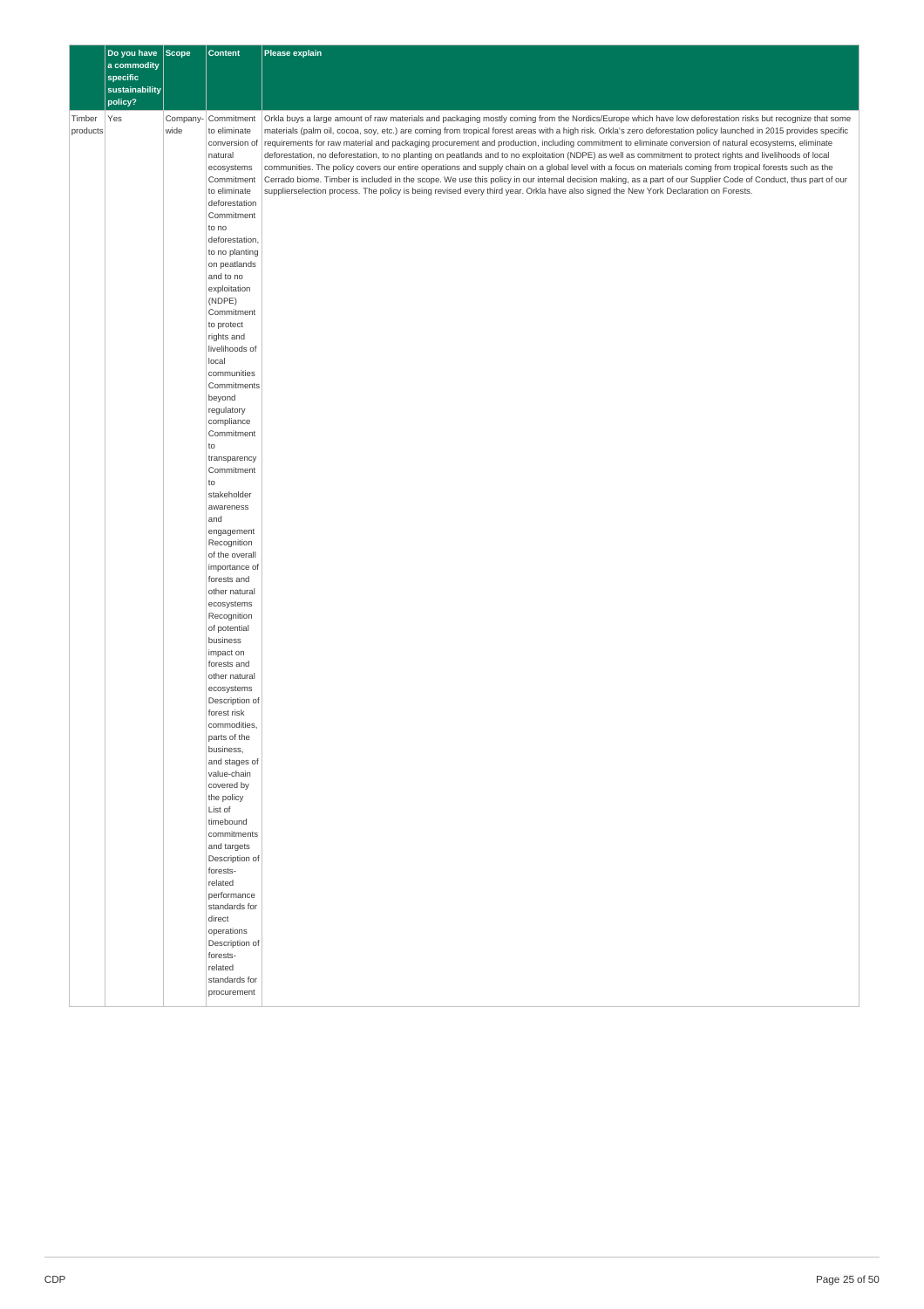|          | Do you have Scope<br>a commodity<br>specific |          | <b>Content</b>                | Please explain                                                                                                                                                                                                                                                                                                       |
|----------|----------------------------------------------|----------|-------------------------------|----------------------------------------------------------------------------------------------------------------------------------------------------------------------------------------------------------------------------------------------------------------------------------------------------------------------|
|          | sustainability                               |          |                               |                                                                                                                                                                                                                                                                                                                      |
| Timber   | policy?<br>Yes                               | Company- | Commitment                    | Orkla buys a large amount of raw materials and packaging mostly coming from the Nordics/Europe which have low deforestation risks but recognize that some                                                                                                                                                            |
| products |                                              | wide     | to eliminate                  | materials (palm oil, cocoa, soy, etc.) are coming from tropical forest areas with a high risk. Orkla's zero deforestation policy launched in 2015 provides specific                                                                                                                                                  |
|          |                                              |          | conversion of<br>natural      | requirements for raw material and packaging procurement and production, including commitment to eliminate conversion of natural ecosystems, eliminate<br>deforestation, no deforestation, to no planting on peatlands and to no exploitation (NDPE) as well as commitment to protect rights and livelihoods of local |
|          |                                              |          | ecosystems                    | communities. The policy covers our entire operations and supply chain on a global level with a focus on materials coming from tropical forests such as the                                                                                                                                                           |
|          |                                              |          | Commitment<br>to eliminate    | Cerrado biome. Timber is included in the scope. We use this policy in our internal decision making, as a part of our Supplier Code of Conduct, thus part of our<br>supplierselection process. The policy is being revised every third year. Orkla have also signed the New York Declaration on Forests.              |
|          |                                              |          | deforestation                 |                                                                                                                                                                                                                                                                                                                      |
|          |                                              |          | Commitment                    |                                                                                                                                                                                                                                                                                                                      |
|          |                                              |          | to no<br>deforestation,       |                                                                                                                                                                                                                                                                                                                      |
|          |                                              |          | to no planting                |                                                                                                                                                                                                                                                                                                                      |
|          |                                              |          | on peatlands<br>and to no     |                                                                                                                                                                                                                                                                                                                      |
|          |                                              |          | exploitation                  |                                                                                                                                                                                                                                                                                                                      |
|          |                                              |          | (NDPE)<br>Commitment          |                                                                                                                                                                                                                                                                                                                      |
|          |                                              |          | to protect                    |                                                                                                                                                                                                                                                                                                                      |
|          |                                              |          | rights and<br>livelihoods of  |                                                                                                                                                                                                                                                                                                                      |
|          |                                              |          | local                         |                                                                                                                                                                                                                                                                                                                      |
|          |                                              |          | communities                   |                                                                                                                                                                                                                                                                                                                      |
|          |                                              |          | Commitments<br>beyond         |                                                                                                                                                                                                                                                                                                                      |
|          |                                              |          | regulatory                    |                                                                                                                                                                                                                                                                                                                      |
|          |                                              |          | compliance<br>Commitment      |                                                                                                                                                                                                                                                                                                                      |
|          |                                              |          | to                            |                                                                                                                                                                                                                                                                                                                      |
|          |                                              |          | transparency<br>Commitment    |                                                                                                                                                                                                                                                                                                                      |
|          |                                              |          | to                            |                                                                                                                                                                                                                                                                                                                      |
|          |                                              |          | stakeholder                   |                                                                                                                                                                                                                                                                                                                      |
|          |                                              |          | awareness<br>and              |                                                                                                                                                                                                                                                                                                                      |
|          |                                              |          | engagement                    |                                                                                                                                                                                                                                                                                                                      |
|          |                                              |          | Recognition<br>of the overall |                                                                                                                                                                                                                                                                                                                      |
|          |                                              |          | importance of                 |                                                                                                                                                                                                                                                                                                                      |
|          |                                              |          | forests and<br>other natural  |                                                                                                                                                                                                                                                                                                                      |
|          |                                              |          | ecosystems                    |                                                                                                                                                                                                                                                                                                                      |
|          |                                              |          | Recognition<br>of potential   |                                                                                                                                                                                                                                                                                                                      |
|          |                                              |          | business                      |                                                                                                                                                                                                                                                                                                                      |
|          |                                              |          | impact on                     |                                                                                                                                                                                                                                                                                                                      |
|          |                                              |          | forests and<br>other natural  |                                                                                                                                                                                                                                                                                                                      |
|          |                                              |          | ecosystems                    |                                                                                                                                                                                                                                                                                                                      |
|          |                                              |          | Description of<br>forest risk |                                                                                                                                                                                                                                                                                                                      |
|          |                                              |          | commodities,                  |                                                                                                                                                                                                                                                                                                                      |
|          |                                              |          | parts of the<br>business,     |                                                                                                                                                                                                                                                                                                                      |
|          |                                              |          | and stages of                 |                                                                                                                                                                                                                                                                                                                      |
|          |                                              |          | value-chain<br>covered by     |                                                                                                                                                                                                                                                                                                                      |
|          |                                              |          | the policy                    |                                                                                                                                                                                                                                                                                                                      |
|          |                                              |          | List of                       |                                                                                                                                                                                                                                                                                                                      |
|          |                                              |          | timebound<br>commitments      |                                                                                                                                                                                                                                                                                                                      |
|          |                                              |          | and targets                   |                                                                                                                                                                                                                                                                                                                      |
|          |                                              |          | Description of<br>forests-    |                                                                                                                                                                                                                                                                                                                      |
|          |                                              |          | related                       |                                                                                                                                                                                                                                                                                                                      |
|          |                                              |          | performance<br>standards for  |                                                                                                                                                                                                                                                                                                                      |
|          |                                              |          | direct                        |                                                                                                                                                                                                                                                                                                                      |
|          |                                              |          | operations<br>Description of  |                                                                                                                                                                                                                                                                                                                      |
|          |                                              |          | forests-                      |                                                                                                                                                                                                                                                                                                                      |
|          |                                              |          | related                       |                                                                                                                                                                                                                                                                                                                      |
|          |                                              |          | standards for<br>procurement  |                                                                                                                                                                                                                                                                                                                      |
|          |                                              |          |                               |                                                                                                                                                                                                                                                                                                                      |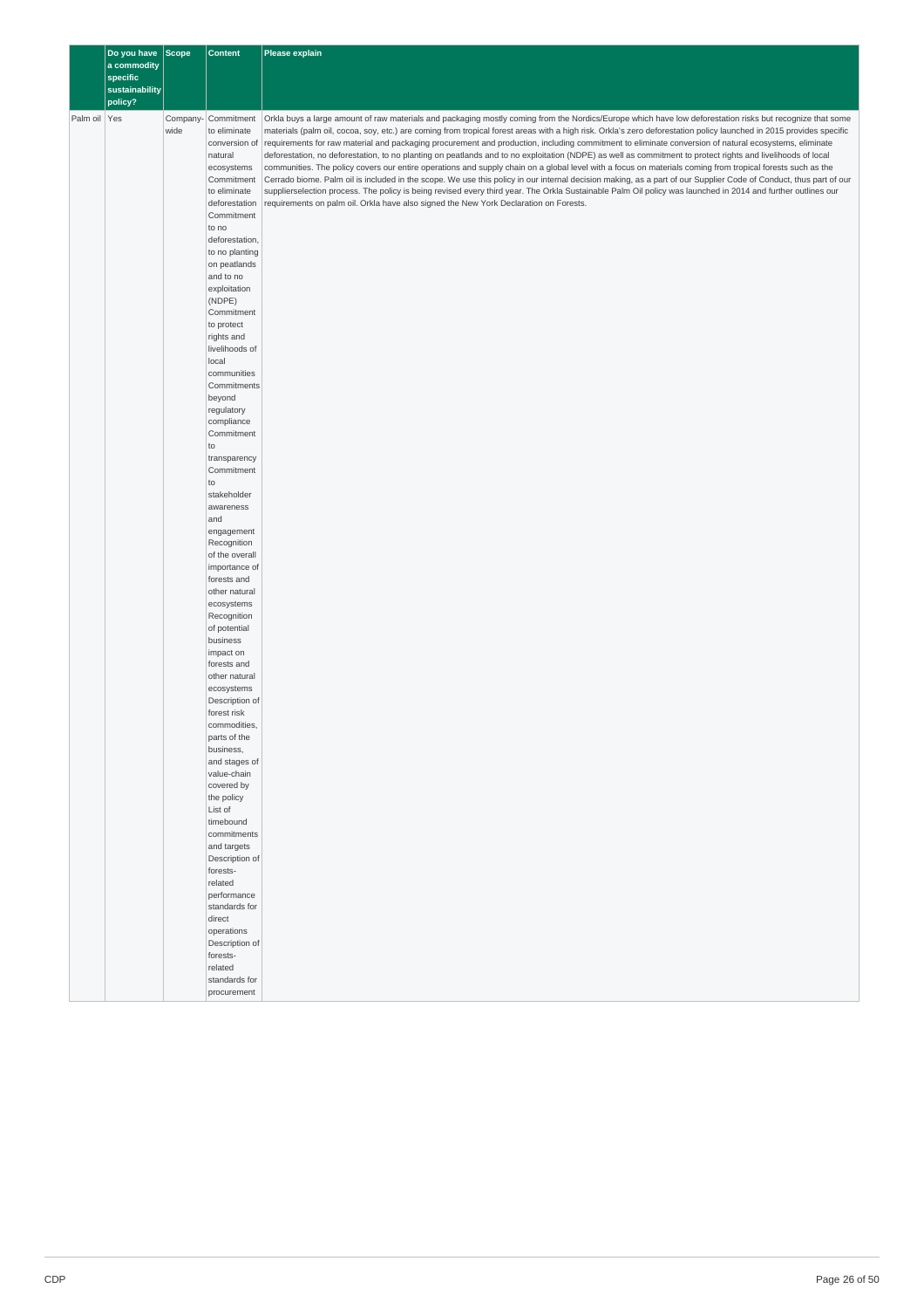|              | Do you have Scope         |          | <b>Content</b>                | Please explain                                                                                                                                                                                                                                                                                                               |
|--------------|---------------------------|----------|-------------------------------|------------------------------------------------------------------------------------------------------------------------------------------------------------------------------------------------------------------------------------------------------------------------------------------------------------------------------|
|              | a commodity               |          |                               |                                                                                                                                                                                                                                                                                                                              |
|              | specific                  |          |                               |                                                                                                                                                                                                                                                                                                                              |
|              | sustainability<br>policy? |          |                               |                                                                                                                                                                                                                                                                                                                              |
|              |                           |          |                               |                                                                                                                                                                                                                                                                                                                              |
| Palm oil Yes |                           | Company- | Commitment                    | Orkla buys a large amount of raw materials and packaging mostly coming from the Nordics/Europe which have low deforestation risks but recognize that some                                                                                                                                                                    |
|              |                           | wide     | to eliminate<br>conversion of | materials (palm oil, cocoa, soy, etc.) are coming from tropical forest areas with a high risk. Orkla's zero deforestation policy launched in 2015 provides specific<br>requirements for raw material and packaging procurement and production, including commitment to eliminate conversion of natural ecosystems, eliminate |
|              |                           |          | natural                       | deforestation, no deforestation, to no planting on peatlands and to no exploitation (NDPE) as well as commitment to protect rights and livelihoods of local                                                                                                                                                                  |
|              |                           |          | ecosystems                    | communities. The policy covers our entire operations and supply chain on a global level with a focus on materials coming from tropical forests such as the                                                                                                                                                                   |
|              |                           |          | Commitment                    | Cerrado biome. Palm oil is included in the scope. We use this policy in our internal decision making, as a part of our Supplier Code of Conduct, thus part of our                                                                                                                                                            |
|              |                           |          | to eliminate                  | supplierselection process. The policy is being revised every third year. The Orkla Sustainable Palm Oil policy was launched in 2014 and further outlines our                                                                                                                                                                 |
|              |                           |          | deforestation<br>Commitment   | requirements on palm oil. Orkla have also signed the New York Declaration on Forests.                                                                                                                                                                                                                                        |
|              |                           |          | to no                         |                                                                                                                                                                                                                                                                                                                              |
|              |                           |          | deforestation,                |                                                                                                                                                                                                                                                                                                                              |
|              |                           |          | to no planting                |                                                                                                                                                                                                                                                                                                                              |
|              |                           |          | on peatlands                  |                                                                                                                                                                                                                                                                                                                              |
|              |                           |          | and to no                     |                                                                                                                                                                                                                                                                                                                              |
|              |                           |          | exploitation                  |                                                                                                                                                                                                                                                                                                                              |
|              |                           |          | (NDPE)<br>Commitment          |                                                                                                                                                                                                                                                                                                                              |
|              |                           |          | to protect                    |                                                                                                                                                                                                                                                                                                                              |
|              |                           |          | rights and                    |                                                                                                                                                                                                                                                                                                                              |
|              |                           |          | livelihoods of                |                                                                                                                                                                                                                                                                                                                              |
|              |                           |          | local                         |                                                                                                                                                                                                                                                                                                                              |
|              |                           |          | communities                   |                                                                                                                                                                                                                                                                                                                              |
|              |                           |          | Commitments                   |                                                                                                                                                                                                                                                                                                                              |
|              |                           |          | beyond<br>regulatory          |                                                                                                                                                                                                                                                                                                                              |
|              |                           |          | compliance                    |                                                                                                                                                                                                                                                                                                                              |
|              |                           |          | Commitment                    |                                                                                                                                                                                                                                                                                                                              |
|              |                           |          | to                            |                                                                                                                                                                                                                                                                                                                              |
|              |                           |          | transparency                  |                                                                                                                                                                                                                                                                                                                              |
|              |                           |          | Commitment                    |                                                                                                                                                                                                                                                                                                                              |
|              |                           |          | to                            |                                                                                                                                                                                                                                                                                                                              |
|              |                           |          | stakeholder<br>awareness      |                                                                                                                                                                                                                                                                                                                              |
|              |                           |          | and                           |                                                                                                                                                                                                                                                                                                                              |
|              |                           |          | engagement                    |                                                                                                                                                                                                                                                                                                                              |
|              |                           |          | Recognition                   |                                                                                                                                                                                                                                                                                                                              |
|              |                           |          | of the overall                |                                                                                                                                                                                                                                                                                                                              |
|              |                           |          | importance of                 |                                                                                                                                                                                                                                                                                                                              |
|              |                           |          | forests and<br>other natural  |                                                                                                                                                                                                                                                                                                                              |
|              |                           |          | ecosystems                    |                                                                                                                                                                                                                                                                                                                              |
|              |                           |          | Recognition                   |                                                                                                                                                                                                                                                                                                                              |
|              |                           |          | of potential                  |                                                                                                                                                                                                                                                                                                                              |
|              |                           |          | business                      |                                                                                                                                                                                                                                                                                                                              |
|              |                           |          | impact on                     |                                                                                                                                                                                                                                                                                                                              |
|              |                           |          | forests and<br>other natural  |                                                                                                                                                                                                                                                                                                                              |
|              |                           |          | ecosystems                    |                                                                                                                                                                                                                                                                                                                              |
|              |                           |          | Description of                |                                                                                                                                                                                                                                                                                                                              |
|              |                           |          | forest risk                   |                                                                                                                                                                                                                                                                                                                              |
|              |                           |          | commodities,                  |                                                                                                                                                                                                                                                                                                                              |
|              |                           |          | parts of the                  |                                                                                                                                                                                                                                                                                                                              |
|              |                           |          | business,<br>and stages of    |                                                                                                                                                                                                                                                                                                                              |
|              |                           |          | value-chain                   |                                                                                                                                                                                                                                                                                                                              |
|              |                           |          | covered by                    |                                                                                                                                                                                                                                                                                                                              |
|              |                           |          | the policy                    |                                                                                                                                                                                                                                                                                                                              |
|              |                           |          | List of                       |                                                                                                                                                                                                                                                                                                                              |
|              |                           |          | timebound                     |                                                                                                                                                                                                                                                                                                                              |
|              |                           |          | commitments                   |                                                                                                                                                                                                                                                                                                                              |
|              |                           |          | and targets<br>Description of |                                                                                                                                                                                                                                                                                                                              |
|              |                           |          | forests-                      |                                                                                                                                                                                                                                                                                                                              |
|              |                           |          | related                       |                                                                                                                                                                                                                                                                                                                              |
|              |                           |          | performance                   |                                                                                                                                                                                                                                                                                                                              |
|              |                           |          | standards for                 |                                                                                                                                                                                                                                                                                                                              |
|              |                           |          | direct                        |                                                                                                                                                                                                                                                                                                                              |
|              |                           |          | operations                    |                                                                                                                                                                                                                                                                                                                              |
|              |                           |          | Description of<br>forests-    |                                                                                                                                                                                                                                                                                                                              |
|              |                           |          | related                       |                                                                                                                                                                                                                                                                                                                              |
|              |                           |          | standards for                 |                                                                                                                                                                                                                                                                                                                              |
|              |                           |          | procurement                   |                                                                                                                                                                                                                                                                                                                              |
|              |                           |          |                               |                                                                                                                                                                                                                                                                                                                              |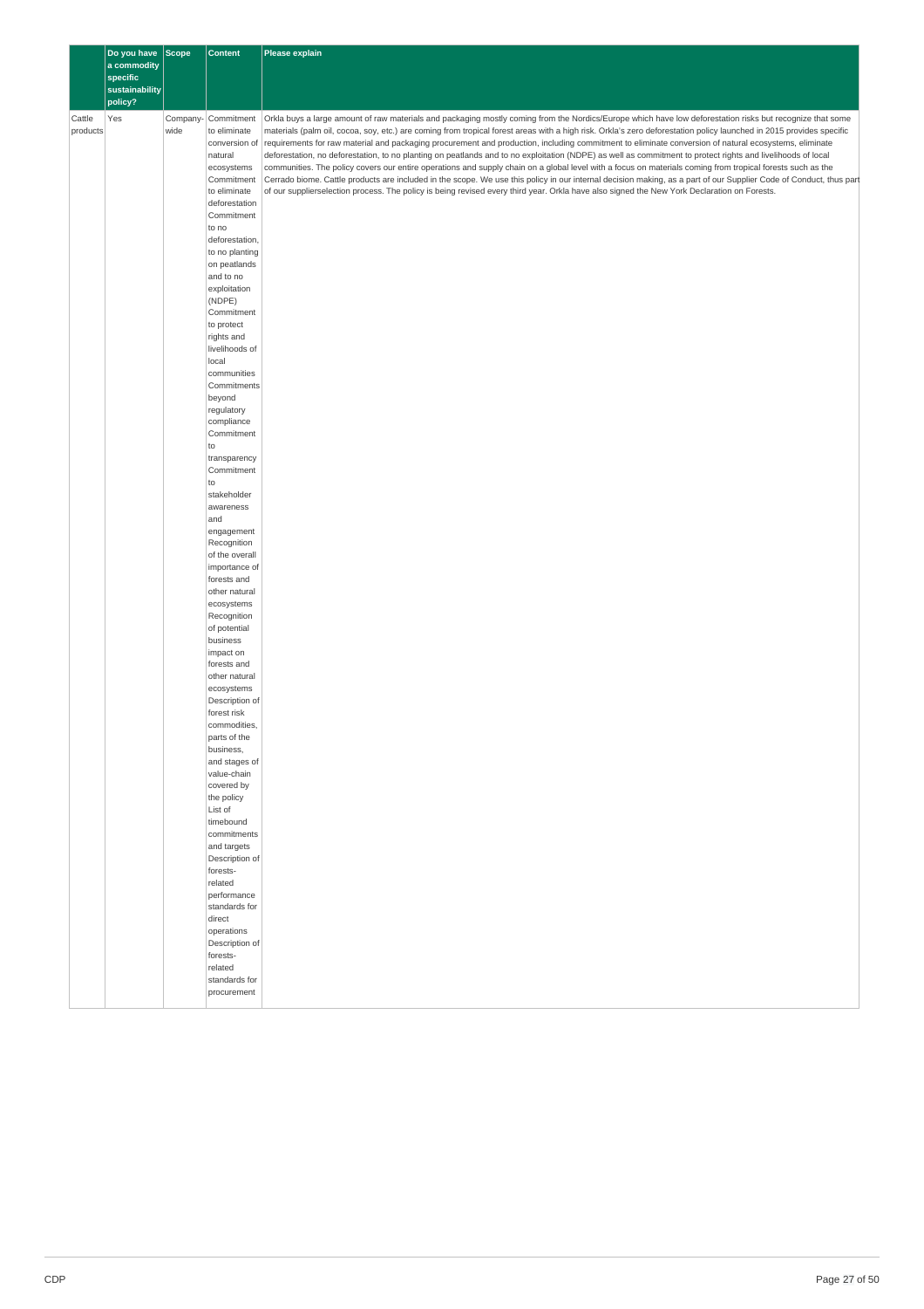|                    | Do you have               | Scope | <b>Content</b>                      | Please explain                                                                                                                                                                                                                                                                                                                   |
|--------------------|---------------------------|-------|-------------------------------------|----------------------------------------------------------------------------------------------------------------------------------------------------------------------------------------------------------------------------------------------------------------------------------------------------------------------------------|
|                    | a commodity               |       |                                     |                                                                                                                                                                                                                                                                                                                                  |
|                    | specific                  |       |                                     |                                                                                                                                                                                                                                                                                                                                  |
|                    | sustainability<br>policy? |       |                                     |                                                                                                                                                                                                                                                                                                                                  |
|                    |                           |       |                                     |                                                                                                                                                                                                                                                                                                                                  |
| Cattle<br>products | Yes                       | wide  | Company- Commitment<br>to eliminate | Orkla buys a large amount of raw materials and packaging mostly coming from the Nordics/Europe which have low deforestation risks but recognize that some<br>materials (palm oil, cocoa, soy, etc.) are coming from tropical forest areas with a high risk. Orkla's zero deforestation policy launched in 2015 provides specific |
|                    |                           |       | conversion of                       | requirements for raw material and packaging procurement and production, including commitment to eliminate conversion of natural ecosystems, eliminate                                                                                                                                                                            |
|                    |                           |       | natural                             | deforestation, no deforestation, to no planting on peatlands and to no exploitation (NDPE) as well as commitment to protect rights and livelihoods of local                                                                                                                                                                      |
|                    |                           |       | ecosystems                          | communities. The policy covers our entire operations and supply chain on a global level with a focus on materials coming from tropical forests such as the                                                                                                                                                                       |
|                    |                           |       | Commitment                          | Cerrado biome. Cattle products are included in the scope. We use this policy in our internal decision making, as a part of our Supplier Code of Conduct, thus part                                                                                                                                                               |
|                    |                           |       | to eliminate<br>deforestation       | of our supplierselection process. The policy is being revised every third year. Orkla have also signed the New York Declaration on Forests.                                                                                                                                                                                      |
|                    |                           |       | Commitment                          |                                                                                                                                                                                                                                                                                                                                  |
|                    |                           |       | to no                               |                                                                                                                                                                                                                                                                                                                                  |
|                    |                           |       | deforestation,                      |                                                                                                                                                                                                                                                                                                                                  |
|                    |                           |       | to no planting                      |                                                                                                                                                                                                                                                                                                                                  |
|                    |                           |       | on peatlands<br>and to no           |                                                                                                                                                                                                                                                                                                                                  |
|                    |                           |       | exploitation                        |                                                                                                                                                                                                                                                                                                                                  |
|                    |                           |       | (NDPE)                              |                                                                                                                                                                                                                                                                                                                                  |
|                    |                           |       | Commitment                          |                                                                                                                                                                                                                                                                                                                                  |
|                    |                           |       | to protect                          |                                                                                                                                                                                                                                                                                                                                  |
|                    |                           |       | rights and<br>livelihoods of        |                                                                                                                                                                                                                                                                                                                                  |
|                    |                           |       | local                               |                                                                                                                                                                                                                                                                                                                                  |
|                    |                           |       | communities                         |                                                                                                                                                                                                                                                                                                                                  |
|                    |                           |       | Commitments                         |                                                                                                                                                                                                                                                                                                                                  |
|                    |                           |       | beyond<br>regulatory                |                                                                                                                                                                                                                                                                                                                                  |
|                    |                           |       | compliance                          |                                                                                                                                                                                                                                                                                                                                  |
|                    |                           |       | Commitment                          |                                                                                                                                                                                                                                                                                                                                  |
|                    |                           |       | to                                  |                                                                                                                                                                                                                                                                                                                                  |
|                    |                           |       | transparency                        |                                                                                                                                                                                                                                                                                                                                  |
|                    |                           |       | Commitment                          |                                                                                                                                                                                                                                                                                                                                  |
|                    |                           |       | to<br>stakeholder                   |                                                                                                                                                                                                                                                                                                                                  |
|                    |                           |       | awareness                           |                                                                                                                                                                                                                                                                                                                                  |
|                    |                           |       | and                                 |                                                                                                                                                                                                                                                                                                                                  |
|                    |                           |       | engagement                          |                                                                                                                                                                                                                                                                                                                                  |
|                    |                           |       | Recognition<br>of the overall       |                                                                                                                                                                                                                                                                                                                                  |
|                    |                           |       | importance of                       |                                                                                                                                                                                                                                                                                                                                  |
|                    |                           |       | forests and                         |                                                                                                                                                                                                                                                                                                                                  |
|                    |                           |       | other natural                       |                                                                                                                                                                                                                                                                                                                                  |
|                    |                           |       | ecosystems                          |                                                                                                                                                                                                                                                                                                                                  |
|                    |                           |       | Recognition<br>of potential         |                                                                                                                                                                                                                                                                                                                                  |
|                    |                           |       | business                            |                                                                                                                                                                                                                                                                                                                                  |
|                    |                           |       | impact on                           |                                                                                                                                                                                                                                                                                                                                  |
|                    |                           |       | forests and                         |                                                                                                                                                                                                                                                                                                                                  |
|                    |                           |       | other natural                       |                                                                                                                                                                                                                                                                                                                                  |
|                    |                           |       | ecosystems<br>Description of        |                                                                                                                                                                                                                                                                                                                                  |
|                    |                           |       | forest risk                         |                                                                                                                                                                                                                                                                                                                                  |
|                    |                           |       | commodities,                        |                                                                                                                                                                                                                                                                                                                                  |
|                    |                           |       | parts of the                        |                                                                                                                                                                                                                                                                                                                                  |
|                    |                           |       | business,                           |                                                                                                                                                                                                                                                                                                                                  |
|                    |                           |       | and stages of<br>value-chain        |                                                                                                                                                                                                                                                                                                                                  |
|                    |                           |       | covered by                          |                                                                                                                                                                                                                                                                                                                                  |
|                    |                           |       | the policy                          |                                                                                                                                                                                                                                                                                                                                  |
|                    |                           |       | List of                             |                                                                                                                                                                                                                                                                                                                                  |
|                    |                           |       | timebound<br>commitments            |                                                                                                                                                                                                                                                                                                                                  |
|                    |                           |       | and targets                         |                                                                                                                                                                                                                                                                                                                                  |
|                    |                           |       | Description of                      |                                                                                                                                                                                                                                                                                                                                  |
|                    |                           |       | forests-                            |                                                                                                                                                                                                                                                                                                                                  |
|                    |                           |       | related                             |                                                                                                                                                                                                                                                                                                                                  |
|                    |                           |       | performance                         |                                                                                                                                                                                                                                                                                                                                  |
|                    |                           |       | standards for<br>direct             |                                                                                                                                                                                                                                                                                                                                  |
|                    |                           |       | operations                          |                                                                                                                                                                                                                                                                                                                                  |
|                    |                           |       | Description of                      |                                                                                                                                                                                                                                                                                                                                  |
|                    |                           |       | forests-                            |                                                                                                                                                                                                                                                                                                                                  |
|                    |                           |       | related                             |                                                                                                                                                                                                                                                                                                                                  |
|                    |                           |       | standards for<br>procurement        |                                                                                                                                                                                                                                                                                                                                  |
|                    |                           |       |                                     |                                                                                                                                                                                                                                                                                                                                  |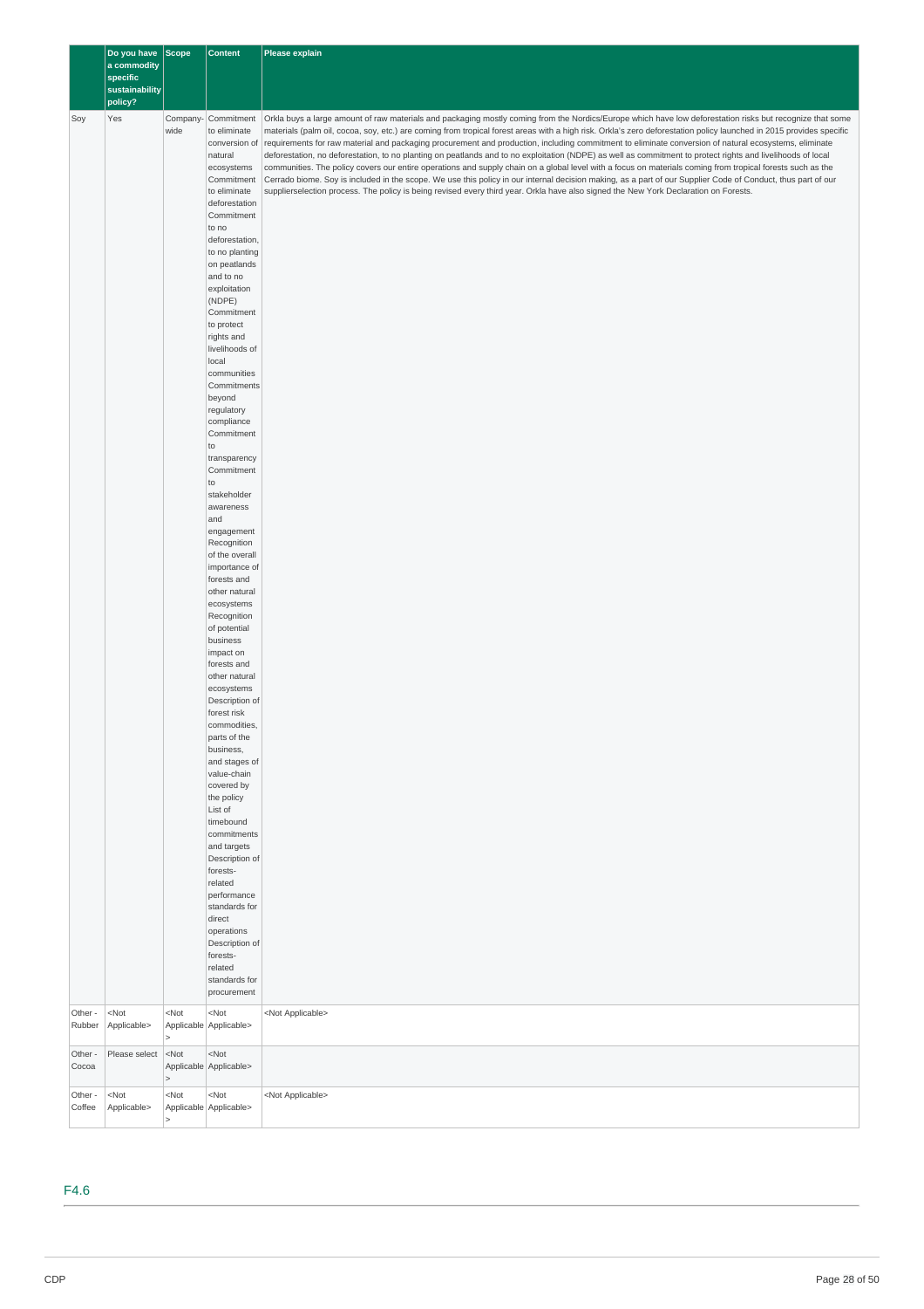|         | Do you have Scope       |         | <b>Content</b>                                        | Please explain                                                                                                                                                                                                                                                                                                                   |
|---------|-------------------------|---------|-------------------------------------------------------|----------------------------------------------------------------------------------------------------------------------------------------------------------------------------------------------------------------------------------------------------------------------------------------------------------------------------------|
|         | a commodity<br>specific |         |                                                       |                                                                                                                                                                                                                                                                                                                                  |
|         | sustainability          |         |                                                       |                                                                                                                                                                                                                                                                                                                                  |
|         | policy?                 |         |                                                       |                                                                                                                                                                                                                                                                                                                                  |
| Soy     | Yes                     | wide    | Company- Commitment<br>to eliminate                   | Orkla buys a large amount of raw materials and packaging mostly coming from the Nordics/Europe which have low deforestation risks but recognize that some<br>materials (palm oil, cocoa, soy, etc.) are coming from tropical forest areas with a high risk. Orkla's zero deforestation policy launched in 2015 provides specific |
|         |                         |         | conversion of                                         | requirements for raw material and packaging procurement and production, including commitment to eliminate conversion of natural ecosystems, eliminate                                                                                                                                                                            |
|         |                         |         | natural<br>ecosystems                                 | deforestation, no deforestation, to no planting on peatlands and to no exploitation (NDPE) as well as commitment to protect rights and livelihoods of local<br>communities. The policy covers our entire operations and supply chain on a global level with a focus on materials coming from tropical forests such as the        |
|         |                         |         | Commitment                                            | Cerrado biome. Soy is included in the scope. We use this policy in our internal decision making, as a part of our Supplier Code of Conduct, thus part of our                                                                                                                                                                     |
|         |                         |         | to eliminate                                          | supplierselection process. The policy is being revised every third year. Orkla have also signed the New York Declaration on Forests.                                                                                                                                                                                             |
|         |                         |         | deforestation<br>Commitment                           |                                                                                                                                                                                                                                                                                                                                  |
|         |                         |         | to no                                                 |                                                                                                                                                                                                                                                                                                                                  |
|         |                         |         | deforestation,                                        |                                                                                                                                                                                                                                                                                                                                  |
|         |                         |         | to no planting<br>on peatlands                        |                                                                                                                                                                                                                                                                                                                                  |
|         |                         |         | and to no                                             |                                                                                                                                                                                                                                                                                                                                  |
|         |                         |         | exploitation<br>(NDPE)                                |                                                                                                                                                                                                                                                                                                                                  |
|         |                         |         | Commitment                                            |                                                                                                                                                                                                                                                                                                                                  |
|         |                         |         | to protect                                            |                                                                                                                                                                                                                                                                                                                                  |
|         |                         |         | rights and<br>livelihoods of                          |                                                                                                                                                                                                                                                                                                                                  |
|         |                         |         | local                                                 |                                                                                                                                                                                                                                                                                                                                  |
|         |                         |         | communities<br>Commitments                            |                                                                                                                                                                                                                                                                                                                                  |
|         |                         |         | beyond                                                |                                                                                                                                                                                                                                                                                                                                  |
|         |                         |         | regulatory                                            |                                                                                                                                                                                                                                                                                                                                  |
|         |                         |         | compliance<br>Commitment                              |                                                                                                                                                                                                                                                                                                                                  |
|         |                         |         | to                                                    |                                                                                                                                                                                                                                                                                                                                  |
|         |                         |         | transparency<br>Commitment                            |                                                                                                                                                                                                                                                                                                                                  |
|         |                         |         | to                                                    |                                                                                                                                                                                                                                                                                                                                  |
|         |                         |         | stakeholder                                           |                                                                                                                                                                                                                                                                                                                                  |
|         |                         |         | awareness<br>and                                      |                                                                                                                                                                                                                                                                                                                                  |
|         |                         |         | engagement                                            |                                                                                                                                                                                                                                                                                                                                  |
|         |                         |         | Recognition<br>of the overall                         |                                                                                                                                                                                                                                                                                                                                  |
|         |                         |         | importance of                                         |                                                                                                                                                                                                                                                                                                                                  |
|         |                         |         | forests and<br>other natural                          |                                                                                                                                                                                                                                                                                                                                  |
|         |                         |         | ecosystems                                            |                                                                                                                                                                                                                                                                                                                                  |
|         |                         |         | Recognition                                           |                                                                                                                                                                                                                                                                                                                                  |
|         |                         |         | of potential<br>business                              |                                                                                                                                                                                                                                                                                                                                  |
|         |                         |         | impact on                                             |                                                                                                                                                                                                                                                                                                                                  |
|         |                         |         | forests and<br>other natural                          |                                                                                                                                                                                                                                                                                                                                  |
|         |                         |         | ecosystems                                            |                                                                                                                                                                                                                                                                                                                                  |
|         |                         |         | Description of                                        |                                                                                                                                                                                                                                                                                                                                  |
|         |                         |         | forest risk<br>commodities,                           |                                                                                                                                                                                                                                                                                                                                  |
|         |                         |         | parts of the                                          |                                                                                                                                                                                                                                                                                                                                  |
|         |                         |         | business,<br>and stages of                            |                                                                                                                                                                                                                                                                                                                                  |
|         |                         |         | value-chain                                           |                                                                                                                                                                                                                                                                                                                                  |
|         |                         |         | covered by<br>the policy                              |                                                                                                                                                                                                                                                                                                                                  |
|         |                         |         | List of                                               |                                                                                                                                                                                                                                                                                                                                  |
|         |                         |         | timebound                                             |                                                                                                                                                                                                                                                                                                                                  |
|         |                         |         | commitments<br>and targets                            |                                                                                                                                                                                                                                                                                                                                  |
|         |                         |         | Description of                                        |                                                                                                                                                                                                                                                                                                                                  |
|         |                         |         | forests-<br>related                                   |                                                                                                                                                                                                                                                                                                                                  |
|         |                         |         | performance                                           |                                                                                                                                                                                                                                                                                                                                  |
|         |                         |         | standards for<br>direct                               |                                                                                                                                                                                                                                                                                                                                  |
|         |                         |         | operations                                            |                                                                                                                                                                                                                                                                                                                                  |
|         |                         |         | Description of                                        |                                                                                                                                                                                                                                                                                                                                  |
|         |                         |         | forests-<br>related                                   |                                                                                                                                                                                                                                                                                                                                  |
|         |                         |         | standards for                                         |                                                                                                                                                                                                                                                                                                                                  |
|         |                         |         | procurement                                           |                                                                                                                                                                                                                                                                                                                                  |
| Other - | $<$ Not                 | $<$ Not | $<$ Not                                               | <not applicable=""></not>                                                                                                                                                                                                                                                                                                        |
| Rubber  | Applicable>             |         | Applicable Applicable>                                |                                                                                                                                                                                                                                                                                                                                  |
| Other - | Please select           | $<$ Not | $<$ Not                                               |                                                                                                                                                                                                                                                                                                                                  |
| Cocoa   |                         | $\geq$  | Applicable Applicable>                                |                                                                                                                                                                                                                                                                                                                                  |
| Other - | $<$ Not                 | $<$ Not | <not< td=""><td><not applicable=""></not></td></not<> | <not applicable=""></not>                                                                                                                                                                                                                                                                                                        |
| Coffee  | Applicable>             |         | Applicable Applicable>                                |                                                                                                                                                                                                                                                                                                                                  |

F4.6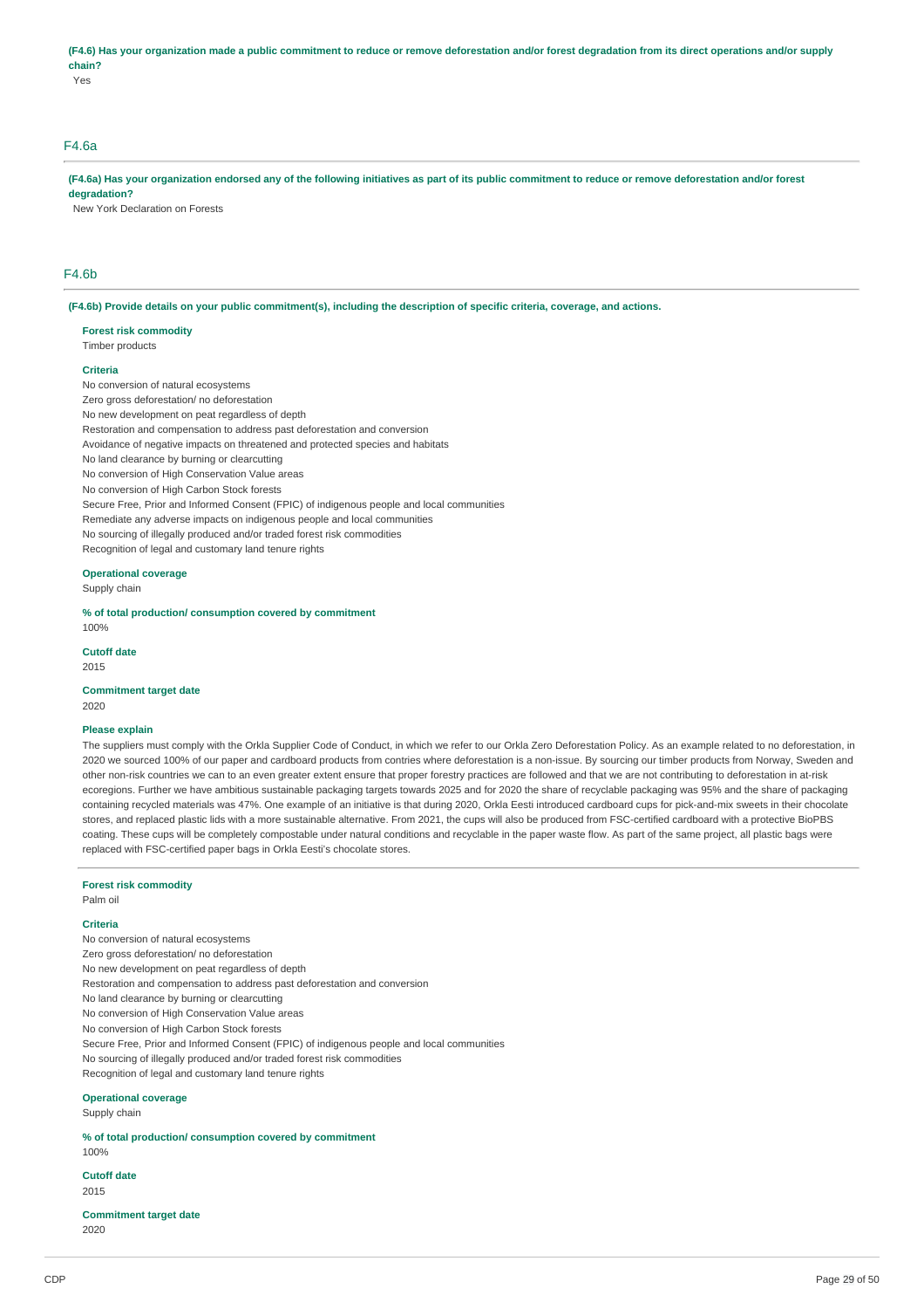### (F4.6) Has your organization made a public commitment to reduce or remove deforestation and/or forest degradation from its direct operations and/or supply **chain?**

Yes

# F4.6a

(F4.6a) Has your organization endorsed any of the following initiatives as part of its public commitment to reduce or remove deforestation and/or forest **degradation?**

New York Declaration on Forests

### F4.6b

(F4.6b) Provide details on your public commitment(s), including the description of specific criteria, coverage, and actions.

#### **Forest risk commodity** Timber products

### **Criteria**

No conversion of natural ecosystems Zero gross deforestation/ no deforestation No new development on peat regardless of depth Restoration and compensation to address past deforestation and conversion Avoidance of negative impacts on threatened and protected species and habitats No land clearance by burning or clearcutting No conversion of High Conservation Value areas No conversion of High Carbon Stock forests Secure Free, Prior and Informed Consent (FPIC) of indigenous people and local communities Remediate any adverse impacts on indigenous people and local communities No sourcing of illegally produced and/or traded forest risk commodities Recognition of legal and customary land tenure rights

### **Operational coverage**

Supply chain

**% of total production/ consumption covered by commitment** 100%

**Cutoff date** 2015

**Commitment target date** 2020

#### **Please explain**

The suppliers must comply with the Orkla Supplier Code of Conduct, in which we refer to our Orkla Zero Deforestation Policy. As an example related to no deforestation, in 2020 we sourced 100% of our paper and cardboard products from contries where deforestation is a non-issue. By sourcing our timber products from Norway, Sweden and other non-risk countries we can to an even greater extent ensure that proper forestry practices are followed and that we are not contributing to deforestation in at-risk ecoregions. Further we have ambitious sustainable packaging targets towards 2025 and for 2020 the share of recyclable packaging was 95% and the share of packaging containing recycled materials was 47%. One example of an initiative is that during 2020, Orkla Eesti introduced cardboard cups for pick-and-mix sweets in their chocolate stores, and replaced plastic lids with a more sustainable alternative. From 2021, the cups will also be produced from FSC-certified cardboard with a protective BioPBS coating. These cups will be completely compostable under natural conditions and recyclable in the paper waste flow. As part of the same project, all plastic bags were replaced with FSC-certified paper bags in Orkla Eesti's chocolate stores.

#### **Forest risk commodity**

Palm oil

### **Criteria**

No conversion of natural ecosystems Zero gross deforestation/ no deforestation No new development on peat regardless of depth Restoration and compensation to address past deforestation and conversion No land clearance by burning or clearcutting No conversion of High Conservation Value areas No conversion of High Carbon Stock forests Secure Free, Prior and Informed Consent (FPIC) of indigenous people and local communities No sourcing of illegally produced and/or traded forest risk commodities Recognition of legal and customary land tenure rights

### **Operational coverage**

Supply chain

**% of total production/ consumption covered by commitment** 100%

**Cutoff date** 2015

**Commitment target date** 2020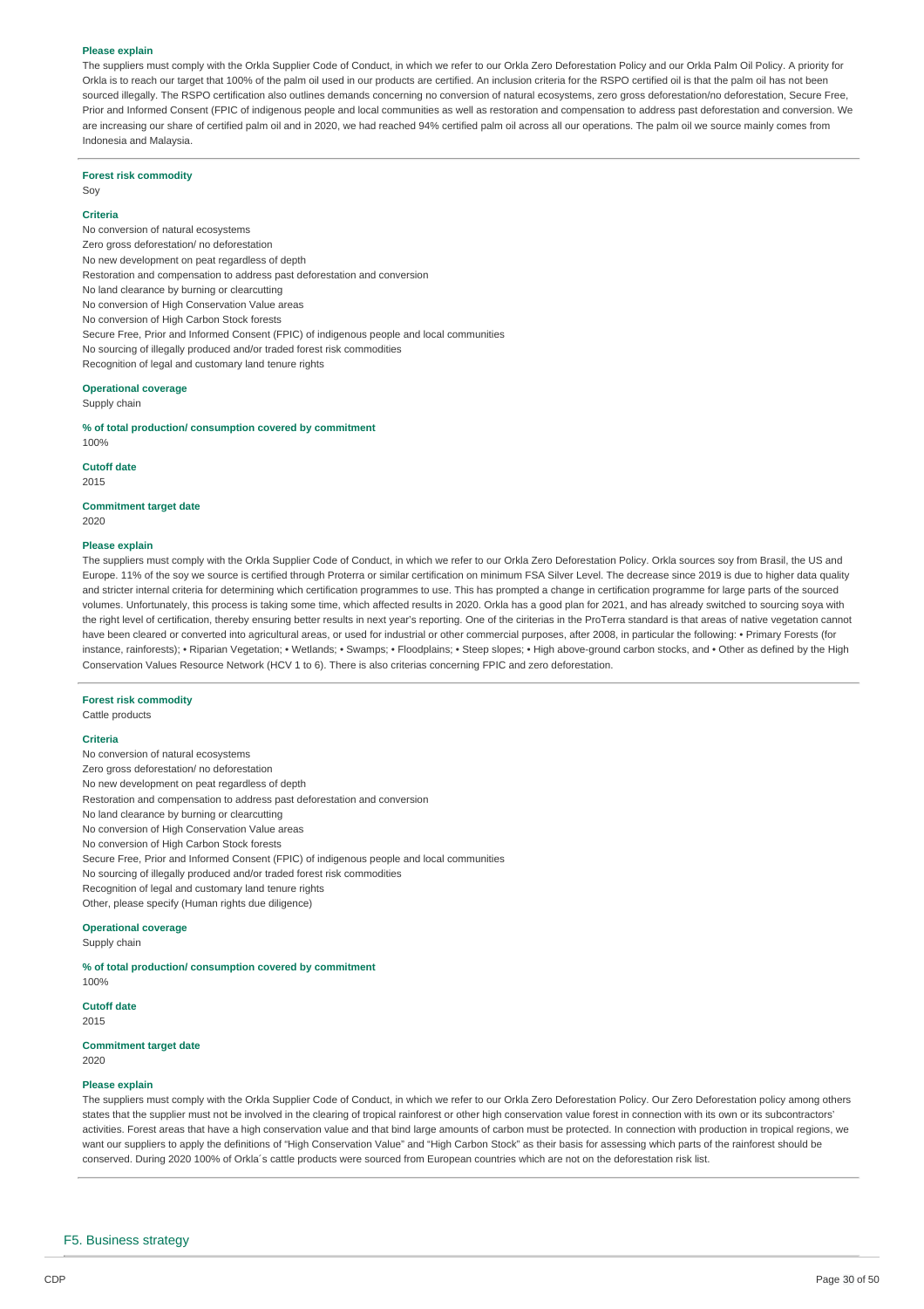#### **Please explain**

The suppliers must comply with the Orkla Supplier Code of Conduct, in which we refer to our Orkla Zero Deforestation Policy and our Orkla Palm Oil Policy. A priority for Orkla is to reach our target that 100% of the palm oil used in our products are certified. An inclusion criteria for the RSPO certified oil is that the palm oil has not been sourced illegally. The RSPO certification also outlines demands concerning no conversion of natural ecosystems, zero gross deforestation/no deforestation, Secure Free, Prior and Informed Consent (FPIC of indigenous people and local communities as well as restoration and compensation to address past deforestation and conversion. We are increasing our share of certified palm oil and in 2020, we had reached 94% certified palm oil across all our operations. The palm oil we source mainly comes from Indonesia and Malaysia.

#### **Forest risk commodity**

Soy

### **Criteria**

No conversion of natural ecosystems Zero gross deforestation/ no deforestation No new development on peat regardless of depth Restoration and compensation to address past deforestation and conversion No land clearance by burning or clearcutting No conversion of High Conservation Value areas No conversion of High Carbon Stock forests Secure Free, Prior and Informed Consent (FPIC) of indigenous people and local communities No sourcing of illegally produced and/or traded forest risk commodities Recognition of legal and customary land tenure rights

### **Operational coverage**

Supply chain

#### **% of total production/ consumption covered by commitment** 100%

**Cutoff date** 2015

#### **Commitment target date** 2020

#### **Please explain**

The suppliers must comply with the Orkla Supplier Code of Conduct, in which we refer to our Orkla Zero Deforestation Policy. Orkla sources soy from Brasil, the US and Europe. 11% of the soy we source is certified through Proterra or similar certification on minimum FSA Silver Level. The decrease since 2019 is due to higher data quality and stricter internal criteria for determining which certification programmes to use. This has prompted a change in certification programme for large parts of the sourced volumes. Unfortunately, this process is taking some time, which affected results in 2020. Orkla has a good plan for 2021, and has already switched to sourcing soya with the right level of certification, thereby ensuring better results in next year's reporting. One of the ciriterias in the ProTerra standard is that areas of native vegetation cannot have been cleared or converted into agricultural areas, or used for industrial or other commercial purposes, after 2008, in particular the following: • Primary Forests (for instance, rainforests); • Riparian Vegetation; • Wetlands; • Swamps; • Floodplains; • Steep slopes; • High above-ground carbon stocks, and • Other as defined by the High Conservation Values Resource Network (HCV 1 to 6). There is also criterias concerning FPIC and zero deforestation.

#### **Forest risk commodity**

Cattle products

#### **Criteria**

No conversion of natural ecosystems Zero gross deforestation/ no deforestation No new development on peat regardless of depth Restoration and compensation to address past deforestation and conversion No land clearance by burning or clearcutting No conversion of High Conservation Value areas No conversion of High Carbon Stock forests Secure Free, Prior and Informed Consent (FPIC) of indigenous people and local communities No sourcing of illegally produced and/or traded forest risk commodities Recognition of legal and customary land tenure rights Other, please specify (Human rights due diligence)

### **Operational coverage**

Supply chain

#### **% of total production/ consumption covered by commitment** 100%

**Cutoff date**

2015

#### **Commitment target date** 2020

#### **Please explain**

The suppliers must comply with the Orkla Supplier Code of Conduct, in which we refer to our Orkla Zero Deforestation Policy. Our Zero Deforestation policy among others states that the supplier must not be involved in the clearing of tropical rainforest or other high conservation value forest in connection with its own or its subcontractors' activities. Forest areas that have a high conservation value and that bind large amounts of carbon must be protected. In connection with production in tropical regions, we want our suppliers to apply the definitions of "High Conservation Value" and "High Carbon Stock" as their basis for assessing which parts of the rainforest should be conserved. During 2020 100% of Orkla´s cattle products were sourced from European countries which are not on the deforestation risk list.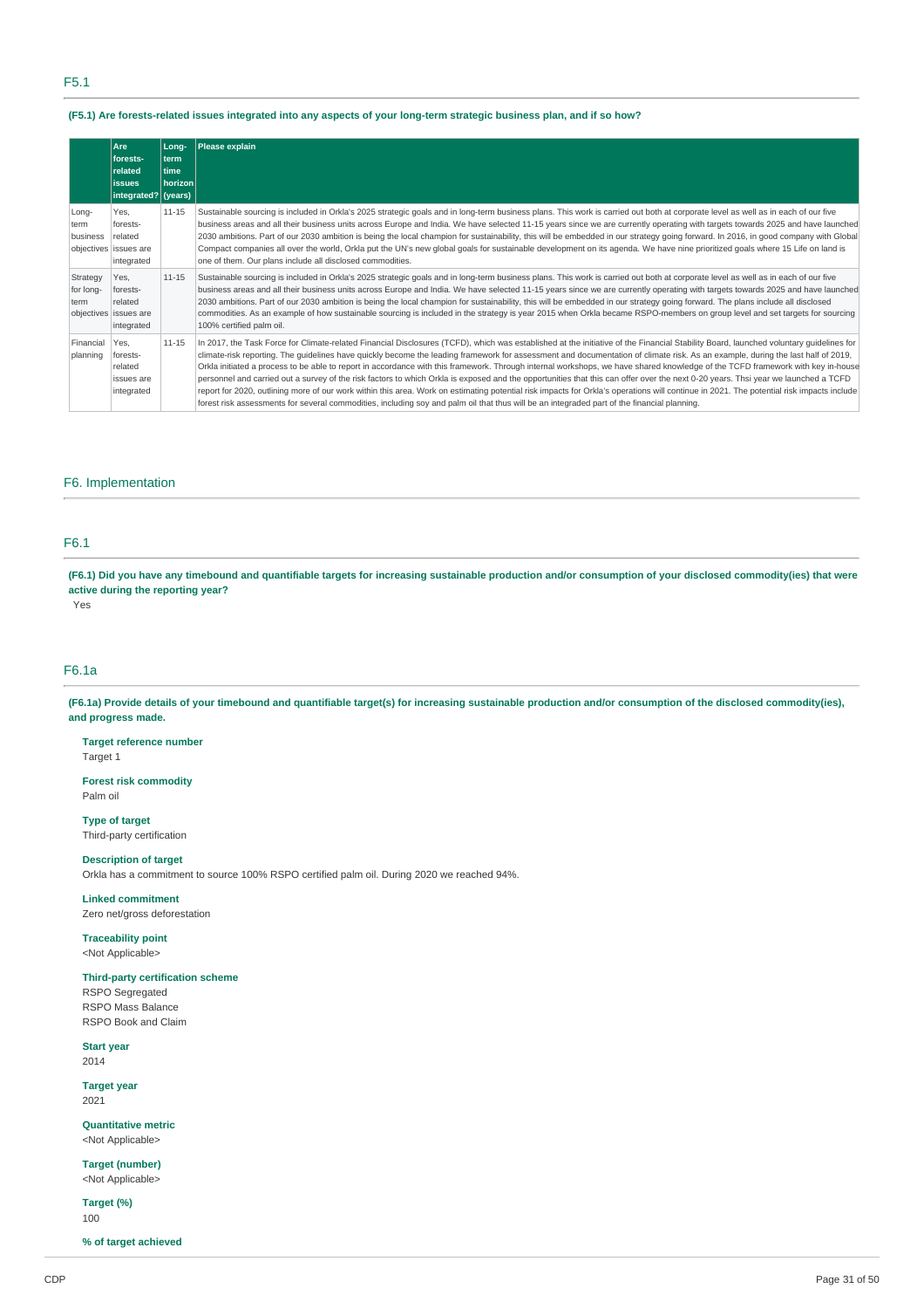### (F5.1) Are forests-related issues integrated into any aspects of your long-term strategic business plan, and if so how?

|                               | Are<br>forests-<br>related<br><b>lissues</b><br>integrated? (years) | Long-<br>term<br>l time<br><b>horizon</b> | Please explain                                                                                                                                                                                                                                                                                                                                                                                                                                                                                                                                                                                                                                                                                                                                                                                                                                                                                                                                                                                                                                                                             |
|-------------------------------|---------------------------------------------------------------------|-------------------------------------------|--------------------------------------------------------------------------------------------------------------------------------------------------------------------------------------------------------------------------------------------------------------------------------------------------------------------------------------------------------------------------------------------------------------------------------------------------------------------------------------------------------------------------------------------------------------------------------------------------------------------------------------------------------------------------------------------------------------------------------------------------------------------------------------------------------------------------------------------------------------------------------------------------------------------------------------------------------------------------------------------------------------------------------------------------------------------------------------------|
| Long-<br>term<br>business     | Yes,<br>forests-<br>related<br>objectives issues are<br>integrated  | 11-15                                     | Sustainable sourcing is included in Orkla's 2025 strategic goals and in long-term business plans. This work is carried out both at corporate level as well as in each of our five<br>business areas and all their business units across Europe and India. We have selected 11-15 years since we are currently operating with targets towards 2025 and have launched<br>2030 ambitions. Part of our 2030 ambition is being the local champion for sustainability, this will be embedded in our strategy going forward. In 2016, in good company with Global<br>Compact companies all over the world, Orkla put the UN's new global goals for sustainable development on its agenda. We have nine prioritized goals where 15 Life on land is<br>one of them. Our plans include all disclosed commodities.                                                                                                                                                                                                                                                                                    |
| Strategy<br>for long-<br>term | Yes.<br>forests-<br>related<br>objectives issues are<br>integrated  | $11 - 15$                                 | Sustainable sourcing is included in Orkla's 2025 strategic goals and in long-term business plans. This work is carried out both at corporate level as well as in each of our five<br>business areas and all their business units across Europe and India. We have selected 11-15 years since we are currently operating with targets towards 2025 and have launched<br>2030 ambitions. Part of our 2030 ambition is being the local champion for sustainability, this will be embedded in our strategy going forward. The plans include all disclosed<br>commodities. As an example of how sustainable sourcing is included in the strategy is year 2015 when Orkla became RSPO-members on group level and set targets for sourcing<br>100% certified palm oil.                                                                                                                                                                                                                                                                                                                            |
| Financial<br>planning         | Yes.<br>forests-<br>related<br>issues are<br>integrated             | 11-15                                     | In 2017, the Task Force for Climate-related Financial Disclosures (TCFD), which was established at the initiative of the Financial Stability Board, launched voluntary quidelines for<br>climate-risk reporting. The quidelines have quickly become the leading framework for assessment and documentation of climate risk. As an example, during the last half of 2019,<br>Orkla initiated a process to be able to report in accordance with this framework. Through internal workshops, we have shared knowledge of the TCFD framework with key in-house<br>personnel and carried out a survey of the risk factors to which Orkla is exposed and the opportunities that this can offer over the next 0-20 years. Thsi year we launched a TCFD<br>report for 2020, outlining more of our work within this area. Work on estimating potential risk impacts for Orkla's operations will continue in 2021. The potential risk impacts include<br>forest risk assessments for several commodities, including soy and palm oil that thus will be an integraded part of the financial planning. |

### F6. Implementation

### F6.1

(F6.1) Did you have any timebound and quantifiable targets for increasing sustainable production and/or consumption of your disclosed commodity(ies) that were **active during the reporting year?**

Yes

### F6.1a

(F6.1a) Provide details of your timebound and quantifiable target(s) for increasing sustainable production and/or consumption of the disclosed commodity(ies), **and progress made.**

**Target reference number** Target 1

**Forest risk commodity** Palm oil

**Type of target** Third-party certification

### **Description of target**

Orkla has a commitment to source 100% RSPO certified palm oil. During 2020 we reached 94%.

### **Linked commitment**

Zero net/gross deforestation

**Traceability point** <Not Applicable>

# **Third-party certification scheme**

RSPO Segregated RSPO Mass Balance RSPO Book and Claim

#### **Start year** 2014

**Target year** 2021

**Quantitative metric** <Not Applicable>

**Target (number)** <Not Applicable>

**Target (%)** 100

**% of target achieved**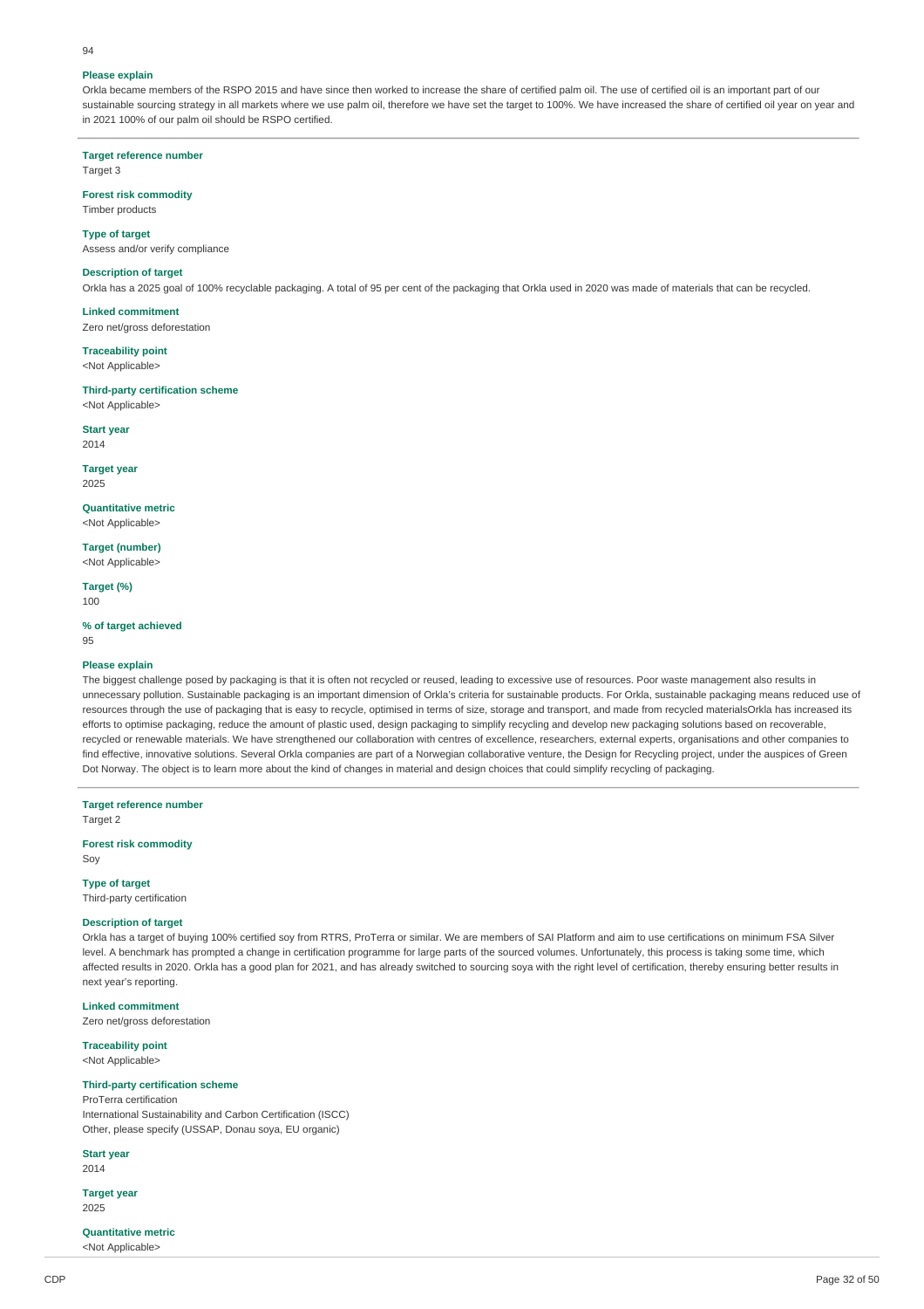#### **Please explain**

 $04$ 

Orkla became members of the RSPO 2015 and have since then worked to increase the share of certified palm oil. The use of certified oil is an important part of our sustainable sourcing strategy in all markets where we use palm oil, therefore we have set the target to 100%. We have increased the share of certified oil year on year and in 2021 100% of our palm oil should be RSPO certified.

**Target reference number** Target 3

**Forest risk commodity**

Timber products

**Type of target** Assess and/or verify compliance

#### **Description of target**

Orkla has a 2025 goal of 100% recyclable packaging. A total of 95 per cent of the packaging that Orkla used in 2020 was made of materials that can be recycled.

**Linked commitment** Zero net/gross deforestation

**Traceability point**

<Not Applicable>

**Third-party certification scheme** <Not Applicable>

**Start year**

2014

**Target year** 2025

**Quantitative metric** <Not Applicable>

**Target (number)** <Not Applicable>

**Target (%)** 100

**% of target achieved** 95

#### **Please explain**

The biggest challenge posed by packaging is that it is often not recycled or reused, leading to excessive use of resources. Poor waste management also results in unnecessary pollution. Sustainable packaging is an important dimension of Orkla's criteria for sustainable products. For Orkla, sustainable packaging means reduced use of resources through the use of packaging that is easy to recycle, optimised in terms of size, storage and transport, and made from recycled materialsOrkla has increased its efforts to optimise packaging, reduce the amount of plastic used, design packaging to simplify recycling and develop new packaging solutions based on recoverable, recycled or renewable materials. We have strengthened our collaboration with centres of excellence, researchers, external experts, organisations and other companies to find effective, innovative solutions. Several Orkla companies are part of a Norwegian collaborative venture, the Design for Recycling project, under the auspices of Green Dot Norway. The object is to learn more about the kind of changes in material and design choices that could simplify recycling of packaging.

**Target reference number** Target 2

**Forest risk commodity**

Soy

**Type of target** Third-party certification

### **Description of target**

Orkla has a target of buying 100% certified soy from RTRS, ProTerra or similar. We are members of SAI Platform and aim to use certifications on minimum FSA Silver level. A benchmark has prompted a change in certification programme for large parts of the sourced volumes. Unfortunately, this process is taking some time, which affected results in 2020. Orkla has a good plan for 2021, and has already switched to sourcing soya with the right level of certification, thereby ensuring better results in next year's reporting.

**Linked commitment**

Zero net/gross deforestation

**Traceability point** <Not Applicable>

#### **Third-party certification scheme**

ProTerra certification International Sustainability and Carbon Certification (ISCC) Other, please specify (USSAP, Donau soya, EU organic)

**Start year** 2014

**Target year** 2025

**Quantitative metric** <Not Applicable>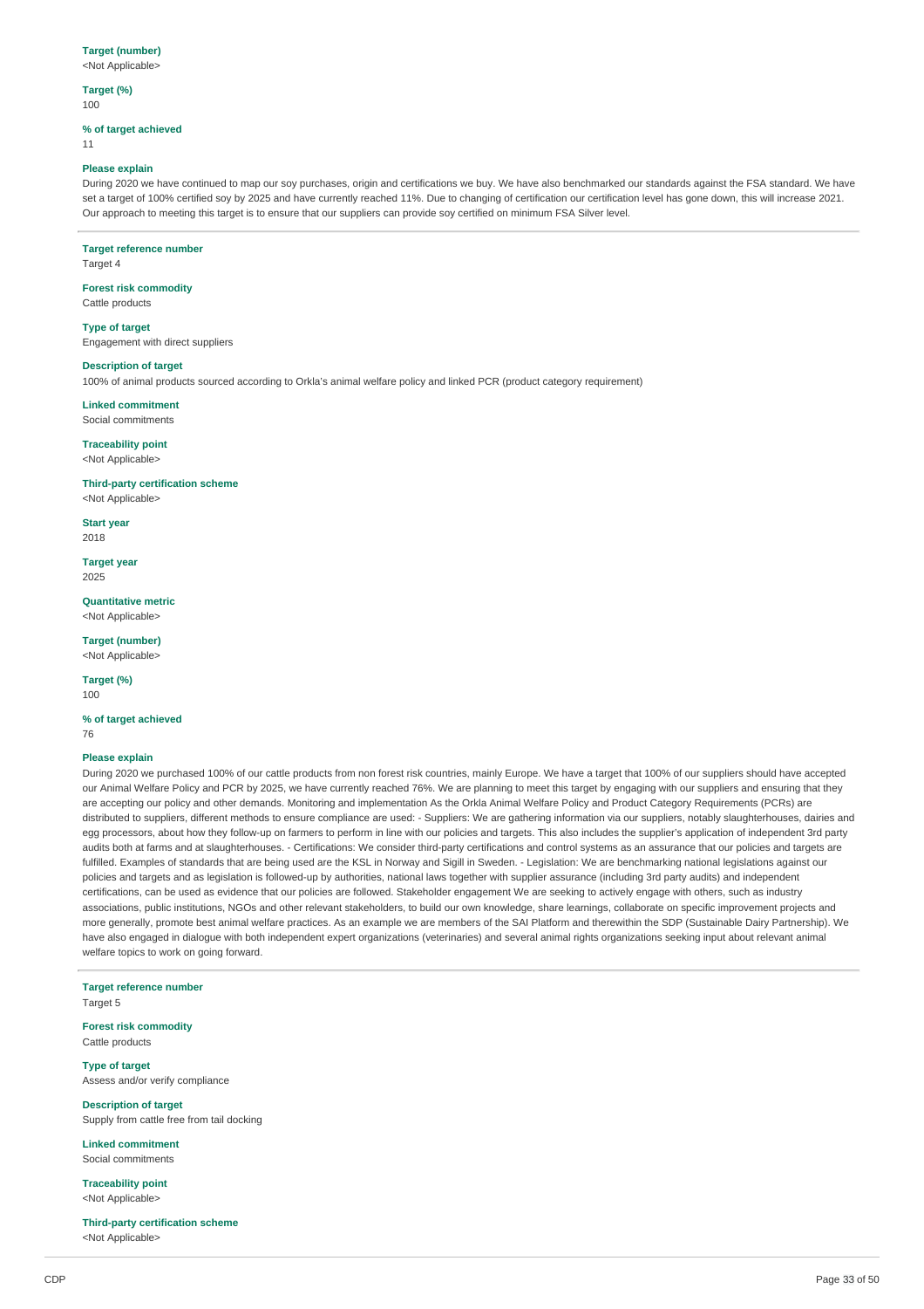### **Target (number)**

<Not Applicable>

#### **Target (%)** 100

### **% of target achieved**

11

#### **Please explain**

During 2020 we have continued to map our soy purchases, origin and certifications we buy. We have also benchmarked our standards against the FSA standard. We have set a target of 100% certified soy by 2025 and have currently reached 11%. Due to changing of certification our certification level has gone down, this will increase 2021. Our approach to meeting this target is to ensure that our suppliers can provide soy certified on minimum FSA Silver level.

### **Target reference number**

Target 4

### **Forest risk commodity**

Cattle products

#### **Type of target**

Engagement with direct suppliers

### **Description of target**

100% of animal products sourced according to Orkla's animal welfare policy and linked PCR (product category requirement)

#### **Linked commitment** Social commitments

**Traceability point**

### <Not Applicable>

### **Third-party certification scheme**

<Not Applicable>

**Start year** 2018

#### **Target year** 2025

**Quantitative metric** <Not Applicable>

### **Target (number)**

<Not Applicable>

#### **Target (%)** 100

### **% of target achieved** 76

### **Please explain**

During 2020 we purchased 100% of our cattle products from non forest risk countries, mainly Europe. We have a target that 100% of our suppliers should have accepted our Animal Welfare Policy and PCR by 2025, we have currently reached 76%. We are planning to meet this target by engaging with our suppliers and ensuring that they are accepting our policy and other demands. Monitoring and implementation As the Orkla Animal Welfare Policy and Product Category Requirements (PCRs) are distributed to suppliers, different methods to ensure compliance are used: - Suppliers: We are gathering information via our suppliers, notably slaughterhouses, dairies and egg processors, about how they follow-up on farmers to perform in line with our policies and targets. This also includes the supplier's application of independent 3rd party audits both at farms and at slaughterhouses. - Certifications: We consider third-party certifications and control systems as an assurance that our policies and targets are fulfilled. Examples of standards that are being used are the KSL in Norway and Sigill in Sweden. - Legislation: We are benchmarking national legislations against our policies and targets and as legislation is followed-up by authorities, national laws together with supplier assurance (including 3rd party audits) and independent certifications, can be used as evidence that our policies are followed. Stakeholder engagement We are seeking to actively engage with others, such as industry associations, public institutions, NGOs and other relevant stakeholders, to build our own knowledge, share learnings, collaborate on specific improvement projects and more generally, promote best animal welfare practices. As an example we are members of the SAI Platform and therewithin the SDP (Sustainable Dairy Partnership). We have also engaged in dialogue with both independent expert organizations (veterinaries) and several animal rights organizations seeking input about relevant animal welfare topics to work on going forward.

**Target reference number** Target 5

### **Forest risk commodity** Cattle products

**Type of target** Assess and/or verify compliance

**Description of target** Supply from cattle free from tail docking

**Linked commitment** Social commitments

**Traceability point** <Not Applicable>

#### **Third-party certification scheme** <Not Applicable>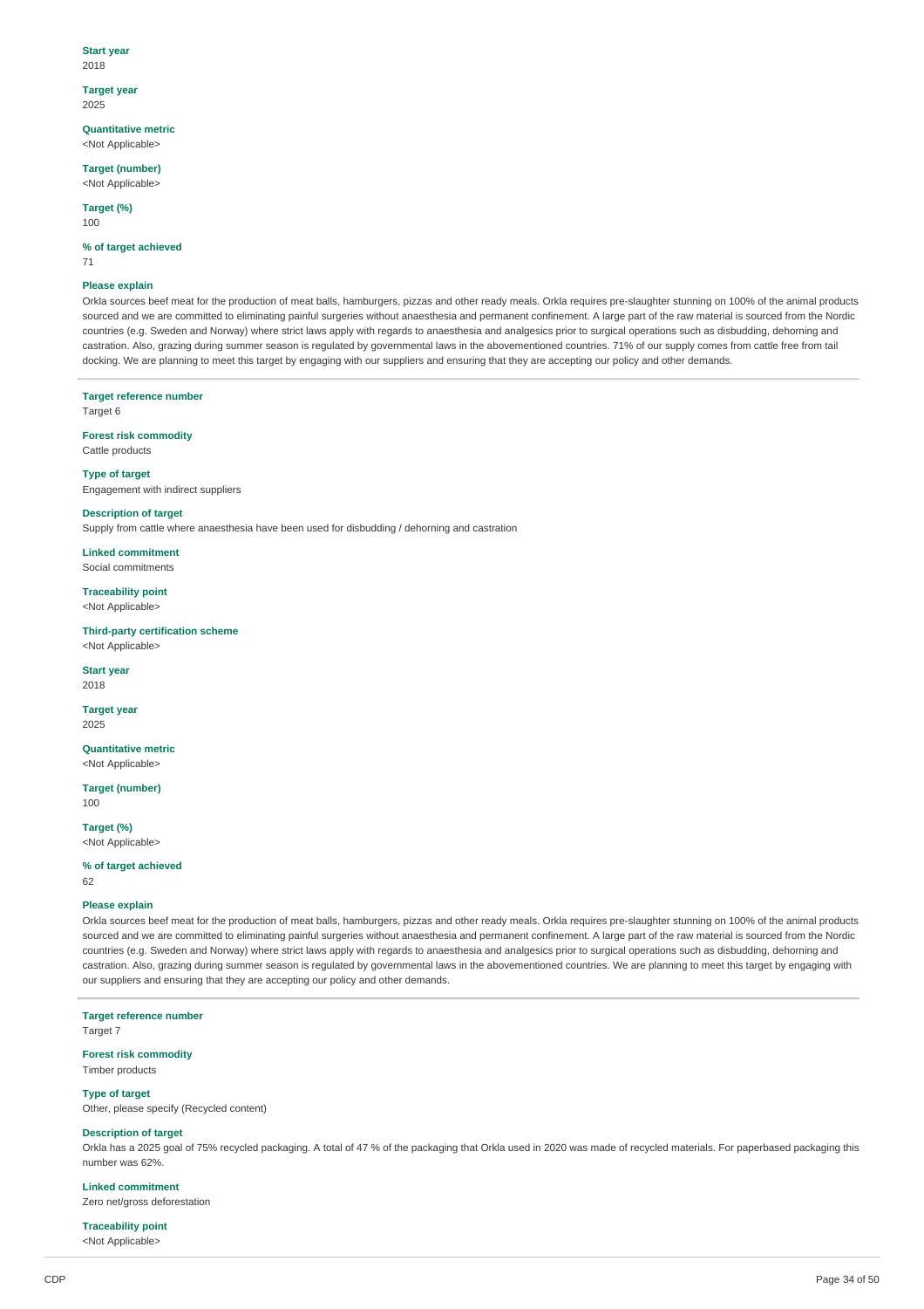#### **Start year** 2018

**Target year**

### 2025

**Quantitative metric** <Not Applicable>

**Target (number)** <Not Applicable>

**Target (%)**

100

#### **% of target achieved** 71

### **Please explain**

Orkla sources beef meat for the production of meat balls, hamburgers, pizzas and other ready meals. Orkla requires pre-slaughter stunning on 100% of the animal products sourced and we are committed to eliminating painful surgeries without anaesthesia and permanent confinement. A large part of the raw material is sourced from the Nordic countries (e.g. Sweden and Norway) where strict laws apply with regards to anaesthesia and analgesics prior to surgical operations such as disbudding, dehorning and castration. Also, grazing during summer season is regulated by governmental laws in the abovementioned countries. 71% of our supply comes from cattle free from tail docking. We are planning to meet this target by engaging with our suppliers and ensuring that they are accepting our policy and other demands.

#### **Target reference number**

Target 6

#### **Forest risk commodity** Cattle products

**Type of target** Engagement with indirect suppliers

### **Description of target**

Supply from cattle where anaesthesia have been used for disbudding / dehorning and castration

**Linked commitment** Social commitments

**Traceability point** <Not Applicable>

**Third-party certification scheme** <Not Applicable>

### **Start year**

2018

**Target year** 2025

**Quantitative metric** <Not Applicable>

**Target (number)** 100

**Target (%)**

# <Not Applicable>

**% of target achieved**

62

#### **Please explain**

Orkla sources beef meat for the production of meat balls, hamburgers, pizzas and other ready meals. Orkla requires pre-slaughter stunning on 100% of the animal products sourced and we are committed to eliminating painful surgeries without anaesthesia and permanent confinement. A large part of the raw material is sourced from the Nordic countries (e.g. Sweden and Norway) where strict laws apply with regards to anaesthesia and analgesics prior to surgical operations such as disbudding, dehorning and castration. Also, grazing during summer season is regulated by governmental laws in the abovementioned countries. We are planning to meet this target by engaging with our suppliers and ensuring that they are accepting our policy and other demands.

**Target reference number** Target 7

**Forest risk commodity** Timber products

**Type of target**

Other, please specify (Recycled content)

#### **Description of target**

Orkla has a 2025 goal of 75% recycled packaging. A total of 47 % of the packaging that Orkla used in 2020 was made of recycled materials. For paperbased packaging this number was 62%.

### **Linked commitment**

Zero net/gross deforestation

#### **Traceability point** <Not Applicable>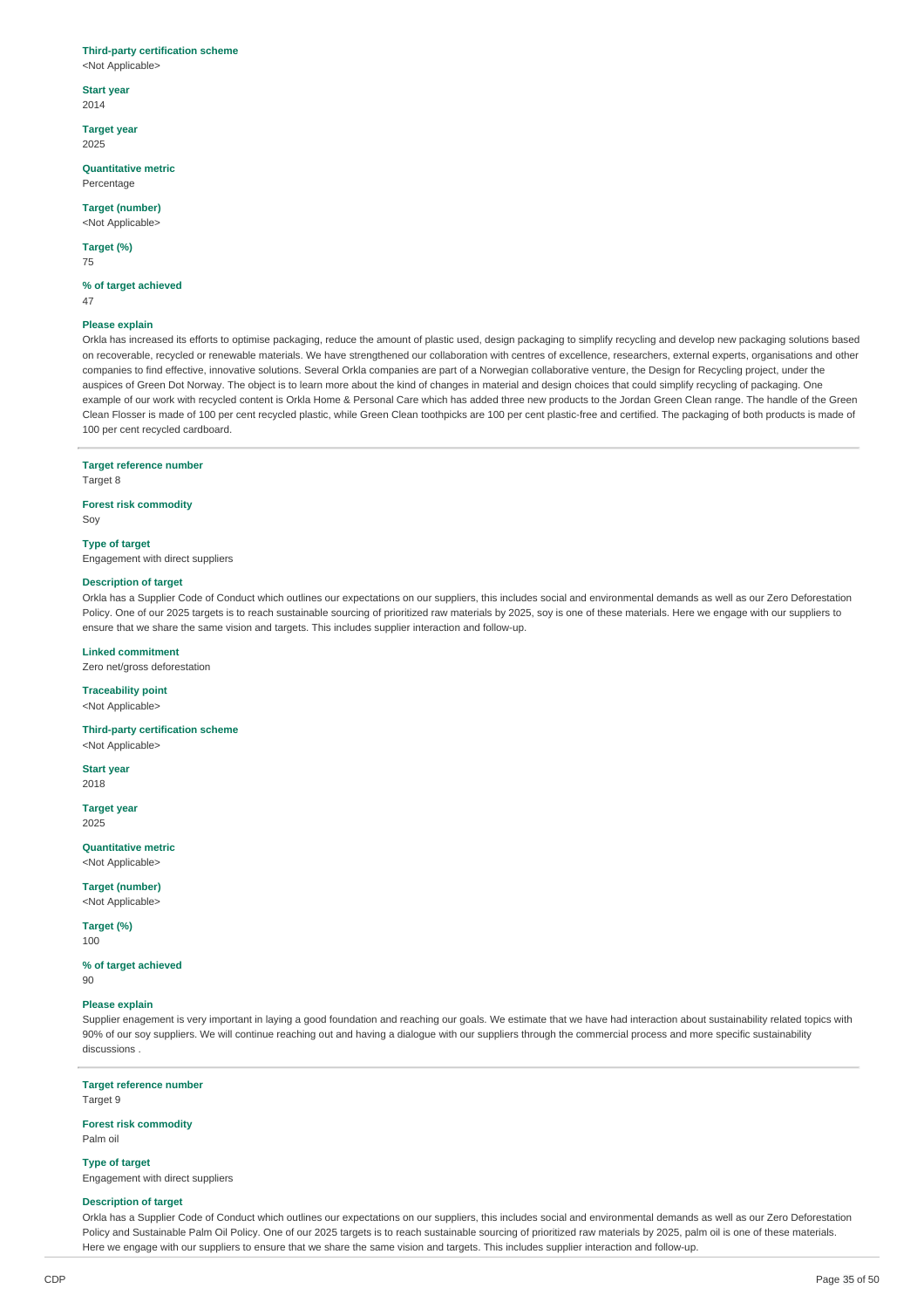#### **Third-party certification scheme**

<Not Applicable>

**Start year** 2014

**Target year** 2025

**Quantitative metric** Percentage

**Target (number)** <Not Applicable>

**Target (%)**

75

**% of target achieved** 47

#### **Please explain**

Orkla has increased its efforts to optimise packaging, reduce the amount of plastic used, design packaging to simplify recycling and develop new packaging solutions based on recoverable, recycled or renewable materials. We have strengthened our collaboration with centres of excellence, researchers, external experts, organisations and other companies to find effective, innovative solutions. Several Orkla companies are part of a Norwegian collaborative venture, the Design for Recycling project, under the auspices of Green Dot Norway. The object is to learn more about the kind of changes in material and design choices that could simplify recycling of packaging. One example of our work with recycled content is Orkla Home & Personal Care which has added three new products to the Jordan Green Clean range. The handle of the Green Clean Flosser is made of 100 per cent recycled plastic, while Green Clean toothpicks are 100 per cent plastic-free and certified. The packaging of both products is made of 100 per cent recycled cardboard.

#### **Target reference number**

Target 8

#### **Forest risk commodity**

Soy

#### **Type of target**

Engagement with direct suppliers

### **Description of target**

Orkla has a Supplier Code of Conduct which outlines our expectations on our suppliers, this includes social and environmental demands as well as our Zero Deforestation Policy. One of our 2025 targets is to reach sustainable sourcing of prioritized raw materials by 2025, soy is one of these materials. Here we engage with our suppliers to ensure that we share the same vision and targets. This includes supplier interaction and follow-up.

#### **Linked commitment**

Zero net/gross deforestation

#### **Traceability point**

<Not Applicable>

#### **Third-party certification scheme**

<Not Applicable>

**Start year** 2018

**Target year**

2025

#### **Quantitative metric** <Not Applicable>

**Target (number)**

<Not Applicable>

#### **Target (%)** 100

**% of target achieved**  $90$ 

#### **Please explain**

Supplier enagement is very important in laying a good foundation and reaching our goals. We estimate that we have had interaction about sustainability related topics with 90% of our soy suppliers. We will continue reaching out and having a dialogue with our suppliers through the commercial process and more specific sustainability discussions .

#### **Target reference number**

Target 9

#### **Forest risk commodity** Palm oil

**Type of target**

Engagement with direct suppliers

#### **Description of target**

Orkla has a Supplier Code of Conduct which outlines our expectations on our suppliers, this includes social and environmental demands as well as our Zero Deforestation Policy and Sustainable Palm Oil Policy. One of our 2025 targets is to reach sustainable sourcing of prioritized raw materials by 2025, palm oil is one of these materials. Here we engage with our suppliers to ensure that we share the same vision and targets. This includes supplier interaction and follow-up.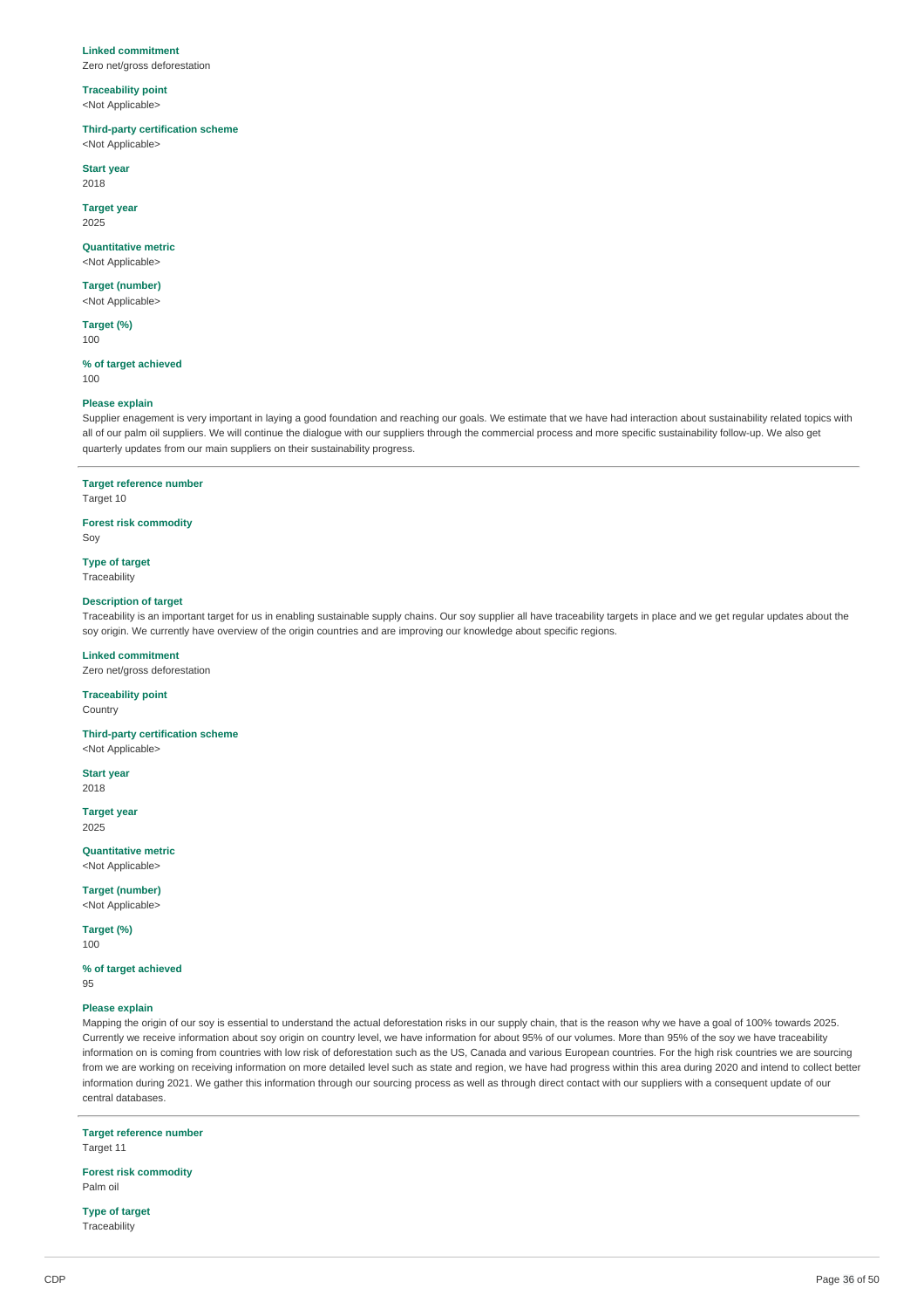#### **Linked commitment**

Zero net/gross deforestation

### **Traceability point** <Not Applicable>

### **Third-party certification scheme**

<Not Applicable>

**Start year** 2018

# **Target year**

2025

### **Quantitative metric** <Not Applicable>

**Target (number)**

### <Not Applicable>

**Target (%)** 100

#### **% of target achieved** 100

## **Please explain**

Supplier enagement is very important in laying a good foundation and reaching our goals. We estimate that we have had interaction about sustainability related topics with all of our palm oil suppliers. We will continue the dialogue with our suppliers through the commercial process and more specific sustainability follow-up. We also get quarterly updates from our main suppliers on their sustainability progress.

#### **Target reference number**

Target 10

### **Forest risk commodity**

Soy

**Type of target** Traceability

#### **Description of target**

Traceability is an important target for us in enabling sustainable supply chains. Our soy supplier all have traceability targets in place and we get regular updates about the soy origin. We currently have overview of the origin countries and are improving our knowledge about specific regions.

### **Linked commitment**

Zero net/gross deforestation

### **Traceability point**

**Country** 

### **Third-party certification scheme**

<Not Applicable>

**Start year** 2018

## **Target year**

2025

#### **Quantitative metric** <Not Applicable>

**Target (number)**

<Not Applicable>

#### **Target (%)** 100

**% of target achieved**

 $Q5$ 

#### **Please explain**

Mapping the origin of our soy is essential to understand the actual deforestation risks in our supply chain, that is the reason why we have a goal of 100% towards 2025. Currently we receive information about soy origin on country level, we have information for about 95% of our volumes. More than 95% of the soy we have traceability information on is coming from countries with low risk of deforestation such as the US, Canada and various European countries. For the high risk countries we are sourcing from we are working on receiving information on more detailed level such as state and region, we have had progress within this area during 2020 and intend to collect better information during 2021. We gather this information through our sourcing process as well as through direct contact with our suppliers with a consequent update of our central databases.

### **Target reference number**

Target 11

#### **Forest risk commodity** Palm oil

**Type of target** Traceability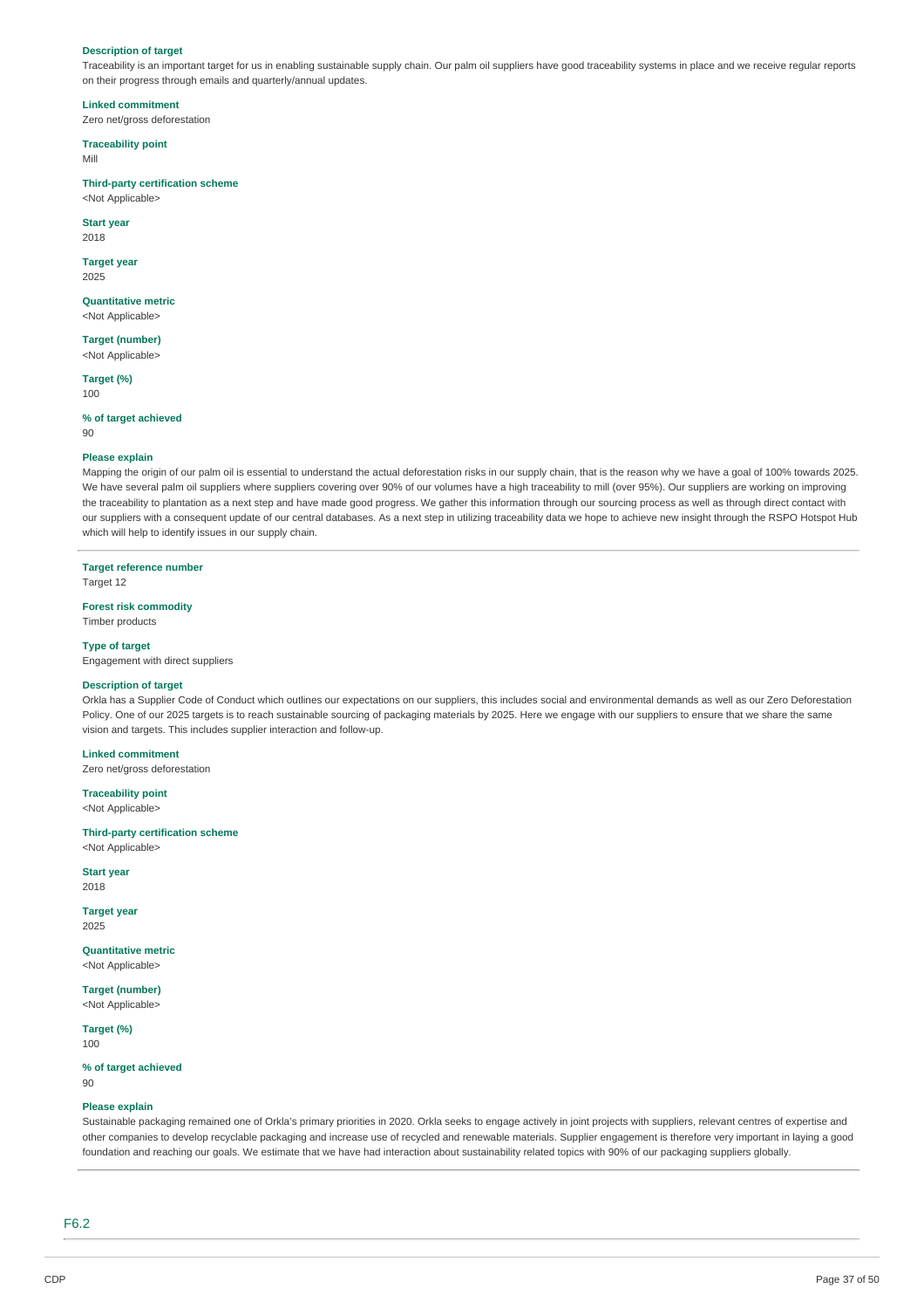#### **Description of target**

Traceability is an important target for us in enabling sustainable supply chain. Our palm oil suppliers have good traceability systems in place and we receive regular reports on their progress through emails and quarterly/annual updates.

**Linked commitment** Zero net/gross deforestation

**Traceability point**

Mill

#### **Third-party certification scheme**

<Not Applicable>

### **Start year**

2018

### **Target year**

2025

#### **Quantitative metric** <Not Applicable>

**Target (number)** <Not Applicable>

**Target (%)** 100

#### **% of target achieved** 90

### **Please explain**

Mapping the origin of our palm oil is essential to understand the actual deforestation risks in our supply chain, that is the reason why we have a goal of 100% towards 2025. We have several palm oil suppliers where suppliers covering over 90% of our volumes have a high traceability to mill (over 95%). Our suppliers are working on improving the traceability to plantation as a next step and have made good progress. We gather this information through our sourcing process as well as through direct contact with our suppliers with a consequent update of our central databases. As a next step in utilizing traceability data we hope to achieve new insight through the RSPO Hotspot Hub which will help to identify issues in our supply chain.

### **Target reference number**

Target 12

# **Forest risk commodity**

Timber products

## **Type of target**

Engagement with direct suppliers

#### **Description of target**

Orkla has a Supplier Code of Conduct which outlines our expectations on our suppliers, this includes social and environmental demands as well as our Zero Deforestation Policy. One of our 2025 targets is to reach sustainable sourcing of packaging materials by 2025. Here we engage with our suppliers to ensure that we share the same vision and targets. This includes supplier interaction and follow-up.

### **Linked commitment**

Zero net/gross deforestation

#### **Traceability point** <Not Applicable>

**Third-party certification scheme**

### <Not Applicable>

**Start year** 2018

#### **Target year** 2025

**Quantitative metric** <Not Applicable>

# **Target (number)**

<Not Applicable>

#### **Target (%)** 100

#### **% of target achieved** 90

#### **Please explain**

Sustainable packaging remained one of Orkla's primary priorities in 2020. Orkla seeks to engage actively in joint projects with suppliers, relevant centres of expertise and other companies to develop recyclable packaging and increase use of recycled and renewable materials. Supplier engagement is therefore very important in laying a good foundation and reaching our goals. We estimate that we have had interaction about sustainability related topics with 90% of our packaging suppliers globally.

F6.2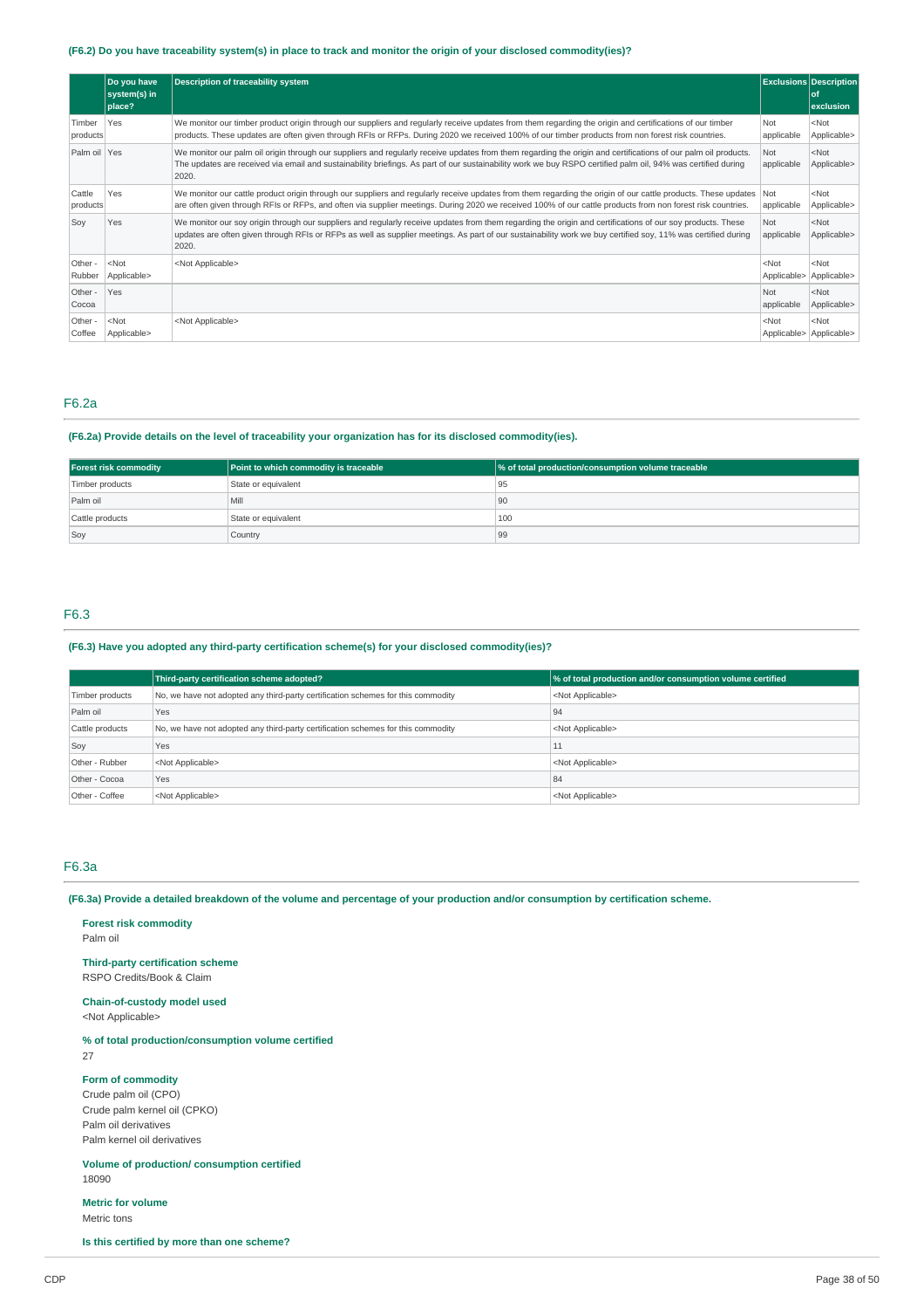### (F6.2) Do you have traceability system(s) in place to track and monitor the origin of your disclosed commodity(ies)?

|                    | Do you have<br>system(s) in | <b>Description of traceability system</b>                                                                                                                                                                                                                                                                                               |                        | <b>Exclusions Description</b><br><b>of</b> |
|--------------------|-----------------------------|-----------------------------------------------------------------------------------------------------------------------------------------------------------------------------------------------------------------------------------------------------------------------------------------------------------------------------------------|------------------------|--------------------------------------------|
|                    | place?                      |                                                                                                                                                                                                                                                                                                                                         |                        | exclusion                                  |
| Timber<br>products | Yes                         | We monitor our timber product origin through our suppliers and regularly receive updates from them regarding the origin and certifications of our timber<br>products. These updates are often given through RFIs or RFPs. During 2020 we received 100% of our timber products from non forest risk countries.                           | Not<br>applicable      | $<$ Not<br>Applicable>                     |
| Palm oil Yes       |                             | We monitor our palm oil origin through our suppliers and regularly receive updates from them regarding the origin and certifications of our palm oil products.<br>The updates are received via email and sustainability briefings. As part of our sustainability work we buy RSPO certified palm oil, 94% was certified during<br>2020. | Not<br>applicable      | $<$ Not<br>Applicable>                     |
| Cattle<br>products | Yes                         | We monitor our cattle product origin through our suppliers and regularly receive updates from them regarding the origin of our cattle products. These updates<br>are often given through RFIs or RFPs, and often via supplier meetings. During 2020 we received 100% of our cattle products from non forest risk countries.             | Not<br>applicable      | $<$ Not<br>Applicable>                     |
| Soy                | Yes                         | We monitor our soy origin through our suppliers and regularly receive updates from them regarding the origin and certifications of our soy products. These<br>updates are often given through RFIs or RFPs as well as supplier meetings. As part of our sustainability work we buy certified soy, 11% was certified during<br>2020.     | Not<br>applicable      | $<$ Not<br>Applicable>                     |
| Other -<br>Rubber  | $<$ Not<br>Applicable>      | <not applicable=""></not>                                                                                                                                                                                                                                                                                                               | $<$ Not<br>Applicable> | $<$ Not<br>Applicable>                     |
| Other -<br>Cocoa   | Yes                         |                                                                                                                                                                                                                                                                                                                                         | Not<br>applicable      | $<$ Not<br>Applicable>                     |
| Other -<br>Coffee  | $<$ Not<br>Applicable>      | <not applicable=""></not>                                                                                                                                                                                                                                                                                                               | $<$ Not                | $<$ Not<br>Applicable>   Applicable>       |

### F6.2a

#### **(F6.2a) Provide details on the level of traceability your organization has for its disclosed commodity(ies).**

| <b>Forest risk commodity</b> | Point to which commodity is traceable | % of total production/consumption volume traceable |
|------------------------------|---------------------------------------|----------------------------------------------------|
| Timber products              | State or equivalent                   | 95                                                 |
| Palm oil                     | Mill                                  | 90                                                 |
| Cattle products              | State or equivalent                   | 100                                                |
| Soy                          | Country                               | 99                                                 |

### F6.3

### **(F6.3) Have you adopted any third-party certification scheme(s) for your disclosed commodity(ies)?**

|                 | Third-party certification scheme adopted?                                        | % of total production and/or consumption volume certified |  |  |
|-----------------|----------------------------------------------------------------------------------|-----------------------------------------------------------|--|--|
| Timber products | No, we have not adopted any third-party certification schemes for this commodity | <not applicable=""></not>                                 |  |  |
| Palm oil        | Yes                                                                              | 94                                                        |  |  |
| Cattle products | No, we have not adopted any third-party certification schemes for this commodity | <not applicable=""></not>                                 |  |  |
| Soy             | Yes                                                                              | 11                                                        |  |  |
| Other - Rubber  | <not applicable=""></not>                                                        | <not applicable=""></not>                                 |  |  |
| Other - Cocoa   | Yes                                                                              | 84                                                        |  |  |
| Other - Coffee  | <not applicable=""></not>                                                        | <not applicable=""></not>                                 |  |  |

### F6.3a

(F6.3a) Provide a detailed breakdown of the volume and percentage of your production and/or consumption by certification scheme.

**Forest risk commodity** Palm oil

### **Third-party certification scheme**

RSPO Credits/Book & Claim

### **Chain-of-custody model used**

<Not Applicable>

### **% of total production/consumption volume certified**

27

### **Form of commodity**

Crude palm oil (CPO) Crude palm kernel oil (CPKO) Palm oil derivatives Palm kernel oil derivatives

**Volume of production/ consumption certified** 18090

**Metric for volume**

Metric tons

**Is this certified by more than one scheme?**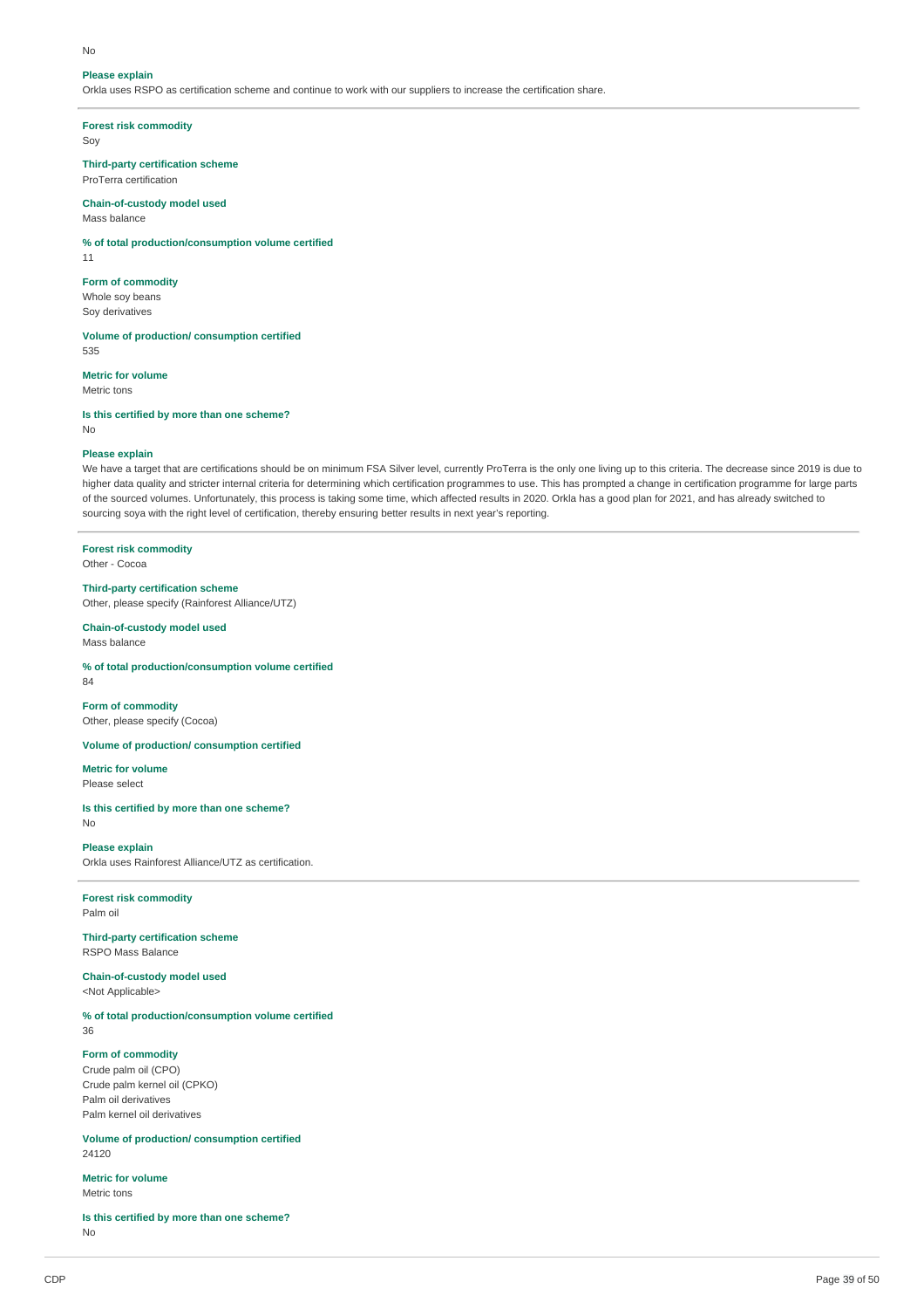#### No

#### **Please explain**

Orkla uses RSPO as certification scheme and continue to work with our suppliers to increase the certification share.

#### **Forest risk commodity**

Soy

**Third-party certification scheme** ProTerra certification

### **Chain-of-custody model used**

Mass balance

#### **% of total production/consumption volume certified**

11

#### **Form of commodity**

Whole soy beans Soy derivatives

**Volume of production/ consumption certified** 535

#### **Metric for volume**

Metric tons

**Is this certified by more than one scheme?** No

#### **Please explain**

We have a target that are certifications should be on minimum FSA Silver level, currently ProTerra is the only one living up to this criteria. The decrease since 2019 is due to higher data quality and stricter internal criteria for determining which certification programmes to use. This has prompted a change in certification programme for large parts of the sourced volumes. Unfortunately, this process is taking some time, which affected results in 2020. Orkla has a good plan for 2021, and has already switched to sourcing soya with the right level of certification, thereby ensuring better results in next year's reporting.

### **Forest risk commodity**

Other - Cocoa

#### **Third-party certification scheme**

Other, please specify (Rainforest Alliance/UTZ)

#### **Chain-of-custody model used** Mass balance

**% of total production/consumption volume certified**

### 84

**Form of commodity** Other, please specify (Cocoa)

### **Volume of production/ consumption certified**

**Metric for volume**

Please select

#### **Is this certified by more than one scheme?** No

#### **Please explain**

Orkla uses Rainforest Alliance/UTZ as certification.

#### **Forest risk commodity** Palm oil

**Third-party certification scheme** RSPO Mass Balance

**Chain-of-custody model used** <Not Applicable>

**% of total production/consumption volume certified**

36

#### **Form of commodity**

Crude palm oil (CPO) Crude palm kernel oil (CPKO) Palm oil derivatives Palm kernel oil derivatives

**Volume of production/ consumption certified** 24120

#### **Metric for volume** Metric tons

**Is this certified by more than one scheme?** No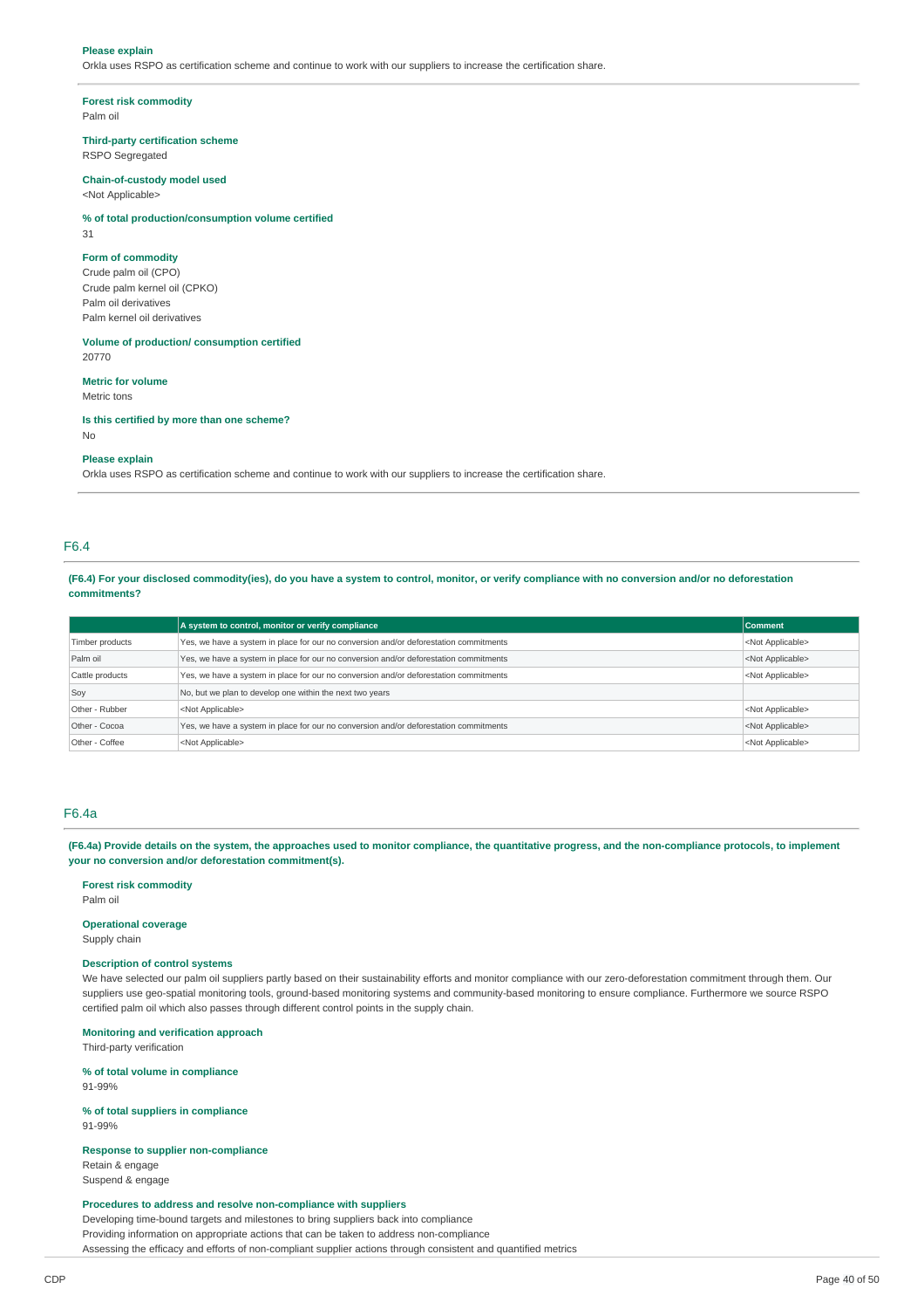#### **Please explain**

Orkla uses RSPO as certification scheme and continue to work with our suppliers to increase the certification share.

#### **Forest risk commodity**

Palm oil

#### **Third-party certification scheme**

RSPO Segregated

### **Chain-of-custody model used**

<Not Applicable>

#### **% of total production/consumption volume certified**

31

#### **Form of commodity**

Crude palm oil (CPO) Crude palm kernel oil (CPKO) Palm oil derivatives Palm kernel oil derivatives

**Volume of production/ consumption certified** 20770

#### **Metric for volume**

Metric tons

**Is this certified by more than one scheme?** No

#### **Please explain**

Orkla uses RSPO as certification scheme and continue to work with our suppliers to increase the certification share.

#### F6.4

(F6.4) For your disclosed commodity(ies), do you have a system to control, monitor, or verify compliance with no conversion and/or no deforestation **commitments?**

|                                                                                                        | A system to control, monitor or verify compliance                                     | <b>Comment</b>            |  |  |  |
|--------------------------------------------------------------------------------------------------------|---------------------------------------------------------------------------------------|---------------------------|--|--|--|
| Timber products                                                                                        | Yes, we have a system in place for our no conversion and/or deforestation commitments |                           |  |  |  |
| Palm oil                                                                                               | Yes, we have a system in place for our no conversion and/or deforestation commitments |                           |  |  |  |
| Cattle products                                                                                        | <not applicable=""></not>                                                             |                           |  |  |  |
| Soy                                                                                                    |                                                                                       |                           |  |  |  |
| Other - Rubber                                                                                         | <not applicable=""><br/><not applicable=""></not></not>                               |                           |  |  |  |
| Other - Cocoa<br>Yes, we have a system in place for our no conversion and/or deforestation commitments |                                                                                       | <not applicable=""></not> |  |  |  |
| Other - Coffee                                                                                         | <not applicable=""><br/><not applicable=""></not></not>                               |                           |  |  |  |

### F6.4a

(F6.4a) Provide details on the system, the approaches used to monitor compliance, the quantitative progress, and the non-compliance protocols, to implement **your no conversion and/or deforestation commitment(s).**

#### **Forest risk commodity**

Palm oil

### **Operational coverage**

Supply chain

### **Description of control systems**

We have selected our palm oil suppliers partly based on their sustainability efforts and monitor compliance with our zero-deforestation commitment through them. Our suppliers use geo-spatial monitoring tools, ground-based monitoring systems and community-based monitoring to ensure compliance. Furthermore we source RSPO certified palm oil which also passes through different control points in the supply chain.

#### **Monitoring and verification approach**

Third-party verification

#### **% of total volume in compliance** 91-99%

**% of total suppliers in compliance** 91-99%

#### **Response to supplier non-compliance**

Retain & engage Suspend & engage

#### **Procedures to address and resolve non-compliance with suppliers**

Developing time-bound targets and milestones to bring suppliers back into compliance Providing information on appropriate actions that can be taken to address non-compliance Assessing the efficacy and efforts of non-compliant supplier actions through consistent and quantified metrics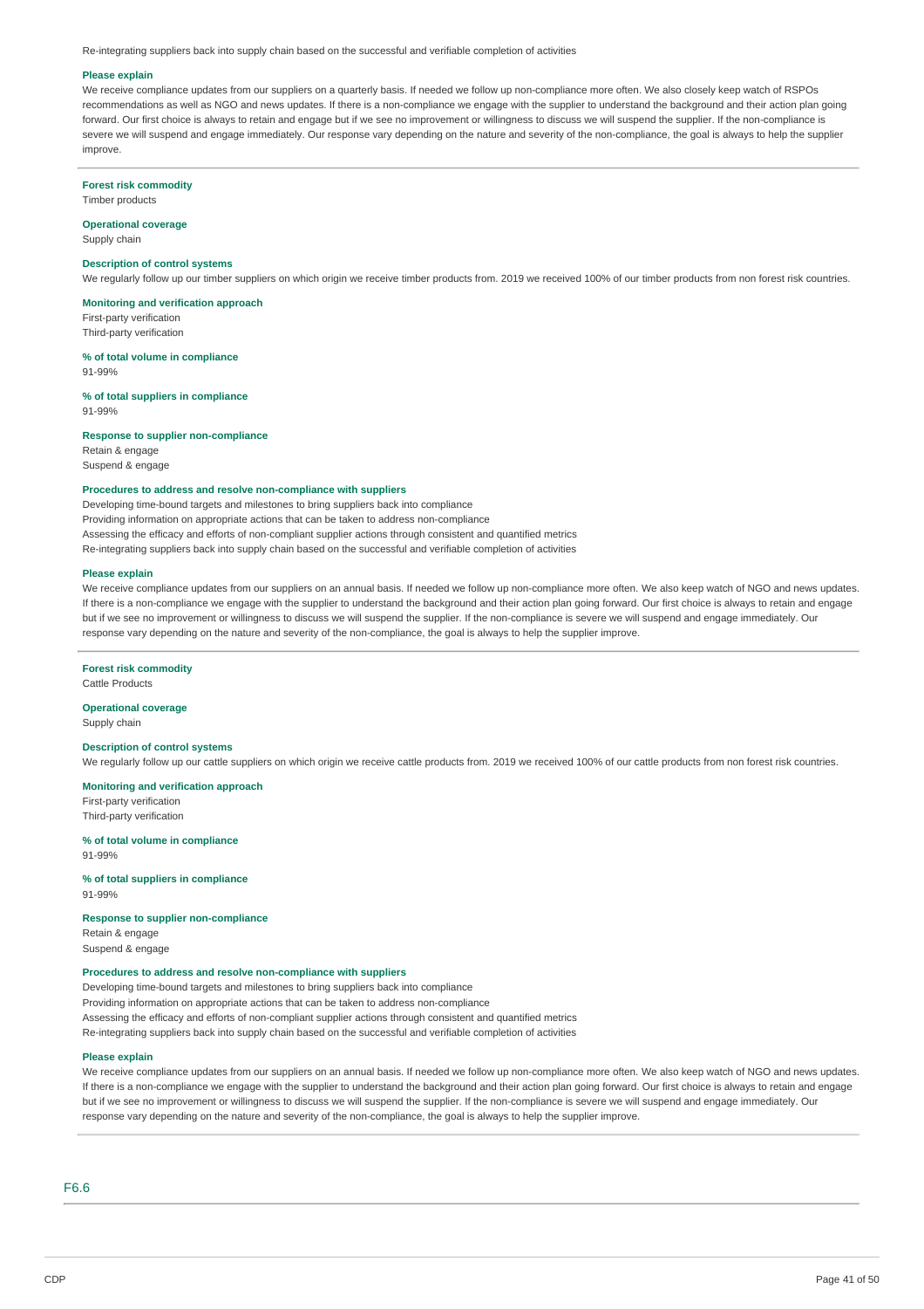Re-integrating suppliers back into supply chain based on the successful and verifiable completion of activities

#### **Please explain**

We receive compliance updates from our suppliers on a quarterly basis. If needed we follow up non-compliance more often. We also closely keep watch of RSPOs recommendations as well as NGO and news updates. If there is a non-compliance we engage with the supplier to understand the background and their action plan going forward. Our first choice is always to retain and engage but if we see no improvement or willingness to discuss we will suspend the supplier. If the non-compliance is severe we will suspend and engage immediately. Our response vary depending on the nature and severity of the non-compliance, the goal is always to help the supplier improve.

#### **Forest risk commodity**

Timber products

### **Operational coverage**

Supply chain

### **Description of control systems**

We regularly follow up our timber suppliers on which origin we receive timber products from. 2019 we received 100% of our timber products from non forest risk countries.

### **Monitoring and verification approach**

First-party verification Third-party verification

#### **% of total volume in compliance**

91-99%

## **% of total suppliers in compliance**

91-99%

#### **Response to supplier non-compliance**

Retain & engage Suspend & engage

### **Procedures to address and resolve non-compliance with suppliers**

Developing time-bound targets and milestones to bring suppliers back into compliance Providing information on appropriate actions that can be taken to address non-compliance Assessing the efficacy and efforts of non-compliant supplier actions through consistent and quantified metrics

Re-integrating suppliers back into supply chain based on the successful and verifiable completion of activities

#### **Please explain**

We receive compliance updates from our suppliers on an annual basis. If needed we follow up non-compliance more often. We also keep watch of NGO and news updates. If there is a non-compliance we engage with the supplier to understand the background and their action plan going forward. Our first choice is always to retain and engage but if we see no improvement or willingness to discuss we will suspend the supplier. If the non-compliance is severe we will suspend and engage immediately. Our response vary depending on the nature and severity of the non-compliance, the goal is always to help the supplier improve.

### **Forest risk commodity**

Cattle Products

#### **Operational coverage** Supply chain

### **Description of control systems**

We regularly follow up our cattle suppliers on which origin we receive cattle products from. 2019 we received 100% of our cattle products from non forest risk countries.

#### **Monitoring and verification approach** First-party verification Third-party verification

#### **% of total volume in compliance** 91-99%

**% of total suppliers in compliance** 91-99%

#### **Response to supplier non-compliance** Retain & engage

Suspend & engage

### **Procedures to address and resolve non-compliance with suppliers**

Developing time-bound targets and milestones to bring suppliers back into compliance Providing information on appropriate actions that can be taken to address non-compliance Assessing the efficacy and efforts of non-compliant supplier actions through consistent and quantified metrics Re-integrating suppliers back into supply chain based on the successful and verifiable completion of activities

#### **Please explain**

We receive compliance updates from our suppliers on an annual basis. If needed we follow up non-compliance more often. We also keep watch of NGO and news updates. If there is a non-compliance we engage with the supplier to understand the background and their action plan going forward. Our first choice is always to retain and engage but if we see no improvement or willingness to discuss we will suspend the supplier. If the non-compliance is severe we will suspend and engage immediately. Our response vary depending on the nature and severity of the non-compliance, the goal is always to help the supplier improve.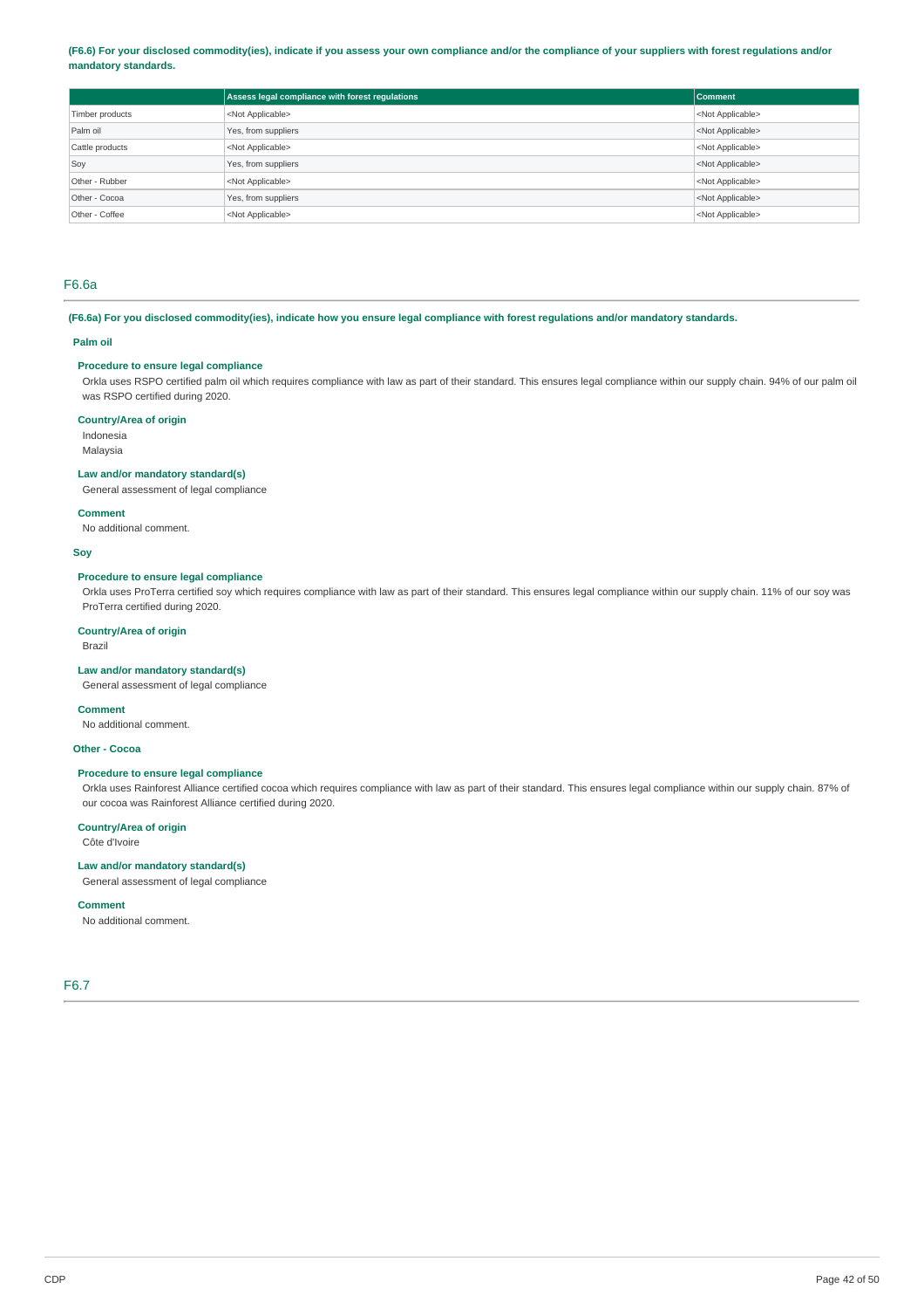#### (F6.6) For your disclosed commodity(ies), indicate if you assess your own compliance and/or the compliance of your suppliers with forest regulations and/or **mandatory standards.**

|                 | Assess legal compliance with forest regulations | Comment                   |
|-----------------|-------------------------------------------------|---------------------------|
| Timber products | <not applicable=""></not>                       | <not applicable=""></not> |
| Palm oil        | Yes, from suppliers                             | <not applicable=""></not> |
| Cattle products | <not applicable=""></not>                       | <not applicable=""></not> |
| Soy             | Yes, from suppliers                             | <not applicable=""></not> |
| Other - Rubber  | <not applicable=""></not>                       | <not applicable=""></not> |
| Other - Cocoa   | Yes, from suppliers                             | <not applicable=""></not> |
| Other - Coffee  | <not applicable=""></not>                       | <not applicable=""></not> |

### F6.6a

(F6.6a) For you disclosed commodity(ies), indicate how you ensure legal compliance with forest regulations and/or mandatory standards.

#### **Palm oil**

### **Procedure to ensure legal compliance**

Orkla uses RSPO certified palm oil which requires compliance with law as part of their standard. This ensures legal compliance within our supply chain. 94% of our palm oil was RSPO certified during 2020.

#### **Country/Area of origin**

Indonesia Malaysia

#### **Law and/or mandatory standard(s)**

General assessment of legal compliance

#### **Comment**

No additional comment.

#### **Soy**

#### **Procedure to ensure legal compliance**

Orkla uses ProTerra certified soy which requires compliance with law as part of their standard. This ensures legal compliance within our supply chain. 11% of our soy was ProTerra certified during 2020.

#### **Country/Area of origin**

Brazil

### **Law and/or mandatory standard(s)**

General assessment of legal compliance

#### **Comment**

No additional comment.

## **Other - Cocoa**

### **Procedure to ensure legal compliance**

Orkla uses Rainforest Alliance certified cocoa which requires compliance with law as part of their standard. This ensures legal compliance within our supply chain. 87% of our cocoa was Rainforest Alliance certified during 2020.

### **Country/Area of origin**

Côte d'Ivoire

### **Law and/or mandatory standard(s)**

General assessment of legal compliance

#### **Comment**

No additional comment.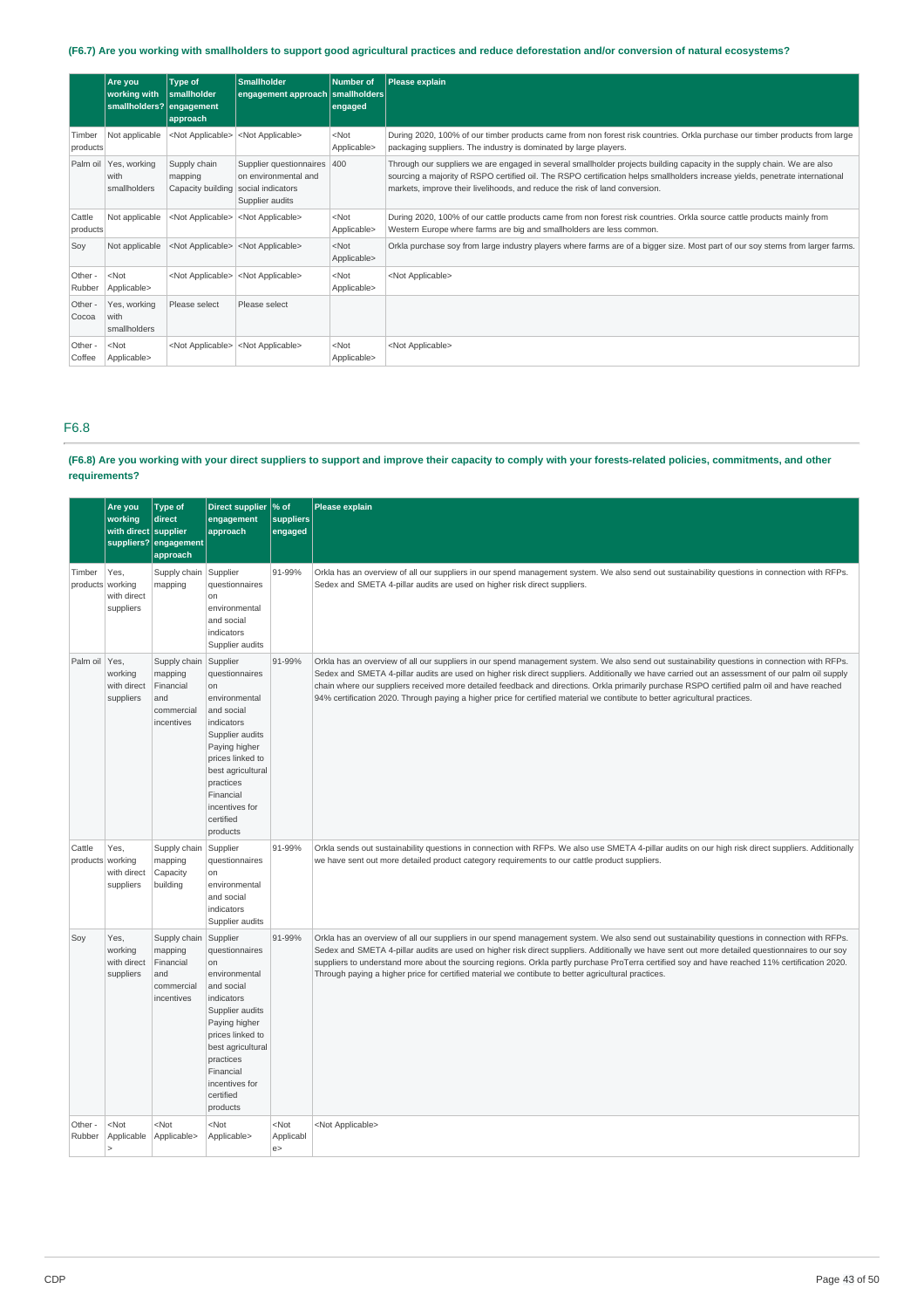### (F6.7) Are you working with smallholders to support good agricultural practices and reduce deforestation and/or conversion of natural ecosystems?

|                    | Are you<br>working with<br>smallholders? engagement | Type of<br>smallholder<br>approach                             | Smallholder<br>engagement approach smallholders                        | Number of<br>engaged                | Please explain                                                                                                                                                                                                                                                                                                                          |
|--------------------|-----------------------------------------------------|----------------------------------------------------------------|------------------------------------------------------------------------|-------------------------------------|-----------------------------------------------------------------------------------------------------------------------------------------------------------------------------------------------------------------------------------------------------------------------------------------------------------------------------------------|
| Timber<br>products | Not applicable                                      | <not applicable=""></not>                                      | <not applicable=""></not>                                              | $<$ Not<br>Applicable>              | During 2020, 100% of our timber products came from non forest risk countries. Orkla purchase our timber products from large<br>packaging suppliers. The industry is dominated by large players.                                                                                                                                         |
|                    | Palm oil   Yes, working<br>with<br>smallholders     | Supply chain<br>mapping<br>Capacity building social indicators | Supplier questionnaires 400<br>on environmental and<br>Supplier audits |                                     | Through our suppliers we are engaged in several smallholder projects building capacity in the supply chain. We are also<br>sourcing a majority of RSPO certified oil. The RSPO certification helps smallholders increase yields, penetrate international<br>markets, improve their livelihoods, and reduce the risk of land conversion. |
| Cattle<br>products | Not applicable                                      |                                                                | <not applicable=""> <not applicable=""></not></not>                    | $<$ Not<br>Applicable>              | During 2020, 100% of our cattle products came from non forest risk countries. Orkla source cattle products mainly from<br>Western Europe where farms are big and smallholders are less common.                                                                                                                                          |
| Sov                | Not applicable                                      |                                                                | <not applicable=""> <not applicable=""></not></not>                    | $ $ <not<br>Applicable&gt;</not<br> | Orkla purchase soy from large industry players where farms are of a bigger size. Most part of our soy stems from larger farms.                                                                                                                                                                                                          |
| Other -<br>Rubber  | $<$ Not<br>Applicable>                              |                                                                | <not applicable=""> <not applicable=""></not></not>                    | $<$ Not<br>Applicable>              | <not applicable=""></not>                                                                                                                                                                                                                                                                                                               |
| Other -<br>Cocoa   | Yes, working<br>with<br>smallholders                | Please select                                                  | Please select                                                          |                                     |                                                                                                                                                                                                                                                                                                                                         |
| Other -<br>Coffee  | $<$ Not<br>Applicable>                              |                                                                | <not applicable=""> <not applicable=""></not></not>                    | $<$ Not<br>Applicable>              | <not applicable=""></not>                                                                                                                                                                                                                                                                                                               |

### F6.8

### (F6.8) Are you working with your direct suppliers to support and improve their capacity to comply with your forests-related policies, commitments, and other **requirements?**

|                            | Are you<br>working<br>with direct supplier  | <b>Type of</b><br>direct<br>suppliers? engagement<br>approach           | Direct supplier<br>engagement<br>approach                                                                                                                                                                                       | % of<br>suppliers<br>engaged | <b>Please explain</b>                                                                                                                                                                                                                                                                                                                                                                                                                                                                                                                                                          |
|----------------------------|---------------------------------------------|-------------------------------------------------------------------------|---------------------------------------------------------------------------------------------------------------------------------------------------------------------------------------------------------------------------------|------------------------------|--------------------------------------------------------------------------------------------------------------------------------------------------------------------------------------------------------------------------------------------------------------------------------------------------------------------------------------------------------------------------------------------------------------------------------------------------------------------------------------------------------------------------------------------------------------------------------|
| Timber<br>products working | Yes,<br>with direct<br>suppliers            | Supply chain Supplier<br>mapping                                        | questionnaires<br>on<br>environmental<br>and social<br>indicators<br>Supplier audits                                                                                                                                            | 91-99%                       | Orkla has an overview of all our suppliers in our spend management system. We also send out sustainability questions in connection with RFPs.<br>Sedex and SMETA 4-pillar audits are used on higher risk direct suppliers.                                                                                                                                                                                                                                                                                                                                                     |
| Palm oil                   | Yes,<br>working<br>with direct<br>suppliers | Supply chain<br>mapping<br>Financial<br>and<br>commercial<br>incentives | Supplier<br>questionnaires<br>on<br>environmental<br>and social<br>indicators<br>Supplier audits<br>Paying higher<br>prices linked to<br>best agricultural<br>practices<br>Financial<br>incentives for<br>certified<br>products | 91-99%                       | Orkla has an overview of all our suppliers in our spend management system. We also send out sustainability questions in connection with RFPs.<br>Sedex and SMETA 4-pillar audits are used on higher risk direct suppliers. Additionally we have carried out an assessment of our palm oil supply<br>chain where our suppliers received more detailed feedback and directions. Orkla primarily purchase RSPO certified palm oil and have reached<br>94% certification 2020. Through paying a higher price for certified material we contibute to better agricultural practices. |
| Cattle<br>products working | Yes,<br>with direct<br>suppliers            | Supply chain<br>mapping<br>Capacity<br>building                         | Supplier<br>questionnaires<br>on<br>environmental<br>and social<br>indicators<br>Supplier audits                                                                                                                                | 91-99%                       | Orkla sends out sustainability questions in connection with RFPs. We also use SMETA 4-pillar audits on our high risk direct suppliers. Additionally<br>we have sent out more detailed product category requirements to our cattle product suppliers.                                                                                                                                                                                                                                                                                                                           |
| Soy                        | Yes,<br>working<br>with direct<br>suppliers | Supply chain<br>mapping<br>Financial<br>and<br>commercial<br>incentives | Supplier<br>questionnaires<br>on<br>environmental<br>and social<br>indicators<br>Supplier audits<br>Paying higher<br>prices linked to<br>best agricultural<br>practices<br>Financial<br>incentives for<br>certified<br>products | 91-99%                       | Orkla has an overview of all our suppliers in our spend management system. We also send out sustainability questions in connection with RFPs.<br>Sedex and SMETA 4-pillar audits are used on higher risk direct suppliers. Additionally we have sent out more detailed questionnaires to our soy<br>suppliers to understand more about the sourcing regions. Orkla partly purchase ProTerra certified soy and have reached 11% certification 2020.<br>Through paying a higher price for certified material we contibute to better agricultural practices.                      |
| Other -<br>Rubber          | $<$ Not<br>Applicable                       | <not<br>Applicable&gt;</not<br>                                         | <not<br>Applicable&gt;</not<br>                                                                                                                                                                                                 | $<$ Not<br>Applicabl<br>e    | <not applicable=""></not>                                                                                                                                                                                                                                                                                                                                                                                                                                                                                                                                                      |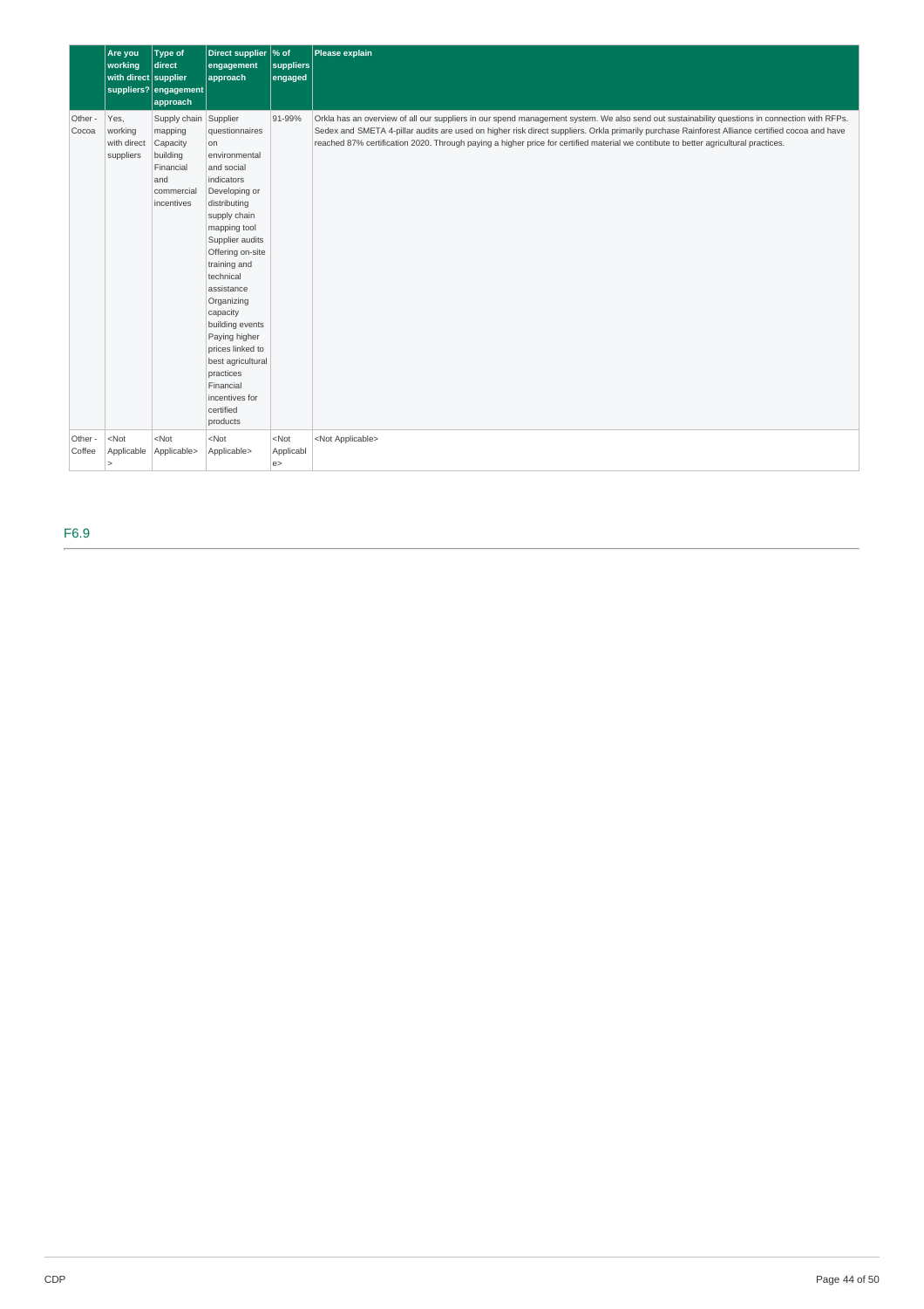|                   | Are you<br>working<br>with direct supplier  | Type of<br>direct<br>suppliers? engagement<br>approach                                                   | Direct supplier % of<br>engagement<br>approach                                                                                                                                                                                                                                                                                                                                                          | suppliers<br>engaged      | Please explain                                                                                                                                                                                                                                                                                                                                                                                                                          |
|-------------------|---------------------------------------------|----------------------------------------------------------------------------------------------------------|---------------------------------------------------------------------------------------------------------------------------------------------------------------------------------------------------------------------------------------------------------------------------------------------------------------------------------------------------------------------------------------------------------|---------------------------|-----------------------------------------------------------------------------------------------------------------------------------------------------------------------------------------------------------------------------------------------------------------------------------------------------------------------------------------------------------------------------------------------------------------------------------------|
| Other -<br>Cocoa  | Yes,<br>working<br>with direct<br>suppliers | Supply chain Supplier<br>mapping<br>Capacity<br>building<br>Financial<br>and<br>commercial<br>incentives | questionnaires<br><b>on</b><br>environmental<br>and social<br>indicators<br>Developing or<br>distributing<br>supply chain<br>mapping tool<br>Supplier audits<br>Offering on-site<br>training and<br>technical<br>assistance<br>Organizing<br>capacity<br>building events<br>Paying higher<br>prices linked to<br>best agricultural<br>practices<br>Financial<br>incentives for<br>certified<br>products | 91-99%                    | Orkla has an overview of all our suppliers in our spend management system. We also send out sustainability questions in connection with RFPs.<br>Sedex and SMETA 4-pillar audits are used on higher risk direct suppliers. Orkla primarily purchase Rainforest Alliance certified cocoa and have<br>reached 87% certification 2020. Through paying a higher price for certified material we contibute to better agricultural practices. |
| Other -<br>Coffee | $<$ Not<br>Applicable<br>$\geq$             | $<$ Not<br>Applicable>                                                                                   | $<$ Not<br>Applicable>                                                                                                                                                                                                                                                                                                                                                                                  | $<$ Not<br>Applicabl<br>e | <not applicable=""></not>                                                                                                                                                                                                                                                                                                                                                                                                               |

F6.9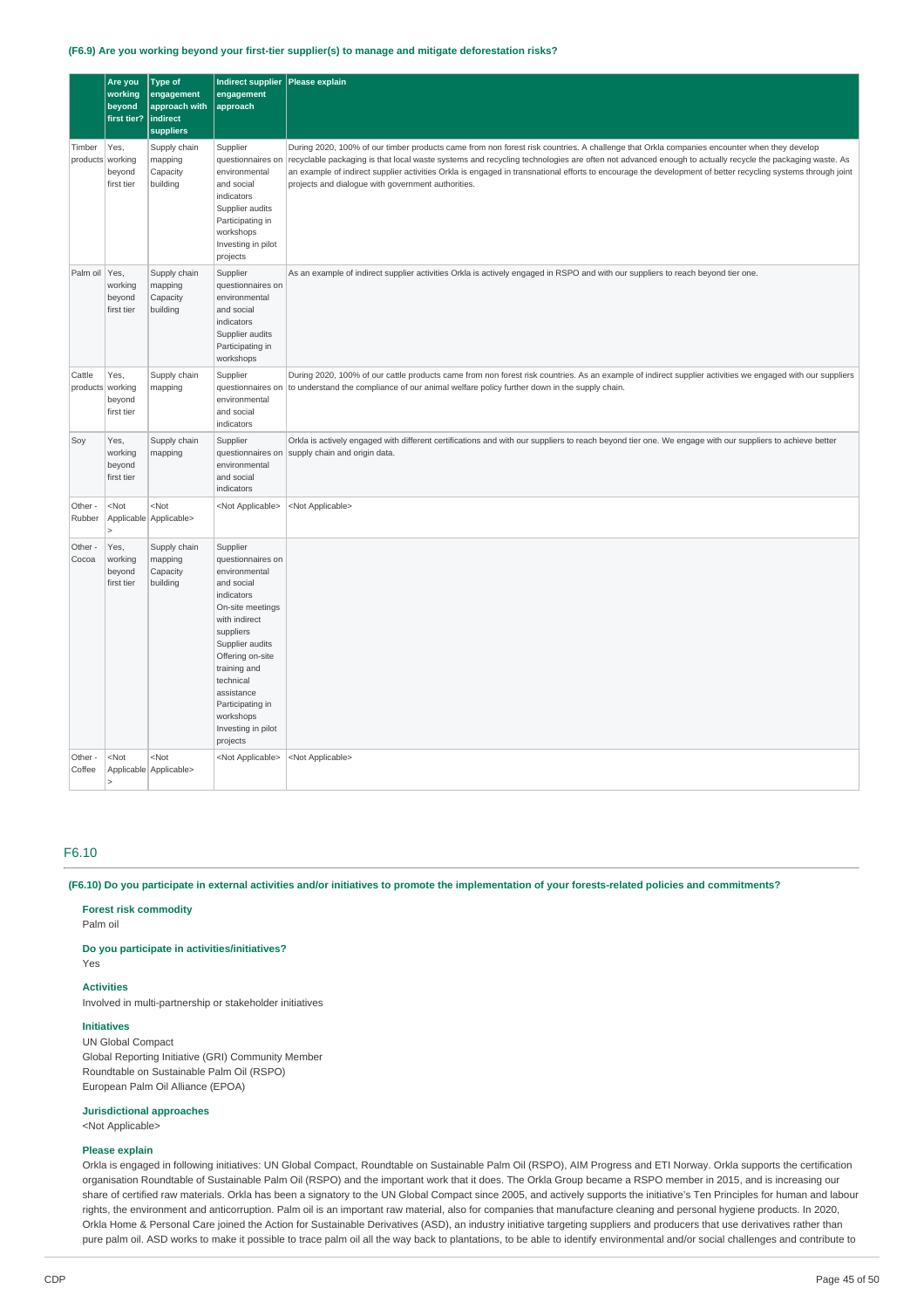#### **(F6.9) Are you working beyond your first-tier supplier(s) to manage and mitigate deforestation risks?**

|                            | Are you<br>working<br>beyond<br>first tier? | <b>Type of</b><br>engagement<br>approach with<br>indirect<br><b>suppliers</b> | <b>Indirect supplier</b><br>engagement<br>approach                                                                                                                                                                                                                                | Please explain                                                                                                                                                                                                                                                                                                                                                                                                                                                                                                           |
|----------------------------|---------------------------------------------|-------------------------------------------------------------------------------|-----------------------------------------------------------------------------------------------------------------------------------------------------------------------------------------------------------------------------------------------------------------------------------|--------------------------------------------------------------------------------------------------------------------------------------------------------------------------------------------------------------------------------------------------------------------------------------------------------------------------------------------------------------------------------------------------------------------------------------------------------------------------------------------------------------------------|
| Timber<br>products working | Yes,<br>beyond<br>first tier                | Supply chain<br>mapping<br>Capacity<br>building                               | Supplier<br>questionnaires on<br>environmental<br>and social<br>indicators<br>Supplier audits<br>Participating in<br>workshops<br>Investing in pilot<br>projects                                                                                                                  | During 2020, 100% of our timber products came from non forest risk countries. A challenge that Orkla companies encounter when they develop<br>recyclable packaging is that local waste systems and recycling technologies are often not advanced enough to actually recycle the packaging waste. As<br>an example of indirect supplier activities Orkla is engaged in transnational efforts to encourage the development of better recycling systems through joint<br>projects and dialogue with government authorities. |
| Palm oil Yes,              | working<br>beyond<br>first tier             | Supply chain<br>mapping<br>Capacity<br>building                               | Supplier<br>questionnaires on<br>environmental<br>and social<br>indicators<br>Supplier audits<br>Participating in<br>workshops                                                                                                                                                    | As an example of indirect supplier activities Orkla is actively engaged in RSPO and with our suppliers to reach beyond tier one.                                                                                                                                                                                                                                                                                                                                                                                         |
| Cattle<br>products working | Yes,<br>beyond<br>first tier                | Supply chain<br>mapping                                                       | Supplier<br>questionnaires on<br>environmental<br>and social<br>indicators                                                                                                                                                                                                        | During 2020, 100% of our cattle products came from non forest risk countries. As an example of indirect supplier activities we engaged with our suppliers<br>to understand the compliance of our animal welfare policy further down in the supply chain.                                                                                                                                                                                                                                                                 |
| Soy                        | Yes,<br>working<br>beyond<br>first tier     | Supply chain<br>mapping                                                       | Supplier<br>questionnaires on<br>environmental<br>and social<br>indicators                                                                                                                                                                                                        | Orkla is actively engaged with different certifications and with our suppliers to reach beyond tier one. We engage with our suppliers to achieve better<br>supply chain and origin data.                                                                                                                                                                                                                                                                                                                                 |
| Other -<br>Rubber          | $<$ Not<br>$\overline{\phantom{0}}$         | $<$ Not<br>Applicable Applicable>                                             | <not applicable=""></not>                                                                                                                                                                                                                                                         | <not applicable=""></not>                                                                                                                                                                                                                                                                                                                                                                                                                                                                                                |
| Other -<br>Cocoa           | Yes,<br>working<br>beyond<br>first tier     | Supply chain<br>mapping<br>Capacity<br>building                               | Supplier<br>questionnaires on<br>environmental<br>and social<br>indicators<br>On-site meetings<br>with indirect<br>suppliers<br>Supplier audits<br>Offering on-site<br>training and<br>technical<br>assistance<br>Participating in<br>workshops<br>Investing in pilot<br>projects |                                                                                                                                                                                                                                                                                                                                                                                                                                                                                                                          |
| Other -<br>Coffee          | <not<br>5</not<br>                          | <not<br>Applicable Applicable&gt;</not<br>                                    | <not applicable=""></not>                                                                                                                                                                                                                                                         | <not applicable=""></not>                                                                                                                                                                                                                                                                                                                                                                                                                                                                                                |

### F6.10

(F6.10) Do you participate in external activities and/or initiatives to promote the implementation of your forests-related policies and commitments?

#### **Forest risk commodity**

Palm oil

### **Do you participate in activities/initiatives?**

Yes

#### **Activities**

Involved in multi-partnership or stakeholder initiatives

### **Initiatives**

UN Global Compact Global Reporting Initiative (GRI) Community Member Roundtable on Sustainable Palm Oil (RSPO) European Palm Oil Alliance (EPOA)

### **Jurisdictional approaches**

<Not Applicable>

#### **Please explain**

Orkla is engaged in following initiatives: UN Global Compact, Roundtable on Sustainable Palm Oil (RSPO), AIM Progress and ETI Norway. Orkla supports the certification organisation Roundtable of Sustainable Palm Oil (RSPO) and the important work that it does. The Orkla Group became a RSPO member in 2015, and is increasing our share of certified raw materials. Orkla has been a signatory to the UN Global Compact since 2005, and actively supports the initiative's Ten Principles for human and labour rights, the environment and anticorruption. Palm oil is an important raw material, also for companies that manufacture cleaning and personal hygiene products. In 2020, Orkla Home & Personal Care joined the Action for Sustainable Derivatives (ASD), an industry initiative targeting suppliers and producers that use derivatives rather than pure palm oil. ASD works to make it possible to trace palm oil all the way back to plantations, to be able to identify environmental and/or social challenges and contribute to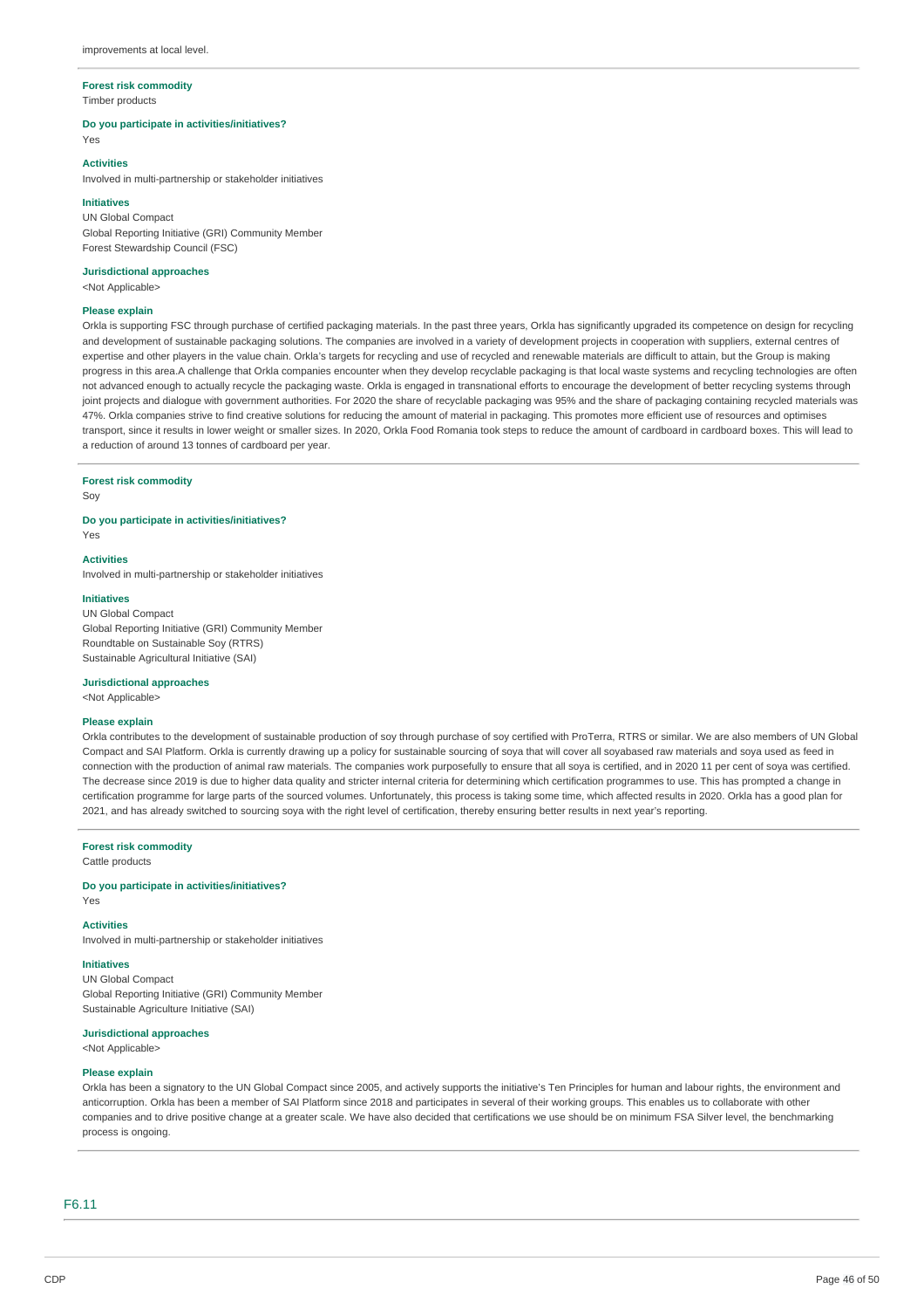# **Forest risk commodity**

Timber products

#### **Do you participate in activities/initiatives?**

Yes

### **Activities**

Involved in multi-partnership or stakeholder initiatives

#### **Initiatives**

UN Global Compact Global Reporting Initiative (GRI) Community Member Forest Stewardship Council (FSC)

### **Jurisdictional approaches**

<Not Applicable>

### **Please explain**

Orkla is supporting FSC through purchase of certified packaging materials. In the past three years, Orkla has significantly upgraded its competence on design for recycling and development of sustainable packaging solutions. The companies are involved in a variety of development projects in cooperation with suppliers, external centres of expertise and other players in the value chain. Orkla's targets for recycling and use of recycled and renewable materials are difficult to attain, but the Group is making progress in this area.A challenge that Orkla companies encounter when they develop recyclable packaging is that local waste systems and recycling technologies are often not advanced enough to actually recycle the packaging waste. Orkla is engaged in transnational efforts to encourage the development of better recycling systems through joint projects and dialogue with government authorities. For 2020 the share of recyclable packaging was 95% and the share of packaging containing recycled materials was 47%. Orkla companies strive to find creative solutions for reducing the amount of material in packaging. This promotes more efficient use of resources and optimises transport, since it results in lower weight or smaller sizes. In 2020, Orkla Food Romania took steps to reduce the amount of cardboard in cardboard boxes. This will lead to a reduction of around 13 tonnes of cardboard per year.

#### **Forest risk commodity**

Soy

#### **Do you participate in activities/initiatives?**

Yes

#### **Activities**

Involved in multi-partnership or stakeholder initiatives

### **Initiatives**

UN Global Compact Global Reporting Initiative (GRI) Community Member Roundtable on Sustainable Soy (RTRS) Sustainable Agricultural Initiative (SAI)

### **Jurisdictional approaches**

<Not Applicable>

#### **Please explain**

Orkla contributes to the development of sustainable production of soy through purchase of soy certified with ProTerra, RTRS or similar. We are also members of UN Global Compact and SAI Platform. Orkla is currently drawing up a policy for sustainable sourcing of soya that will cover all soyabased raw materials and soya used as feed in connection with the production of animal raw materials. The companies work purposefully to ensure that all soya is certified, and in 2020 11 per cent of soya was certified. The decrease since 2019 is due to higher data quality and stricter internal criteria for determining which certification programmes to use. This has prompted a change in certification programme for large parts of the sourced volumes. Unfortunately, this process is taking some time, which affected results in 2020. Orkla has a good plan for 2021, and has already switched to sourcing soya with the right level of certification, thereby ensuring better results in next year's reporting.

#### **Forest risk commodity**

Cattle products

**Do you participate in activities/initiatives?** Yes

### **Activities**

Involved in multi-partnership or stakeholder initiatives

### **Initiatives**

UN Global Compact Global Reporting Initiative (GRI) Community Member Sustainable Agriculture Initiative (SAI)

### **Jurisdictional approaches**

<Not Applicable>

#### **Please explain**

Orkla has been a signatory to the UN Global Compact since 2005, and actively supports the initiative's Ten Principles for human and labour rights, the environment and anticorruption. Orkla has been a member of SAI Platform since 2018 and participates in several of their working groups. This enables us to collaborate with other companies and to drive positive change at a greater scale. We have also decided that certifications we use should be on minimum FSA Silver level, the benchmarking process is ongoing.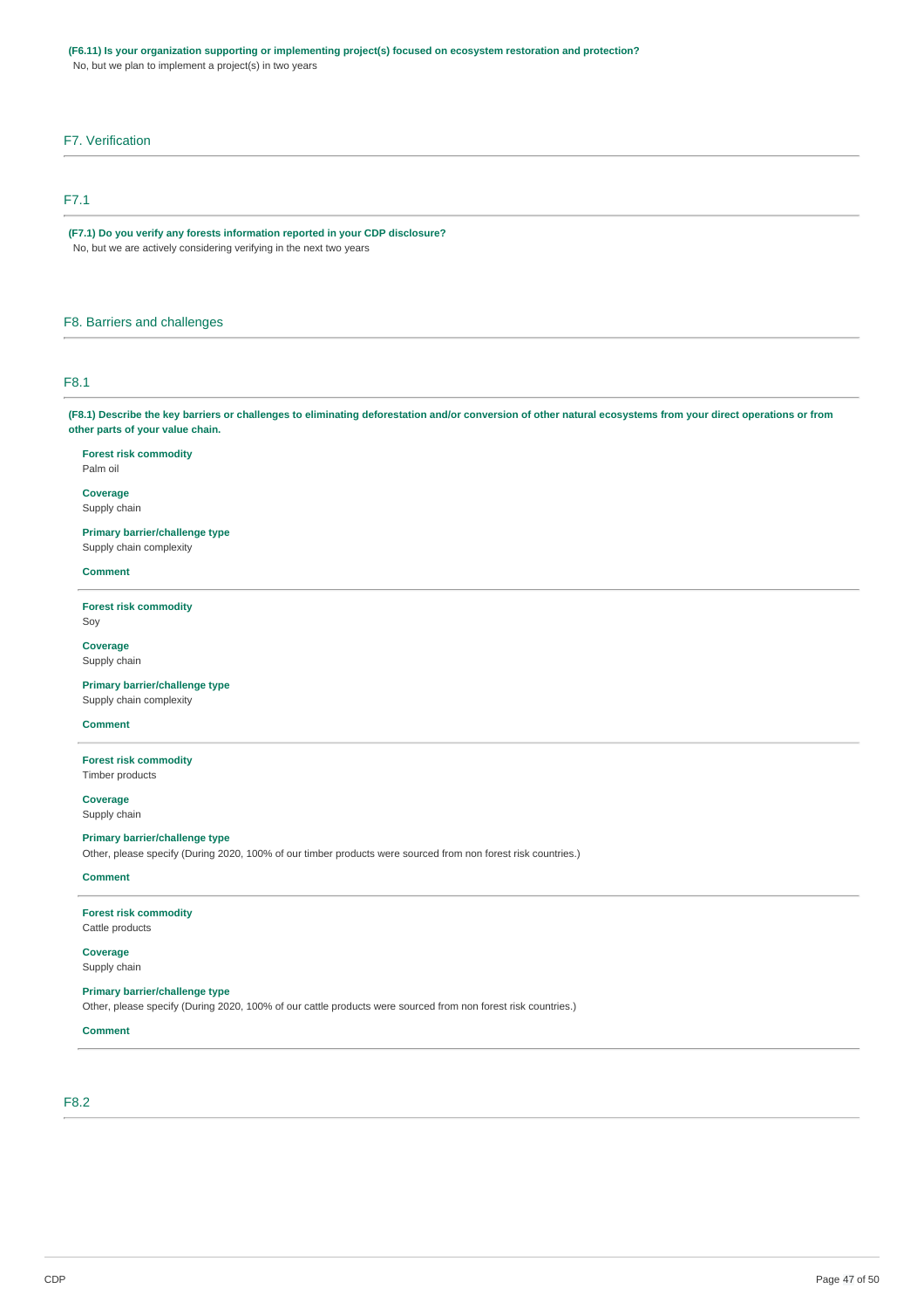### **(F6.11) Is your organization supporting or implementing project(s) focused on ecosystem restoration and protection?**

No, but we plan to implement a project(s) in two years

### F7. Verification

### F7.1

**(F7.1) Do you verify any forests information reported in your CDP disclosure?** No, but we are actively considering verifying in the next two years

### F8. Barriers and challenges

### F8.1

(F8.1) Describe the key barriers or challenges to eliminating deforestation and/or conversion of other natural ecosystems from your direct operations or from **other parts of your value chain.**

**Forest risk commodity** Palm oil

**Coverage** Supply chain

#### **Primary barrier/challenge type**

Supply chain complexity

#### **Comment**

**Forest risk commodity** Soy

**Coverage** Supply chain

**Primary barrier/challenge type** Supply chain complexity

### **Comment**

**Forest risk commodity** Timber products

**Coverage** Supply chain

#### **Primary barrier/challenge type**

Other, please specify (During 2020, 100% of our timber products were sourced from non forest risk countries.)

### **Comment**

# **Forest risk commodity**

Cattle products

**Coverage** Supply chain

#### **Primary barrier/challenge type**

Other, please specify (During 2020, 100% of our cattle products were sourced from non forest risk countries.)

### **Comment**

### F8.2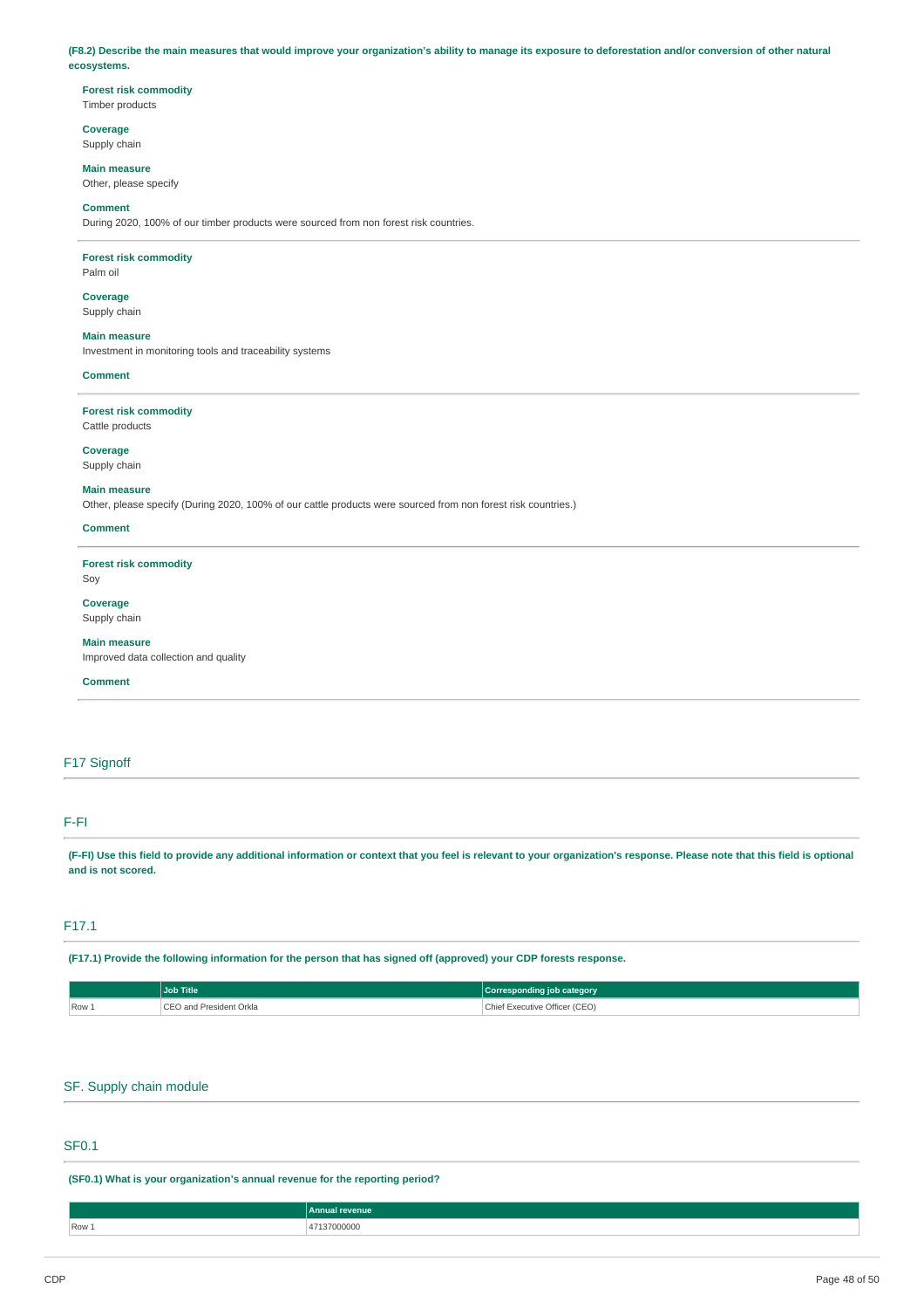(F8.2) Describe the main measures that would improve your organization's ability to manage its exposure to deforestation and/or conversion of other natural **ecosystems.**

#### **Forest risk commodity** Timber products

**Coverage**

### Supply chain

**Main measure** Other, please specify

# **Comment**

During 2020, 100% of our timber products were sourced from non forest risk countries.

### **Forest risk commodity**

Palm oil

### **Coverage** Supply chain

**Main measure**

Investment in monitoring tools and traceability systems

#### **Comment**

**Forest risk commodity** Cattle products

# **Coverage**

Supply chain

#### **Main measure**

Other, please specify (During 2020, 100% of our cattle products were sourced from non forest risk countries.)

#### **Comment**

**Forest risk commodity**

### Soy

**Coverage** Supply chain

### **Main measure**

Improved data collection and quality

#### **Comment**

### F17 Signoff

### F-FI

(F-FI) Use this field to provide any additional information or context that you feel is relevant to your organization's response. Please note that this field is optional **and is not scored.**

### F17.1

(F17.1) Provide the following information for the person that has signed off (approved) your CDP forests response.

|          | <b>Job Title</b>        | Corresponding job category    |
|----------|-------------------------|-------------------------------|
| $ Row$ . | CEO and President Orkla | Chief Executive Officer (CEO) |

### SF. Supply chain module

### SF0.1

**(SF0.1) What is your organization's annual revenue for the reporting period?**

|       | Annual<br><b>Exercise Service</b> |
|-------|-----------------------------------|
| Row 1 | 000<br>.                          |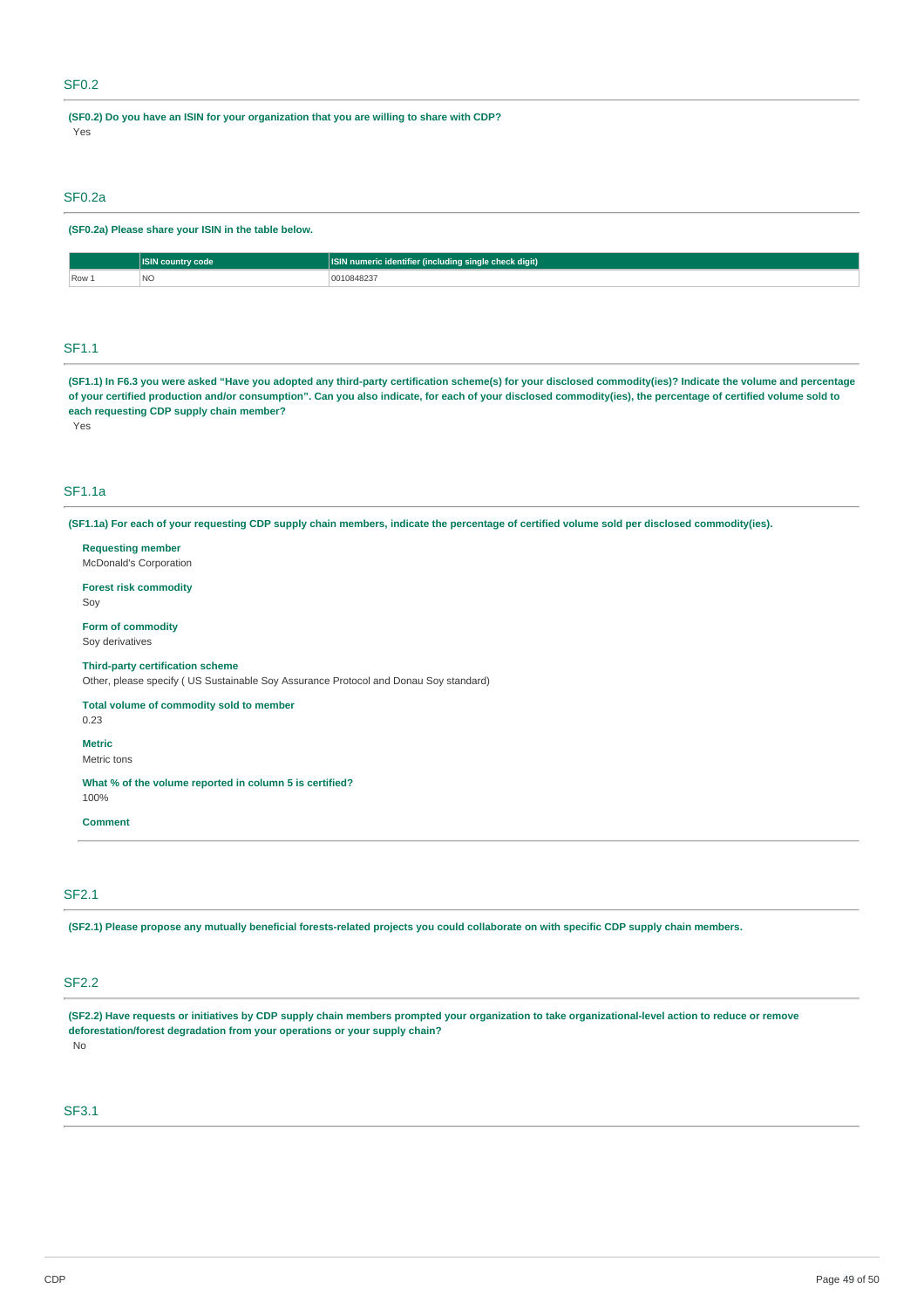### SF0.2

**(SF0.2) Do you have an ISIN for your organization that you are willing to share with CDP?** Yes

### SF0.2a

### **(SF0.2a) Please share your ISIN in the table below.**

|       | code                   | <b>ICIN</b><br>jle check digit).<br>ına sına<br>num<br>ıdenti<br>' (Incluc |
|-------|------------------------|----------------------------------------------------------------------------|
| Row 1 | N <sub>IC</sub><br>INC | 348Z.S.                                                                    |

### SF1.1

(SF1.1) In F6.3 you were asked "Have you adopted any third-party certification scheme(s) for your disclosed commodity(ies)? Indicate the volume and percentage of your certified production and/or consumption". Can you also indicate, for each of your disclosed commodity(ies), the percentage of certified volume sold to **each requesting CDP supply chain member?**

Yes

### SF1.1a

(SF1.1a) For each of your requesting CDP supply chain members, indicate the percentage of certified volume sold per disclosed commodity(ies).

# **Requesting member**

McDonald's Corporation

#### **Forest risk commodity** Soy

#### **Form of commodity** Soy derivatives

#### **Third-party certification scheme**

Other, please specify ( US Sustainable Soy Assurance Protocol and Donau Soy standard)

### **Total volume of commodity sold to member**

0.23

#### **Metric** Metric tons

**What % of the volume reported in column 5 is certified?**

100%

#### **Comment**

### SF2.1

(SF2.1) Please propose any mutually beneficial forests-related projects you could collaborate on with specific CDP supply chain members.

### SF2.2

(SF2.2) Have requests or initiatives by CDP supply chain members prompted your organization to take organizational-level action to reduce or remove **deforestation/forest degradation from your operations or your supply chain?**

No

## SF3.1